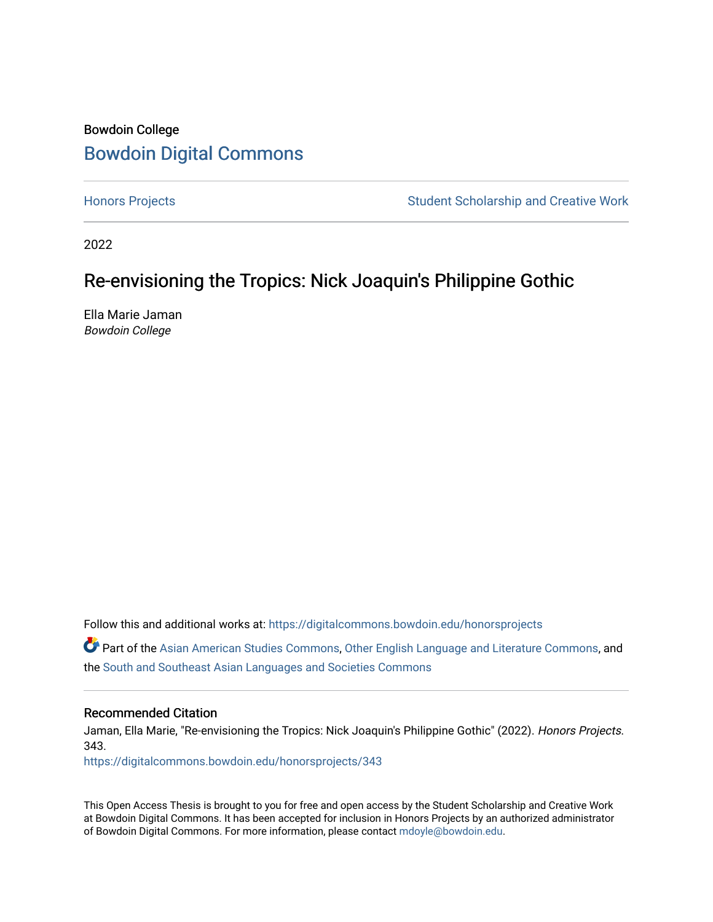# Bowdoin College [Bowdoin Digital Commons](https://digitalcommons.bowdoin.edu/)

[Honors Projects](https://digitalcommons.bowdoin.edu/honorsprojects) **Student Scholarship and Creative Work** Student Scholarship and Creative Work

2022

# Re-envisioning the Tropics: Nick Joaquin's Philippine Gothic

Ella Marie Jaman Bowdoin College

Follow this and additional works at: [https://digitalcommons.bowdoin.edu/honorsprojects](https://digitalcommons.bowdoin.edu/honorsprojects?utm_source=digitalcommons.bowdoin.edu%2Fhonorsprojects%2F343&utm_medium=PDF&utm_campaign=PDFCoverPages)

Part of the [Asian American Studies Commons,](https://network.bepress.com/hgg/discipline/568?utm_source=digitalcommons.bowdoin.edu%2Fhonorsprojects%2F343&utm_medium=PDF&utm_campaign=PDFCoverPages) [Other English Language and Literature Commons](https://network.bepress.com/hgg/discipline/462?utm_source=digitalcommons.bowdoin.edu%2Fhonorsprojects%2F343&utm_medium=PDF&utm_campaign=PDFCoverPages), and the [South and Southeast Asian Languages and Societies Commons](https://network.bepress.com/hgg/discipline/487?utm_source=digitalcommons.bowdoin.edu%2Fhonorsprojects%2F343&utm_medium=PDF&utm_campaign=PDFCoverPages) 

#### Recommended Citation

Jaman, Ella Marie, "Re-envisioning the Tropics: Nick Joaquin's Philippine Gothic" (2022). Honors Projects. 343.

[https://digitalcommons.bowdoin.edu/honorsprojects/343](https://digitalcommons.bowdoin.edu/honorsprojects/343?utm_source=digitalcommons.bowdoin.edu%2Fhonorsprojects%2F343&utm_medium=PDF&utm_campaign=PDFCoverPages)

This Open Access Thesis is brought to you for free and open access by the Student Scholarship and Creative Work at Bowdoin Digital Commons. It has been accepted for inclusion in Honors Projects by an authorized administrator of Bowdoin Digital Commons. For more information, please contact [mdoyle@bowdoin.edu.](mailto:mdoyle@bowdoin.edu)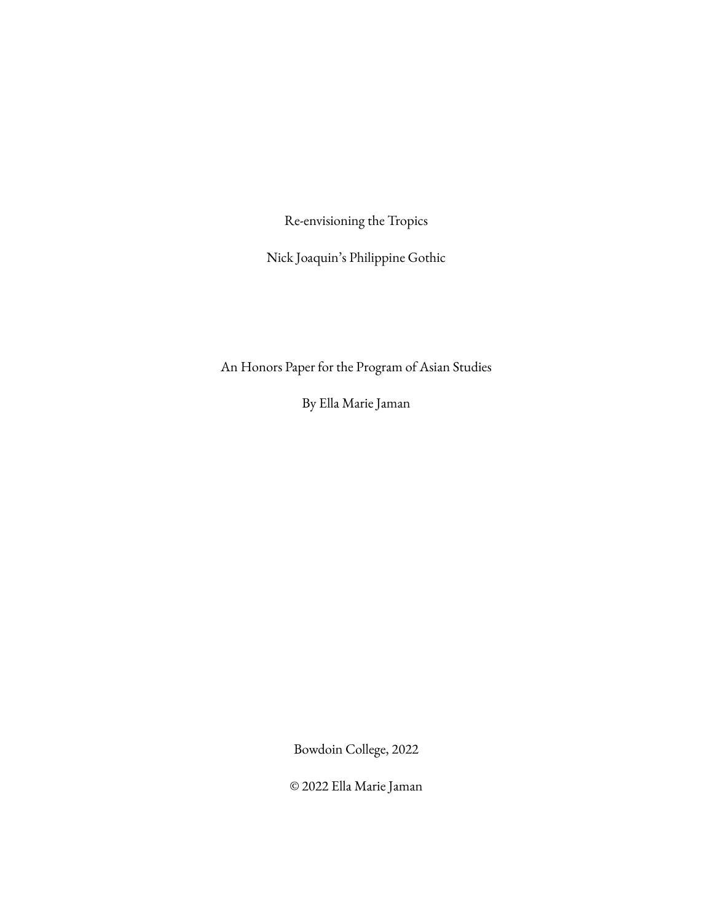Re-envisioning the Tropics

Nick Joaquin's Philippine Gothic

An Honors Paper for the Program of Asian Studies

By Ella Marie Jaman

Bowdoin College, 2022

© 2022 Ella Marie Jaman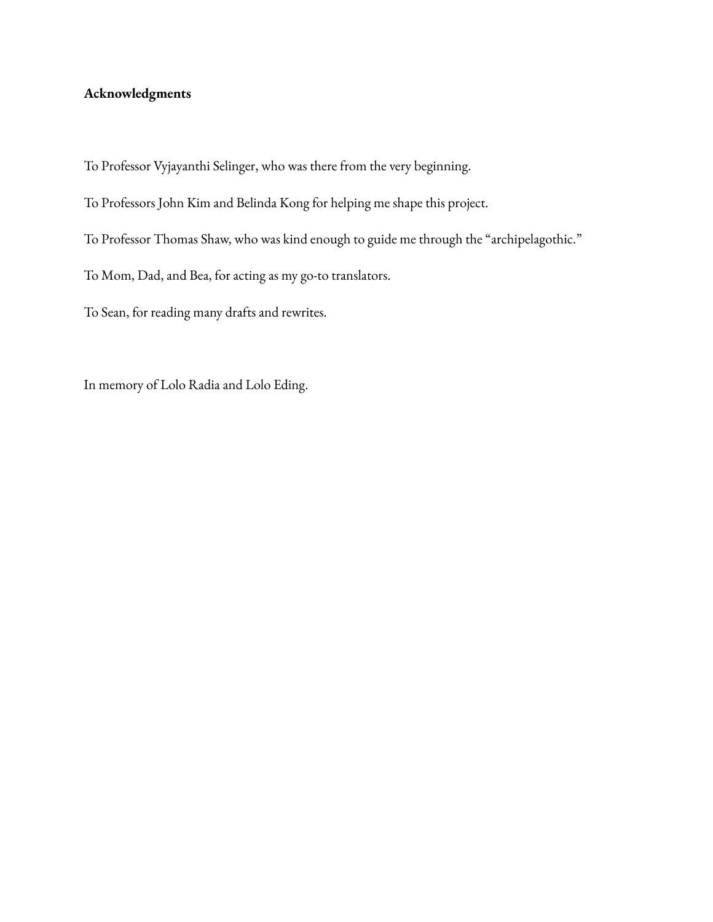# <span id="page-2-0"></span>**Acknowledgments**

To Professor Vyjayanthi Selinger, who was there from the very beginning.

- To Professors John Kim and Belinda Kong for helping me shape this project.
- To Professor Thomas Shaw, who was kind enough to guide me through the "archipelagothic."
- To Mom, Dad, and Bea, for acting as my go-to translators.
- To Sean, for reading many drafts and rewrites.

In memory of Lolo Radia and Lolo Eding.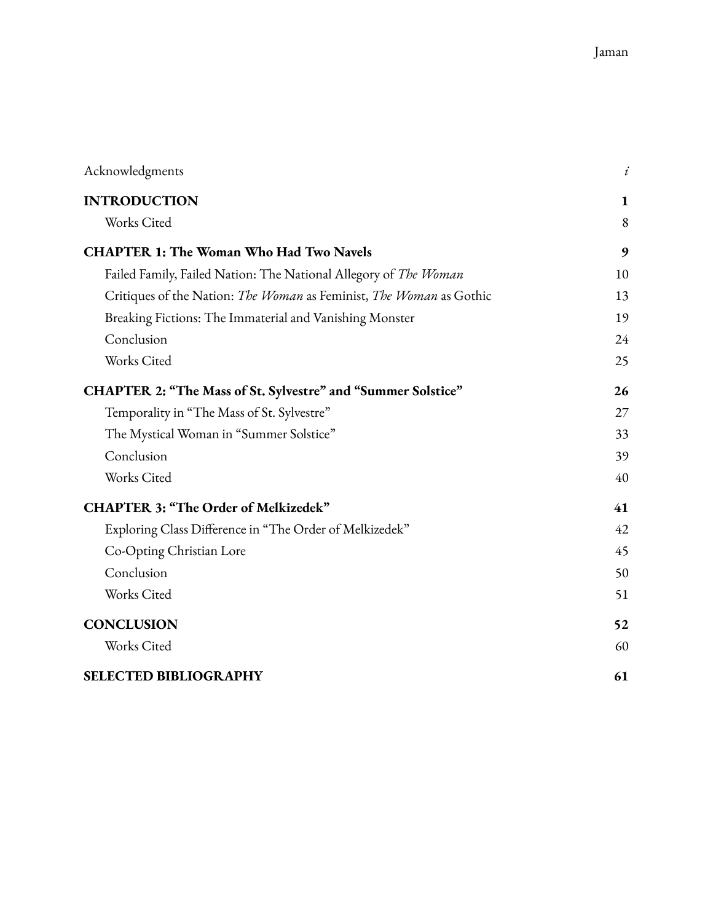| Acknowledgments                                                     | i  |
|---------------------------------------------------------------------|----|
| <b>INTRODUCTION</b>                                                 | 1  |
| Works Cited                                                         | 8  |
| <b>CHAPTER 1: The Woman Who Had Two Navels</b>                      | 9  |
| Failed Family, Failed Nation: The National Allegory of The Woman    | 10 |
| Critiques of the Nation: The Woman as Feminist, The Woman as Gothic | 13 |
| Breaking Fictions: The Immaterial and Vanishing Monster             | 19 |
| Conclusion                                                          | 24 |
| Works Cited                                                         | 25 |
| <b>CHAPTER 2: "The Mass of St. Sylvestre" and "Summer Solstice"</b> | 26 |
| Temporality in "The Mass of St. Sylvestre"                          | 27 |
| The Mystical Woman in "Summer Solstice"                             | 33 |
| Conclusion                                                          | 39 |
| Works Cited                                                         | 40 |
| <b>CHAPTER 3: "The Order of Melkizedek"</b>                         | 41 |
| Exploring Class Difference in "The Order of Melkizedek"             | 42 |
| Co-Opting Christian Lore                                            | 45 |
| Conclusion                                                          | 50 |
| Works Cited                                                         | 51 |
| <b>CONCLUSION</b>                                                   | 52 |
| Works Cited                                                         | 60 |
| <b>SELECTED BIBLIOGRAPHY</b>                                        | 61 |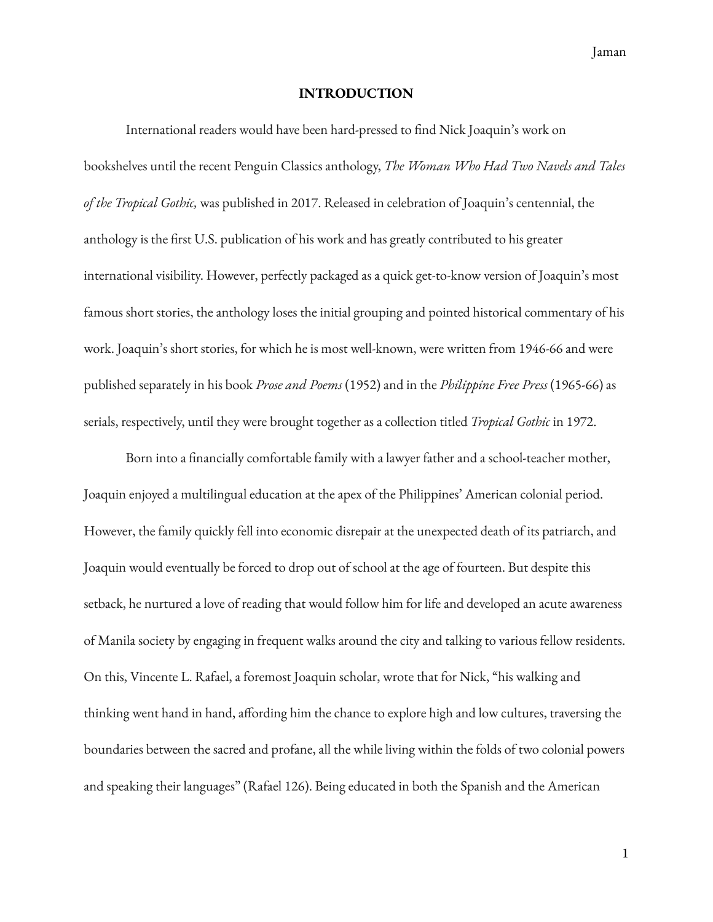Jaman

### **INTRODUCTION**

<span id="page-4-0"></span>International readers would have been hard-pressed to find Nick Joaquin's work on bookshelves until the recent Penguin Classics anthology, *The Woman Who Had Two Navels and Tales of the Tropical Gothic,* was published in 2017. Released in celebration of Joaquin's centennial, the anthology is the first U.S. publication of his work and has greatly contributed to his greater international visibility. However, perfectly packaged as a quick get-to-know version of Joaquin's most famous short stories, the anthology loses the initial grouping and pointed historical commentary of his work. Joaquin's short stories, for which he is most well-known, were written from 1946-66 and were published separately in his book *Prose and Poems* (1952) and in the *Philippine Free Press* (1965-66) as serials, respectively, until they were brought together as a collection titled *Tropical Gothic* in 1972.

Born into a financially comfortable family with a lawyer father and a school-teacher mother, Joaquin enjoyed a multilingual education at the apex of the Philippines' American colonial period. However, the family quickly fell into economic disrepair at the unexpected death of its patriarch, and Joaquin would eventually be forced to drop out of school at the age of fourteen. But despite this setback, he nurtured a love of reading that would follow him for life and developed an acute awareness of Manila society by engaging in frequent walks around the city and talking to various fellow residents. On this, Vincente L. Rafael, a foremost Joaquin scholar, wrote that for Nick, "his walking and thinking went hand in hand, affording him the chance to explore high and low cultures, traversing the boundaries between the sacred and profane, all the while living within the folds of two colonial powers and speaking their languages" (Rafael 126). Being educated in both the Spanish and the American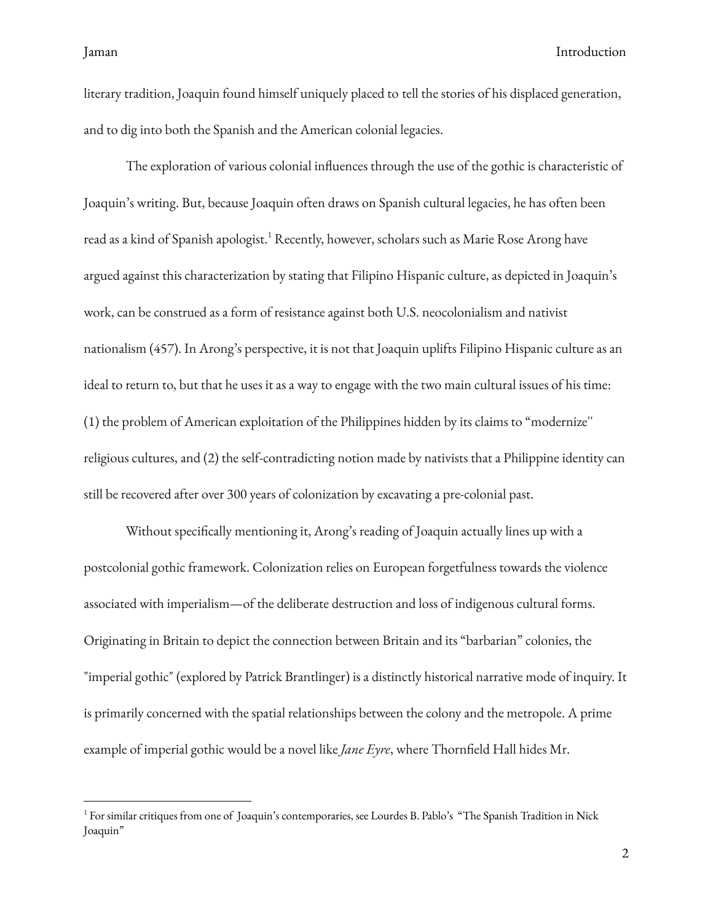literary tradition, Joaquin found himself uniquely placed to tell the stories of his displaced generation, and to dig into both the Spanish and the American colonial legacies.

The exploration of various colonial influences through the use of the gothic is characteristic of Joaquin's writing. But, because Joaquin often draws on Spanish cultural legacies, he has often been read as a kind of Spanish apologist. <sup>1</sup> Recently, however, scholars such as Marie Rose Arong have argued against this characterization by stating that Filipino Hispanic culture, as depicted in Joaquin's work, can be construed as a form of resistance against both U.S. neocolonialism and nativist nationalism (457). In Arong's perspective, it is not that Joaquin uplifts Filipino Hispanic culture as an ideal to return to, but that he uses it as a way to engage with the two main cultural issues of his time: (1) the problem of American exploitation of the Philippines hidden by its claims to "modernize'' religious cultures, and (2) the self-contradicting notion made by nativists that a Philippine identity can still be recovered after over 300 years of colonization by excavating a pre-colonial past.

Without specifically mentioning it, Arong's reading of Joaquin actually lines up with a postcolonial gothic framework. Colonization relies on European forgetfulness towards the violence associated with imperialism—of the deliberate destruction and loss of indigenous cultural forms. Originating in Britain to depict the connection between Britain and its "barbarian" colonies, the "imperial gothic" (explored by Patrick Brantlinger) is a distinctly historical narrative mode of inquiry. It is primarily concerned with the spatial relationships between the colony and the metropole. A prime example of imperial gothic would be a novel like *Jane Eyre*, where Thornfield Hall hides Mr.

<sup>1</sup> For similar critiques from one of Joaquin's contemporaries, see Lourdes B. Pablo's "The Spanish Tradition in Nick Joaquin"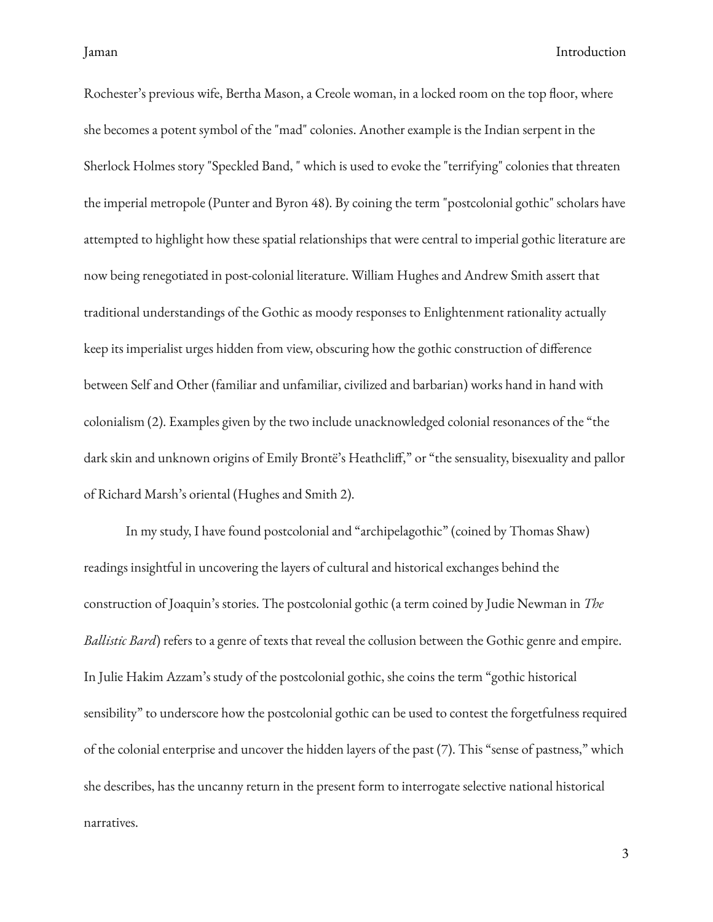Rochester's previous wife, Bertha Mason, a Creole woman, in a locked room on the top floor, where she becomes a potent symbol of the "mad" colonies. Another example is the Indian serpent in the Sherlock Holmes story "Speckled Band, " which is used to evoke the "terrifying" colonies that threaten the imperial metropole (Punter and Byron 48). By coining the term "postcolonial gothic" scholars have attempted to highlight how these spatial relationships that were central to imperial gothic literature are now being renegotiated in post-colonial literature. William Hughes and Andrew Smith assert that traditional understandings of the Gothic as moody responses to Enlightenment rationality actually keep its imperialist urges hidden from view, obscuring how the gothic construction of difference between Self and Other (familiar and unfamiliar, civilized and barbarian) works hand in hand with colonialism (2). Examples given by the two include unacknowledged colonial resonances of the "the dark skin and unknown origins of Emily Brontë's Heathcliff," or "the sensuality, bisexuality and pallor of Richard Marsh's oriental (Hughes and Smith 2).

In my study, I have found postcolonial and "archipelagothic" (coined by Thomas Shaw) readings insightful in uncovering the layers of cultural and historical exchanges behind the construction of Joaquin's stories. The postcolonial gothic (a term coined by Judie Newman in *The Ballistic Bard*) refers to a genre of texts that reveal the collusion between the Gothic genre and empire. In Julie Hakim Azzam's study of the postcolonial gothic, she coins the term "gothic historical sensibility" to underscore how the postcolonial gothic can be used to contest the forgetfulness required of the colonial enterprise and uncover the hidden layers of the past (7). This "sense of pastness," which she describes, has the uncanny return in the present form to interrogate selective national historical narratives.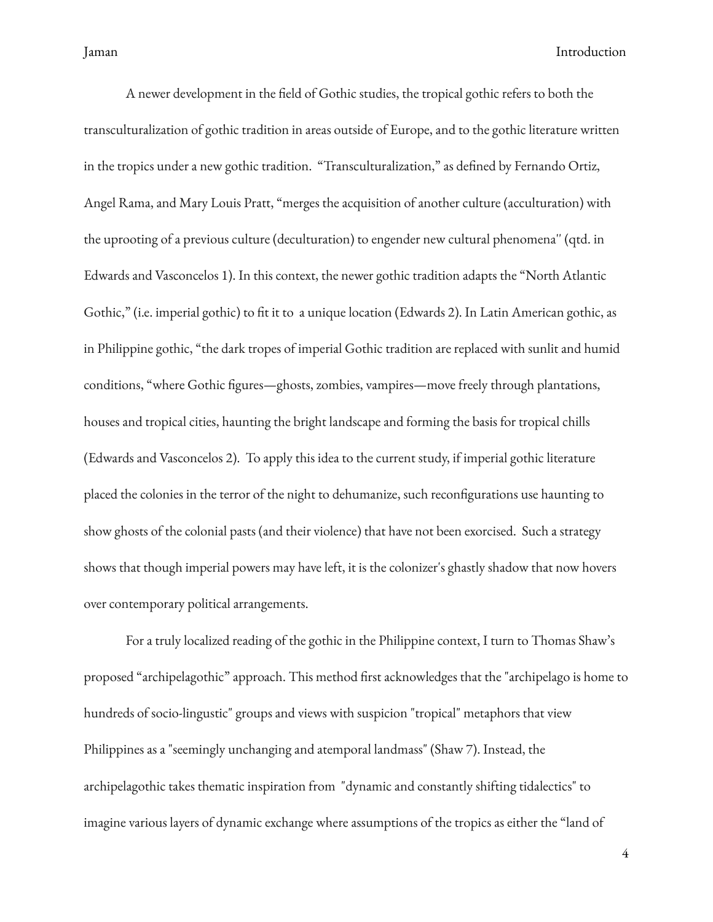A newer development in the field of Gothic studies, the tropical gothic refers to both the transculturalization of gothic tradition in areas outside of Europe, and to the gothic literature written in the tropics under a new gothic tradition. "Transculturalization," as defined by Fernando Ortiz, Angel Rama, and Mary Louis Pratt, "merges the acquisition of another culture (acculturation) with the uprooting of a previous culture (deculturation) to engender new cultural phenomena'' (qtd. in Edwards and Vasconcelos 1). In this context, the newer gothic tradition adapts the "North Atlantic Gothic," (i.e. imperial gothic) to fit it to a unique location (Edwards 2). In Latin American gothic, as in Philippine gothic, "the dark tropes of imperial Gothic tradition are replaced with sunlit and humid conditions, "where Gothic figures—ghosts, zombies, vampires—move freely through plantations, houses and tropical cities, haunting the bright landscape and forming the basis for tropical chills (Edwards and Vasconcelos 2). To apply this idea to the current study, if imperial gothic literature placed the colonies in the terror of the night to dehumanize, such recongurations use haunting to show ghosts of the colonial pasts (and their violence) that have not been exorcised. Such a strategy shows that though imperial powers may have left, it is the colonizer's ghastly shadow that now hovers over contemporary political arrangements.

For a truly localized reading of the gothic in the Philippine context, I turn to Thomas Shaw's proposed "archipelagothic" approach. This method first acknowledges that the "archipelago is home to hundreds of socio-lingustic" groups and views with suspicion "tropical" metaphors that view Philippines as a "seemingly unchanging and atemporal landmass" (Shaw 7). Instead, the archipelagothic takes thematic inspiration from "dynamic and constantly shifting tidalectics" to imagine various layers of dynamic exchange where assumptions of the tropics as either the "land of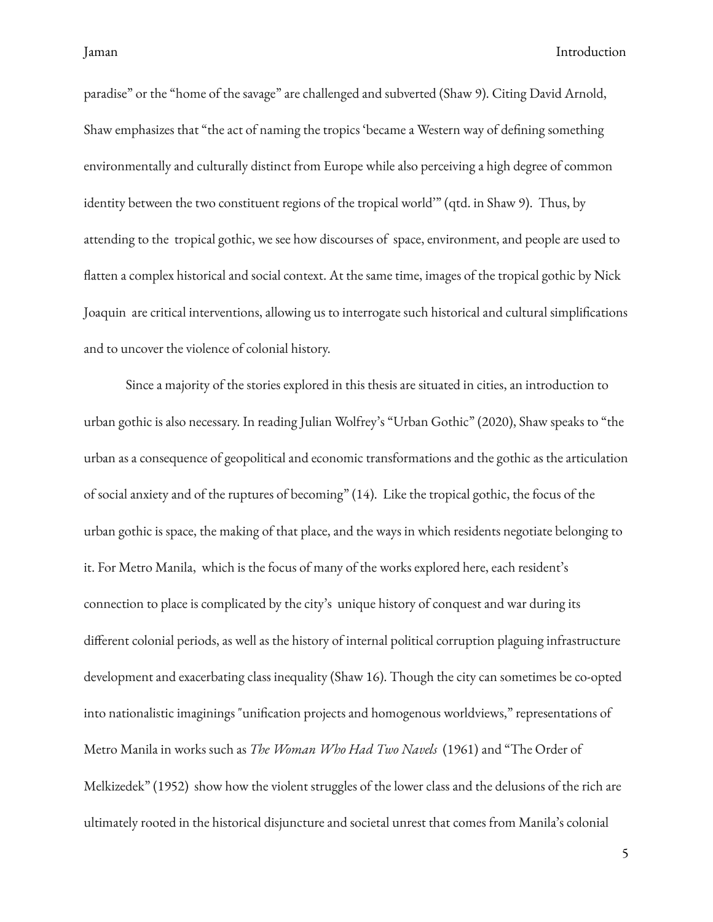paradise" or the "home of the savage" are challenged and subverted (Shaw 9). Citing David Arnold, Shaw emphasizes that "the act of naming the tropics 'became a Western way of defining something environmentally and culturally distinct from Europe while also perceiving a high degree of common identity between the two constituent regions of the tropical world'" (qtd. in Shaw 9). Thus, by attending to the tropical gothic, we see how discourses of space, environment, and people are used to flatten a complex historical and social context. At the same time, images of the tropical gothic by Nick Joaquin are critical interventions, allowing us to interrogate such historical and cultural simplications and to uncover the violence of colonial history.

Since a majority of the stories explored in this thesis are situated in cities, an introduction to urban gothic is also necessary. In reading Julian Wolfrey's "Urban Gothic" (2020), Shaw speaks to "the urban as a consequence of geopolitical and economic transformations and the gothic as the articulation of social anxiety and of the ruptures of becoming" (14). Like the tropical gothic, the focus of the urban gothic is space, the making of that place, and the ways in which residents negotiate belonging to it. For Metro Manila, which is the focus of many of the works explored here, each resident's connection to place is complicated by the city's unique history of conquest and war during its different colonial periods, as well as the history of internal political corruption plaguing infrastructure development and exacerbating class inequality (Shaw 16). Though the city can sometimes be co-opted into nationalistic imaginings "unification projects and homogenous worldviews," representations of Metro Manila in works such as *The Woman Who Had Two Navels* (1961) and "The Order of Melkizedek" (1952) show how the violent struggles of the lower class and the delusions of the rich are ultimately rooted in the historical disjuncture and societal unrest that comes from Manila's colonial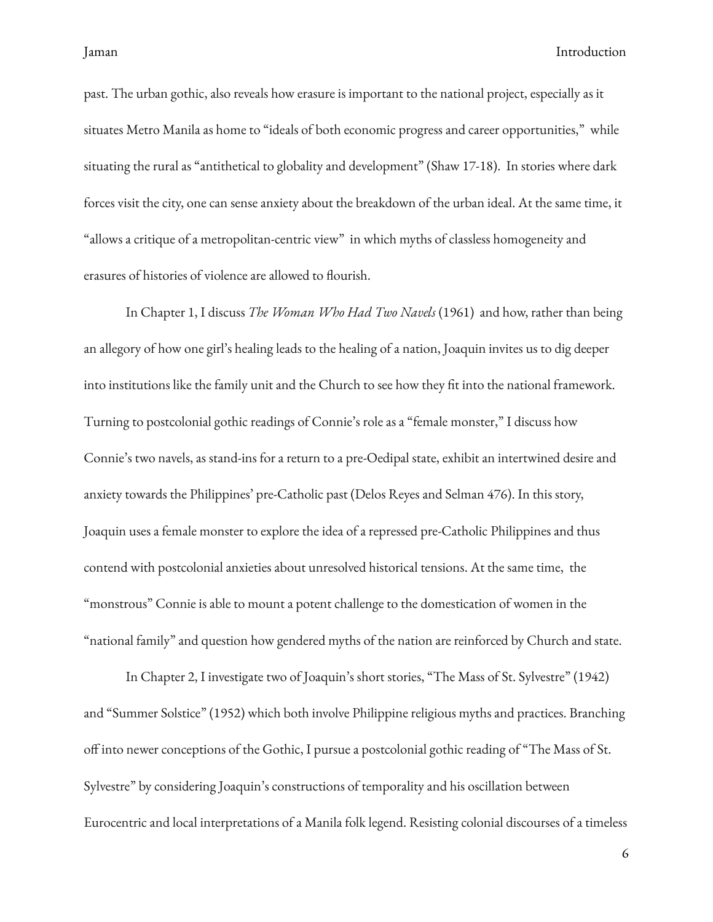past. The urban gothic, also reveals how erasure is important to the national project, especially as it situates Metro Manila as home to "ideals of both economic progress and career opportunities," while situating the rural as "antithetical to globality and development" (Shaw 17-18). In stories where dark forces visit the city, one can sense anxiety about the breakdown of the urban ideal. At the same time, it "allows a critique of a metropolitan-centric view" in which myths of classless homogeneity and erasures of histories of violence are allowed to flourish.

In Chapter 1, I discuss *The Woman Who Had Two Navels* (1961) and how, rather than being an allegory of how one girl's healing leads to the healing of a nation, Joaquin invites us to dig deeper into institutions like the family unit and the Church to see how they fit into the national framework. Turning to postcolonial gothic readings of Connie's role as a "female monster," I discuss how Connie's two navels, as stand-ins for a return to a pre-Oedipal state, exhibit an intertwined desire and anxiety towards the Philippines' pre-Catholic past (Delos Reyes and Selman 476). In this story, Joaquin uses a female monster to explore the idea of a repressed pre-Catholic Philippines and thus contend with postcolonial anxieties about unresolved historical tensions. At the same time, the "monstrous" Connie is able to mount a potent challenge to the domestication of women in the "national family" and question how gendered myths of the nation are reinforced by Church and state.

In Chapter 2, I investigate two of Joaquin's short stories, "The Mass of St. Sylvestre" (1942) and "Summer Solstice" (1952) which both involve Philippine religious myths and practices. Branching off into newer conceptions of the Gothic, I pursue a postcolonial gothic reading of "The Mass of St. Sylvestre" by considering Joaquin's constructions of temporality and his oscillation between Eurocentric and local interpretations of a Manila folk legend. Resisting colonial discourses of a timeless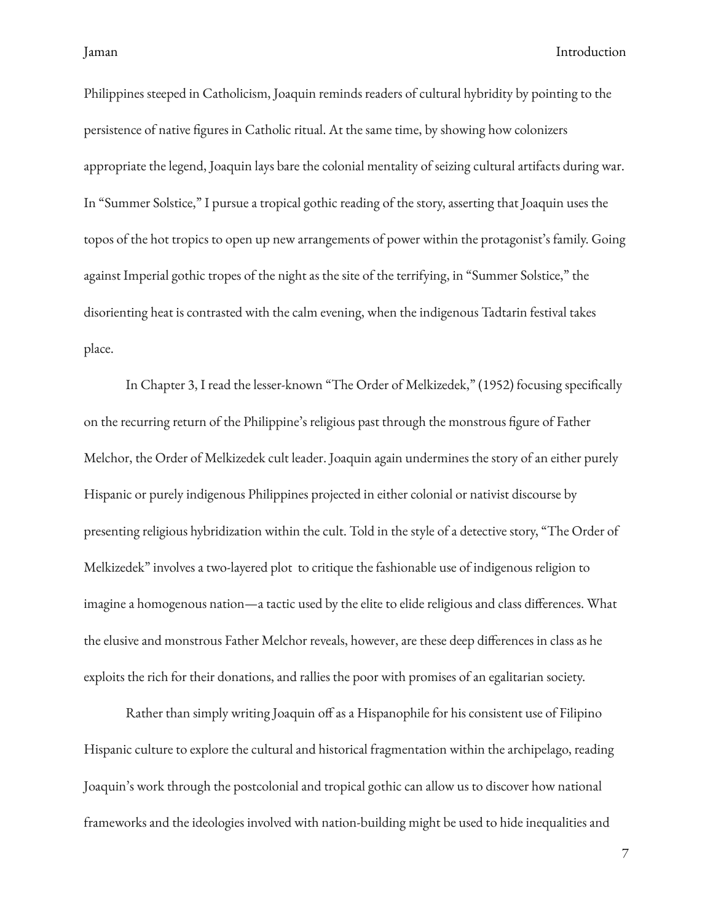Philippines steeped in Catholicism, Joaquin reminds readers of cultural hybridity by pointing to the persistence of native figures in Catholic ritual. At the same time, by showing how colonizers appropriate the legend, Joaquin lays bare the colonial mentality of seizing cultural artifacts during war. In "Summer Solstice," I pursue a tropical gothic reading of the story, asserting that Joaquin uses the topos of the hot tropics to open up new arrangements of power within the protagonist's family. Going against Imperial gothic tropes of the night as the site of the terrifying, in "Summer Solstice," the disorienting heat is contrasted with the calm evening, when the indigenous Tadtarin festival takes place.

In Chapter 3, I read the lesser-known "The Order of Melkizedek," (1952) focusing specifically on the recurring return of the Philippine's religious past through the monstrous figure of Father Melchor, the Order of Melkizedek cult leader. Joaquin again undermines the story of an either purely Hispanic or purely indigenous Philippines projected in either colonial or nativist discourse by presenting religious hybridization within the cult. Told in the style of a detective story, "The Order of Melkizedek" involves a two-layered plot to critique the fashionable use of indigenous religion to imagine a homogenous nation—a tactic used by the elite to elide religious and class differences. What the elusive and monstrous Father Melchor reveals, however, are these deep differences in class as he exploits the rich for their donations, and rallies the poor with promises of an egalitarian society.

Rather than simply writing Joaquin off as a Hispanophile for his consistent use of Filipino Hispanic culture to explore the cultural and historical fragmentation within the archipelago, reading Joaquin's work through the postcolonial and tropical gothic can allow us to discover how national frameworks and the ideologies involved with nation-building might be used to hide inequalities and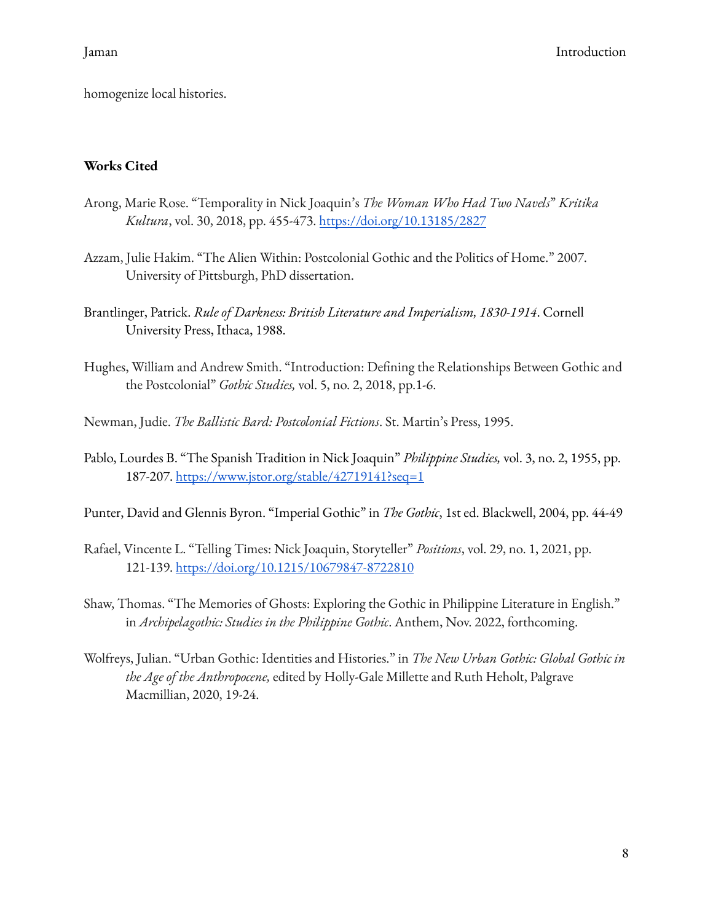homogenize local histories.

## <span id="page-11-0"></span>**Works Cited**

- Arong, Marie Rose. "Temporality in Nick Joaquin's *The Woman Who Had Two Navels*" *Kritika Kultura*, vol. 30, 2018, pp. 455-473. <https://doi.org/10.13185/2827>
- Azzam, Julie Hakim. "The Alien Within: Postcolonial Gothic and the Politics of Home." 2007. University of Pittsburgh, PhD dissertation.
- Brantlinger, Patrick. *Rule of Darkness: British Literature and Imperialism, 1830-1914*. Cornell University Press, Ithaca, 1988.
- Hughes, William and Andrew Smith. "Introduction: Defining the Relationships Between Gothic and the Postcolonial" *Gothic Studies,* vol. 5, no. 2, 2018, pp.1-6.
- Newman, Judie. *The Ballistic Bard: Postcolonial Fictions*. St. Martin's Press, 1995.
- Pablo, Lourdes B. "The Spanish Tradition in Nick Joaquin" *Philippine Studies,* vol. 3, no. 2, 1955, pp. 187-207. <https://www.jstor.org/stable/42719141?seq=1>
- Punter, David and Glennis Byron. "Imperial Gothic" in *The Gothic*, 1st ed. Blackwell, 2004, pp. 44-49
- Rafael, Vincente L. "Telling Times: Nick Joaquin, Storyteller" *Positions*, vol. 29, no. 1, 2021, pp. 121-139. <https://doi.org/10.1215/10679847-8722810>
- Shaw, Thomas. "The Memories of Ghosts: Exploring the Gothic in Philippine Literature in English." in *Archipelagothic: Studies in the Philippine Gothic*. Anthem, Nov. 2022, forthcoming.
- Wolfreys, Julian. "Urban Gothic: Identities and Histories." in *The New Urban Gothic: Global Gothic in the Age of the Anthropocene,* edited by Holly-Gale Millette and Ruth Heholt, Palgrave Macmillian, 2020, 19-24.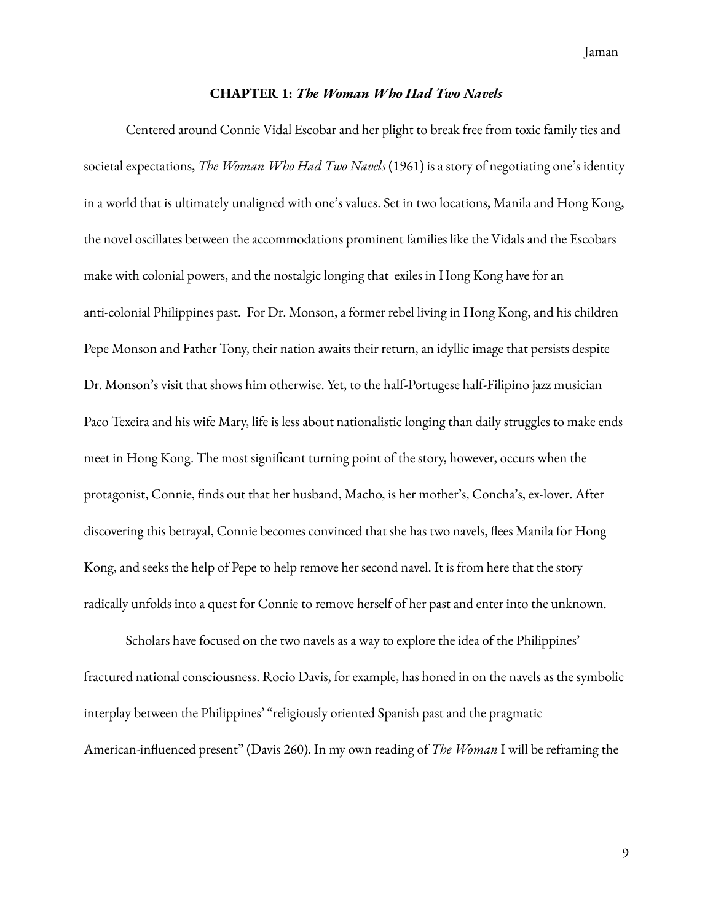Jaman

#### **CHAPTER 1:** *The Woman Who Had Two Navels*

<span id="page-12-0"></span>Centered around Connie Vidal Escobar and her plight to break free from toxic family ties and societal expectations, *The Woman Who Had Two Navels* (1961) is a story of negotiating one's identity in a world that is ultimately unaligned with one's values. Set in two locations, Manila and Hong Kong, the novel oscillates between the accommodations prominent families like the Vidals and the Escobars make with colonial powers, and the nostalgic longing that exiles in Hong Kong have for an anti-colonial Philippines past. For Dr. Monson, a former rebel living in Hong Kong, and his children Pepe Monson and Father Tony, their nation awaits their return, an idyllic image that persists despite Dr. Monson's visit that shows him otherwise. Yet, to the half-Portugese half-Filipino jazz musician Paco Texeira and his wife Mary, life is less about nationalistic longing than daily struggles to make ends meet in Hong Kong. The most significant turning point of the story, however, occurs when the protagonist, Connie, finds out that her husband, Macho, is her mother's, Concha's, ex-lover. After discovering this betrayal, Connie becomes convinced that she has two navels, flees Manila for Hong Kong, and seeks the help of Pepe to help remove her second navel. It is from here that the story radically unfolds into a quest for Connie to remove herself of her past and enter into the unknown.

Scholars have focused on the two navels as a way to explore the idea of the Philippines' fractured national consciousness. Rocio Davis, for example, has honed in on the navels as the symbolic interplay between the Philippines' "religiously oriented Spanish past and the pragmatic American-influenced present" (Davis 260). In my own reading of *The Woman* I will be reframing the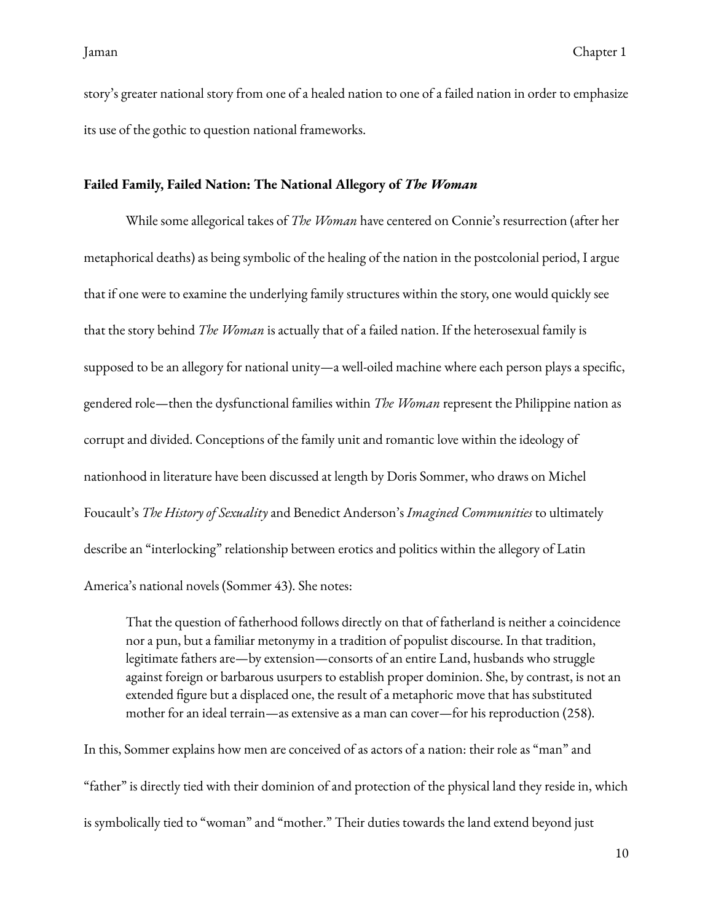story's greater national story from one of a healed nation to one of a failed nation in order to emphasize its use of the gothic to question national frameworks.

#### <span id="page-13-0"></span>**Failed Family, Failed Nation: The National Allegory of** *The Woman*

While some allegorical takes of *The Woman* have centered on Connie's resurrection (after her metaphorical deaths) as being symbolic of the healing of the nation in the postcolonial period, I argue that if one were to examine the underlying family structures within the story, one would quickly see that the story behind *The Woman* is actually that of a failed nation. If the heterosexual family is supposed to be an allegory for national unity—a well-oiled machine where each person plays a specific, gendered role—then the dysfunctional families within *The Woman* represent the Philippine nation as corrupt and divided. Conceptions of the family unit and romantic love within the ideology of nationhood in literature have been discussed at length by Doris Sommer, who draws on Michel Foucault's *The History of Sexuality* and Benedict Anderson's *Imagined Communities* to ultimately describe an "interlocking" relationship between erotics and politics within the allegory of Latin America's national novels (Sommer 43). She notes:

That the question of fatherhood follows directly on that of fatherland is neither a coincidence nor a pun, but a familiar metonymy in a tradition of populist discourse. In that tradition, legitimate fathers are—by extension—consorts of an entire Land, husbands who struggle against foreign or barbarous usurpers to establish proper dominion. She, by contrast, is not an extended figure but a displaced one, the result of a metaphoric move that has substituted mother for an ideal terrain—as extensive as a man can cover—for his reproduction (258).

In this, Sommer explains how men are conceived of as actors of a nation: their role as "man" and "father" is directly tied with their dominion of and protection of the physical land they reside in, which is symbolically tied to "woman" and "mother." Their duties towards the land extend beyond just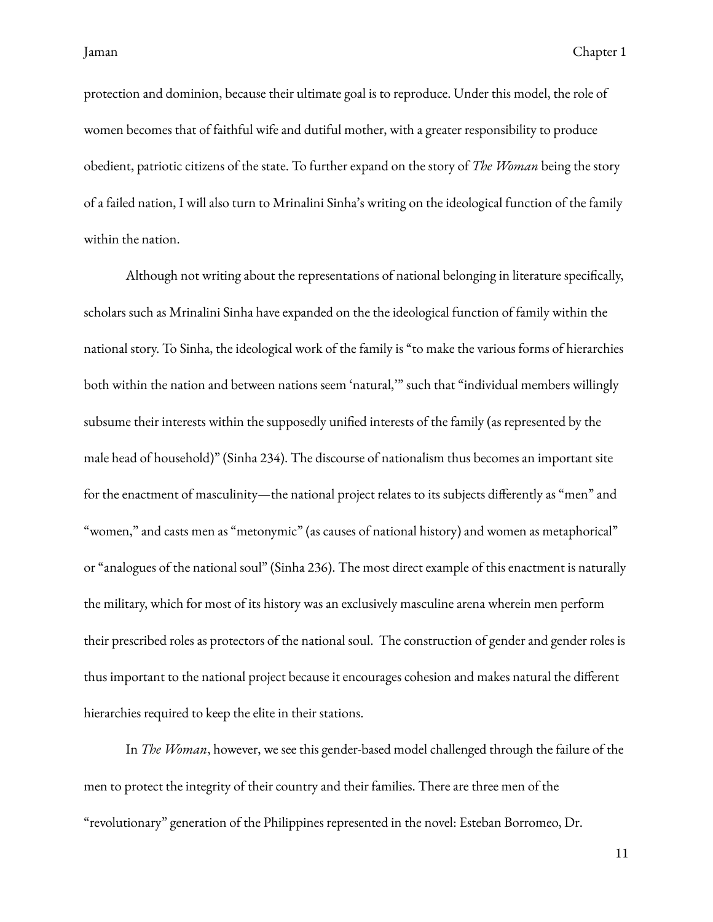protection and dominion, because their ultimate goal is to reproduce. Under this model, the role of women becomes that of faithful wife and dutiful mother, with a greater responsibility to produce obedient, patriotic citizens of the state. To further expand on the story of *The Woman* being the story of a failed nation, I will also turn to Mrinalini Sinha's writing on the ideological function of the family within the nation.

Although not writing about the representations of national belonging in literature specifically, scholars such as Mrinalini Sinha have expanded on the the ideological function of family within the national story. To Sinha, the ideological work of the family is "to make the various forms of hierarchies both within the nation and between nations seem 'natural,'" such that "individual members willingly subsume their interests within the supposedly unified interests of the family (as represented by the male head of household)" (Sinha 234). The discourse of nationalism thus becomes an important site for the enactment of masculinity—the national project relates to its subjects differently as "men" and "women," and casts men as "metonymic" (as causes of national history) and women as metaphorical" or "analogues of the national soul" (Sinha 236). The most direct example of this enactment is naturally the military, which for most of its history was an exclusively masculine arena wherein men perform their prescribed roles as protectors of the national soul. The construction of gender and gender roles is thus important to the national project because it encourages cohesion and makes natural the different hierarchies required to keep the elite in their stations.

In *The Woman*, however, we see this gender-based model challenged through the failure of the men to protect the integrity of their country and their families. There are three men of the "revolutionary" generation of the Philippines represented in the novel: Esteban Borromeo, Dr.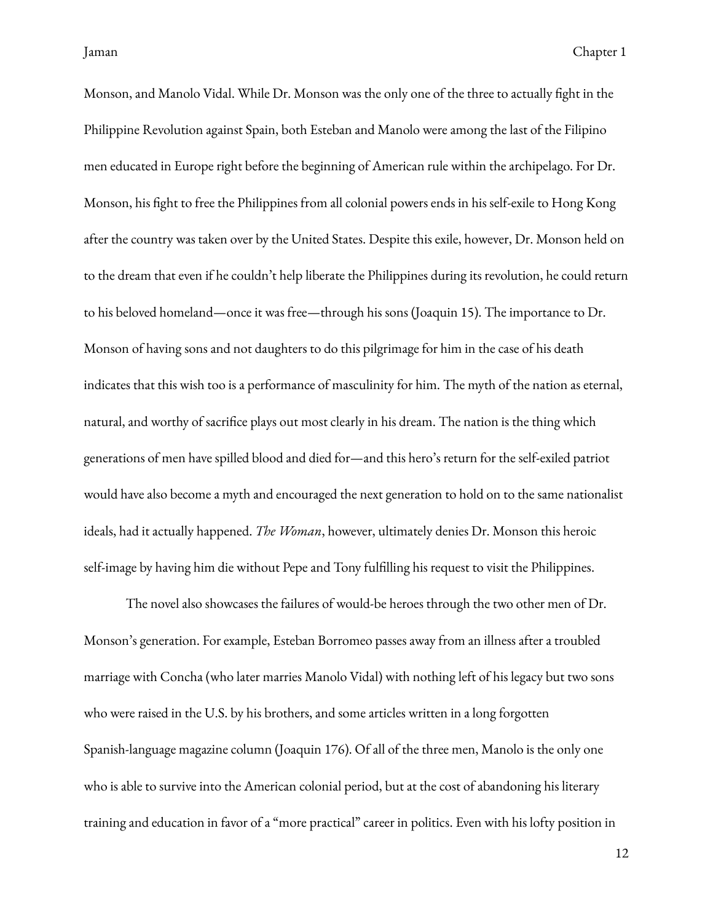Monson, and Manolo Vidal. While Dr. Monson was the only one of the three to actually fight in the Philippine Revolution against Spain, both Esteban and Manolo were among the last of the Filipino men educated in Europe right before the beginning of American rule within the archipelago. For Dr. Monson, his ght to free the Philippines from all colonial powers ends in his self-exile to Hong Kong after the country was taken over by the United States. Despite this exile, however, Dr. Monson held on to the dream that even if he couldn't help liberate the Philippines during its revolution, he could return to his beloved homeland—once it was free—through his sons (Joaquin 15). The importance to Dr. Monson of having sons and not daughters to do this pilgrimage for him in the case of his death indicates that this wish too is a performance of masculinity for him. The myth of the nation as eternal, natural, and worthy of sacrifice plays out most clearly in his dream. The nation is the thing which generations of men have spilled blood and died for—and this hero's return for the self-exiled patriot would have also become a myth and encouraged the next generation to hold on to the same nationalist ideals, had it actually happened. *The Woman*, however, ultimately denies Dr. Monson this heroic self-image by having him die without Pepe and Tony fullling his request to visit the Philippines.

The novel also showcases the failures of would-be heroes through the two other men of Dr. Monson's generation. For example, Esteban Borromeo passes away from an illness after a troubled marriage with Concha (who later marries Manolo Vidal) with nothing left of his legacy but two sons who were raised in the U.S. by his brothers, and some articles written in a long forgotten Spanish-language magazine column (Joaquin 176). Of all of the three men, Manolo is the only one who is able to survive into the American colonial period, but at the cost of abandoning his literary training and education in favor of a "more practical" career in politics. Even with his lofty position in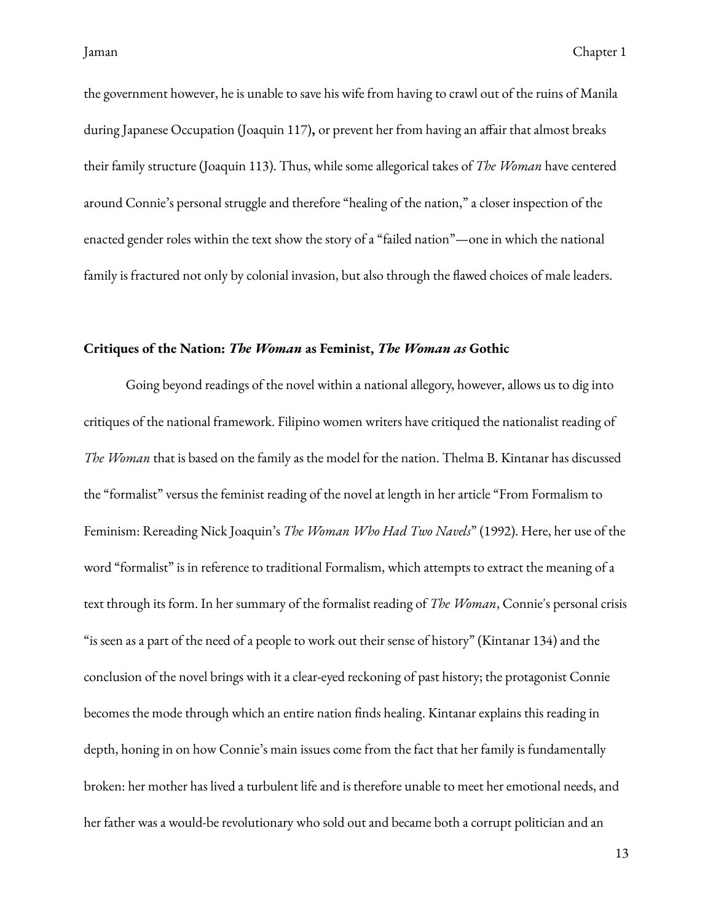the government however, he is unable to save his wife from having to crawl out of the ruins of Manila during Japanese Occupation (Joaquin 117), or prevent her from having an affair that almost breaks their family structure (Joaquin 113). Thus, while some allegorical takes of *The Woman* have centered around Connie's personal struggle and therefore "healing of the nation," a closer inspection of the enacted gender roles within the text show the story of a "failed nation"—one in which the national family is fractured not only by colonial invasion, but also through the flawed choices of male leaders.

### <span id="page-16-0"></span>**Critiques of the Nation:** *The Woman* **as Feminist,** *The Woman as* **Gothic**

Going beyond readings of the novel within a national allegory, however, allows us to dig into critiques of the national framework. Filipino women writers have critiqued the nationalist reading of *The Woman* that is based on the family as the model for the nation. Thelma B. Kintanar has discussed the "formalist" versus the feminist reading of the novel at length in her article "From Formalism to Feminism: Rereading Nick Joaquin's *The Woman Who Had Two Navels*" (1992). Here, her use of the word "formalist" is in reference to traditional Formalism, which attempts to extract the meaning of a text through its form. In her summary of the formalist reading of *The Woman*, Connie's personal crisis "is seen as a part of the need of a people to work out their sense of history" (Kintanar 134) and the conclusion of the novel brings with it a clear-eyed reckoning of past history; the protagonist Connie becomes the mode through which an entire nation finds healing. Kintanar explains this reading in depth, honing in on how Connie's main issues come from the fact that her family is fundamentally broken: her mother has lived a turbulent life and is therefore unable to meet her emotional needs, and her father was a would-be revolutionary who sold out and became both a corrupt politician and an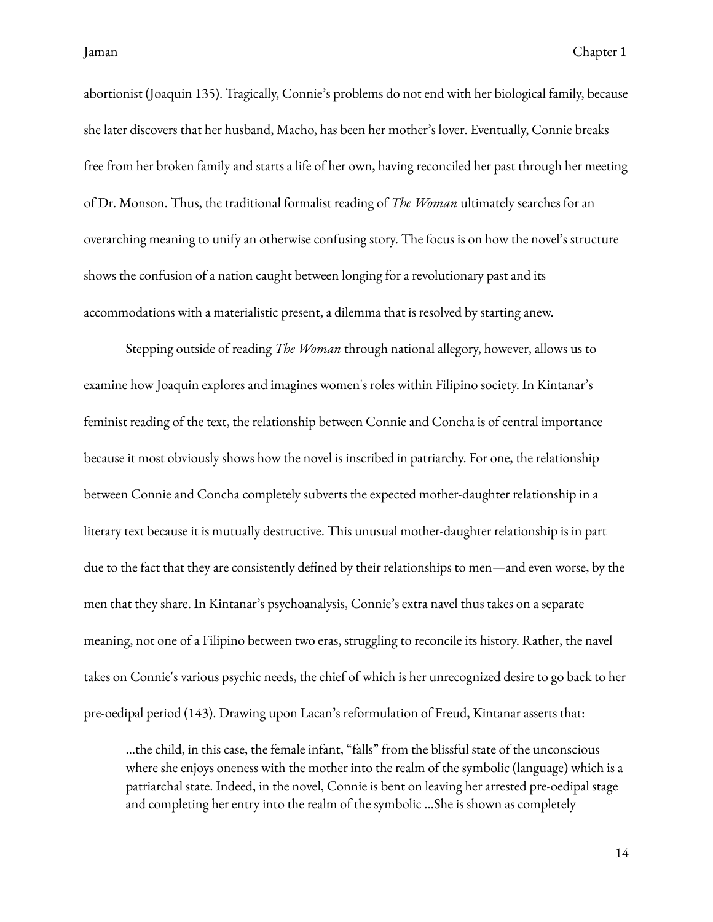abortionist (Joaquin 135). Tragically, Connie's problems do not end with her biological family, because she later discovers that her husband, Macho, has been her mother's lover. Eventually, Connie breaks free from her broken family and starts a life of her own, having reconciled her past through her meeting of Dr. Monson. Thus, the traditional formalist reading of *The Woman* ultimately searches for an overarching meaning to unify an otherwise confusing story. The focus is on how the novel's structure shows the confusion of a nation caught between longing for a revolutionary past and its accommodations with a materialistic present, a dilemma that is resolved by starting anew.

Stepping outside of reading *The Woman* through national allegory, however, allows us to examine how Joaquin explores and imagines women's roles within Filipino society. In Kintanar's feminist reading of the text, the relationship between Connie and Concha is of central importance because it most obviously shows how the novel is inscribed in patriarchy. For one, the relationship between Connie and Concha completely subverts the expected mother-daughter relationship in a literary text because it is mutually destructive. This unusual mother-daughter relationship is in part due to the fact that they are consistently defined by their relationships to men—and even worse, by the men that they share. In Kintanar's psychoanalysis, Connie's extra navel thus takes on a separate meaning, not one of a Filipino between two eras, struggling to reconcile its history. Rather, the navel takes on Connie's various psychic needs, the chief of which is her unrecognized desire to go back to her pre-oedipal period (143). Drawing upon Lacan's reformulation of Freud, Kintanar asserts that:

…the child, in this case, the female infant, "falls" from the blissful state of the unconscious where she enjoys oneness with the mother into the realm of the symbolic (language) which is a patriarchal state. Indeed, in the novel, Connie is bent on leaving her arrested pre-oedipal stage and completing her entry into the realm of the symbolic …She is shown as completely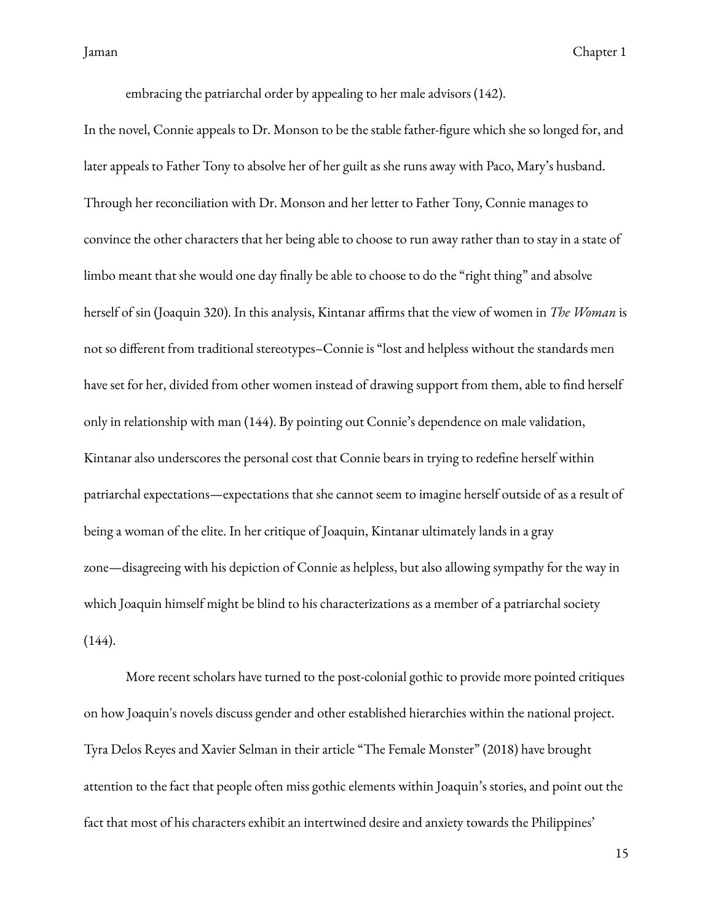embracing the patriarchal order by appealing to her male advisors (142).

In the novel, Connie appeals to Dr. Monson to be the stable father-figure which she so longed for, and later appeals to Father Tony to absolve her of her guilt as she runs away with Paco, Mary's husband. Through her reconciliation with Dr. Monson and her letter to Father Tony, Connie manages to convince the other characters that her being able to choose to run away rather than to stay in a state of limbo meant that she would one day finally be able to choose to do the "right thing" and absolve herself of sin (Joaquin 320). In this analysis, Kintanar affirms that the view of women in *The Woman* is not so different from traditional stereotypes–Connie is "lost and helpless without the standards men have set for her, divided from other women instead of drawing support from them, able to find herself only in relationship with man (144). By pointing out Connie's dependence on male validation, Kintanar also underscores the personal cost that Connie bears in trying to redefine herself within patriarchal expectations—expectations that she cannot seem to imagine herself outside of as a result of being a woman of the elite. In her critique of Joaquin, Kintanar ultimately lands in a gray zone—disagreeing with his depiction of Connie as helpless, but also allowing sympathy for the way in which Joaquin himself might be blind to his characterizations as a member of a patriarchal society  $(144)$ .

More recent scholars have turned to the post-colonial gothic to provide more pointed critiques on how Joaquin's novels discuss gender and other established hierarchies within the national project. Tyra Delos Reyes and Xavier Selman in their article "The Female Monster" (2018) have brought attention to the fact that people often miss gothic elements within Joaquin's stories, and point out the fact that most of his characters exhibit an intertwined desire and anxiety towards the Philippines'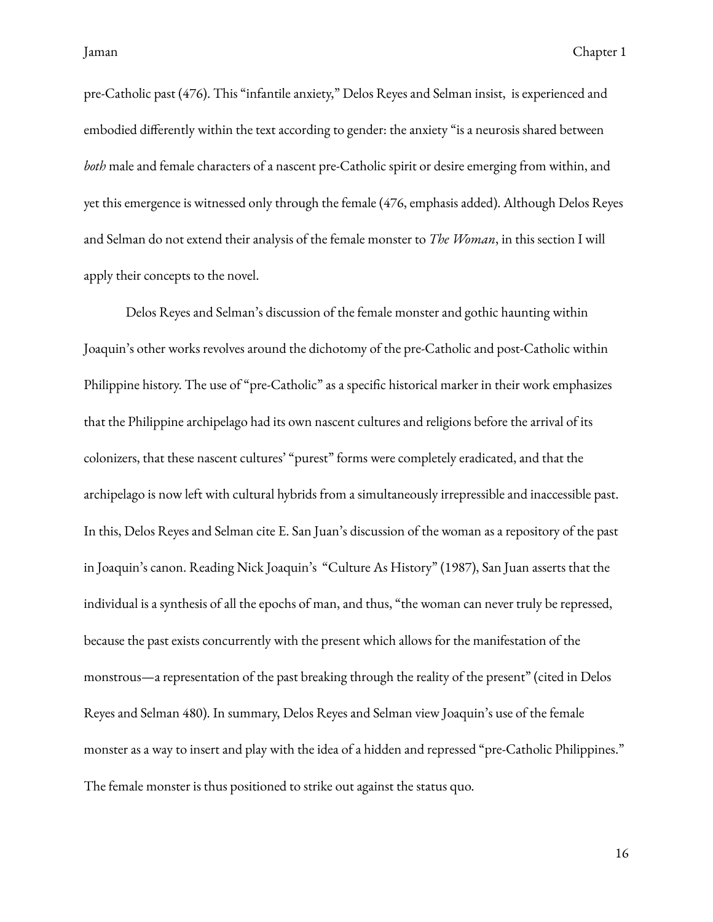pre-Catholic past (476). This "infantile anxiety," Delos Reyes and Selman insist, is experienced and embodied differently within the text according to gender: the anxiety "is a neurosis shared between *both* male and female characters of a nascent pre-Catholic spirit or desire emerging from within, and yet this emergence is witnessed only through the female (476, emphasis added). Although Delos Reyes and Selman do not extend their analysis of the female monster to *The Woman*, in this section I will apply their concepts to the novel.

Delos Reyes and Selman's discussion of the female monster and gothic haunting within Joaquin's other works revolves around the dichotomy of the pre-Catholic and post-Catholic within Philippine history. The use of "pre-Catholic" as a specific historical marker in their work emphasizes that the Philippine archipelago had its own nascent cultures and religions before the arrival of its colonizers, that these nascent cultures' "purest" forms were completely eradicated, and that the archipelago is now left with cultural hybrids from a simultaneously irrepressible and inaccessible past. In this, Delos Reyes and Selman cite E. San Juan's discussion of the woman as a repository of the past in Joaquin's canon. Reading Nick Joaquin's "Culture As History" (1987), San Juan asserts that the individual is a synthesis of all the epochs of man, and thus, "the woman can never truly be repressed, because the past exists concurrently with the present which allows for the manifestation of the monstrous—a representation of the past breaking through the reality of the present" (cited in Delos Reyes and Selman 480). In summary, Delos Reyes and Selman view Joaquin's use of the female monster as a way to insert and play with the idea of a hidden and repressed "pre-Catholic Philippines." The female monster is thus positioned to strike out against the status quo.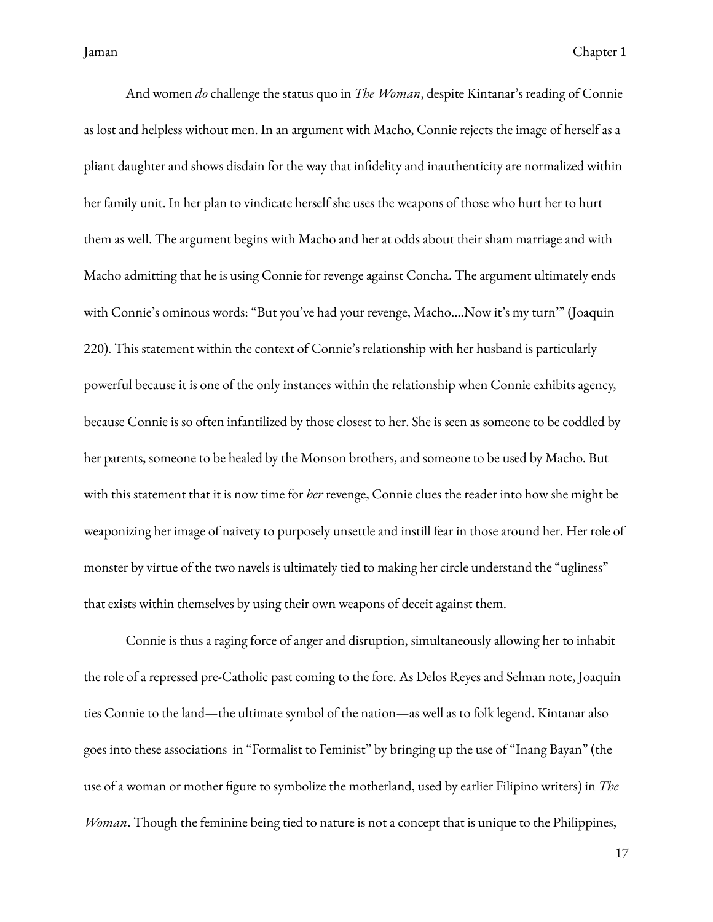And women *do* challenge the status quo in *The Woman*, despite Kintanar's reading of Connie as lost and helpless without men. In an argument with Macho, Connie rejects the image of herself as a pliant daughter and shows disdain for the way that indelity and inauthenticity are normalized within her family unit. In her plan to vindicate herself she uses the weapons of those who hurt her to hurt them as well. The argument begins with Macho and her at odds about their sham marriage and with Macho admitting that he is using Connie for revenge against Concha. The argument ultimately ends with Connie's ominous words: "But you've had your revenge, Macho….Now it's my turn'" (Joaquin 220). This statement within the context of Connie's relationship with her husband is particularly powerful because it is one of the only instances within the relationship when Connie exhibits agency, because Connie is so often infantilized by those closest to her. She is seen as someone to be coddled by her parents, someone to be healed by the Monson brothers, and someone to be used by Macho. But with this statement that it is now time for *her* revenge, Connie clues the reader into how she might be weaponizing her image of naivety to purposely unsettle and instill fear in those around her. Her role of monster by virtue of the two navels is ultimately tied to making her circle understand the "ugliness" that exists within themselves by using their own weapons of deceit against them.

Connie is thus a raging force of anger and disruption, simultaneously allowing her to inhabit the role of a repressed pre-Catholic past coming to the fore. As Delos Reyes and Selman note, Joaquin ties Connie to the land—the ultimate symbol of the nation—as well as to folk legend. Kintanar also goes into these associations in "Formalist to Feminist" by bringing up the use of "Inang Bayan" (the use of a woman or mother figure to symbolize the motherland, used by earlier Filipino writers) in *The Woman*. Though the feminine being tied to nature is not a concept that is unique to the Philippines,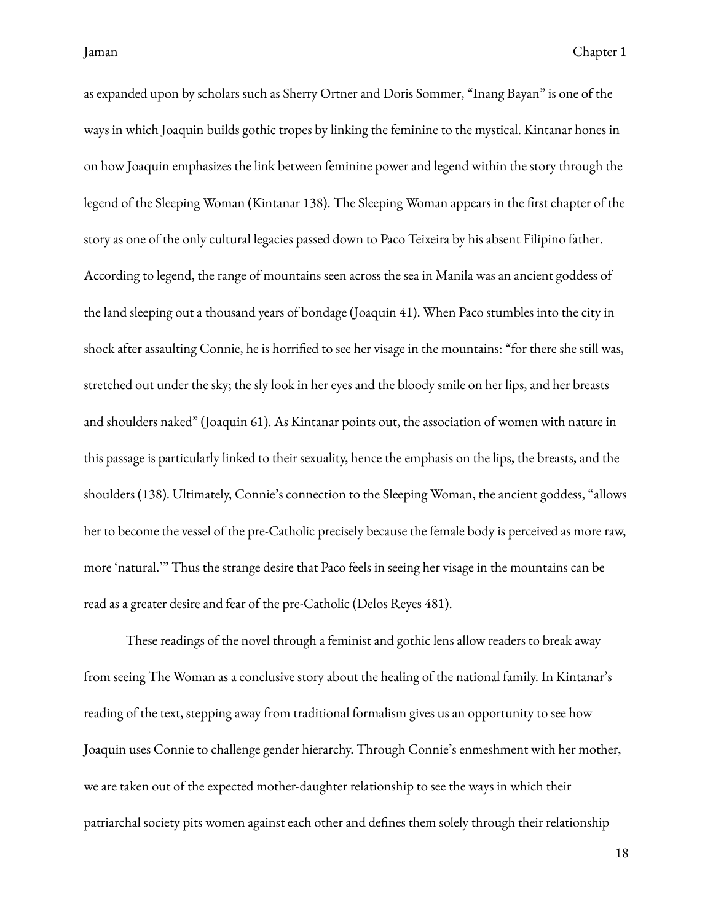as expanded upon by scholars such as Sherry Ortner and Doris Sommer, "Inang Bayan" is one of the ways in which Joaquin builds gothic tropes by linking the feminine to the mystical. Kintanar hones in on how Joaquin emphasizes the link between feminine power and legend within the story through the legend of the Sleeping Woman (Kintanar 138). The Sleeping Woman appears in the first chapter of the story as one of the only cultural legacies passed down to Paco Teixeira by his absent Filipino father. According to legend, the range of mountains seen across the sea in Manila was an ancient goddess of the land sleeping out a thousand years of bondage (Joaquin 41). When Paco stumbles into the city in shock after assaulting Connie, he is horrified to see her visage in the mountains: "for there she still was, stretched out under the sky; the sly look in her eyes and the bloody smile on her lips, and her breasts and shoulders naked" (Joaquin 61). As Kintanar points out, the association of women with nature in this passage is particularly linked to their sexuality, hence the emphasis on the lips, the breasts, and the shoulders (138). Ultimately, Connie's connection to the Sleeping Woman, the ancient goddess, "allows her to become the vessel of the pre-Catholic precisely because the female body is perceived as more raw, more 'natural.'" Thus the strange desire that Paco feels in seeing her visage in the mountains can be read as a greater desire and fear of the pre-Catholic (Delos Reyes 481).

These readings of the novel through a feminist and gothic lens allow readers to break away from seeing The Woman as a conclusive story about the healing of the national family. In Kintanar's reading of the text, stepping away from traditional formalism gives us an opportunity to see how Joaquin uses Connie to challenge gender hierarchy. Through Connie's enmeshment with her mother, we are taken out of the expected mother-daughter relationship to see the ways in which their patriarchal society pits women against each other and defines them solely through their relationship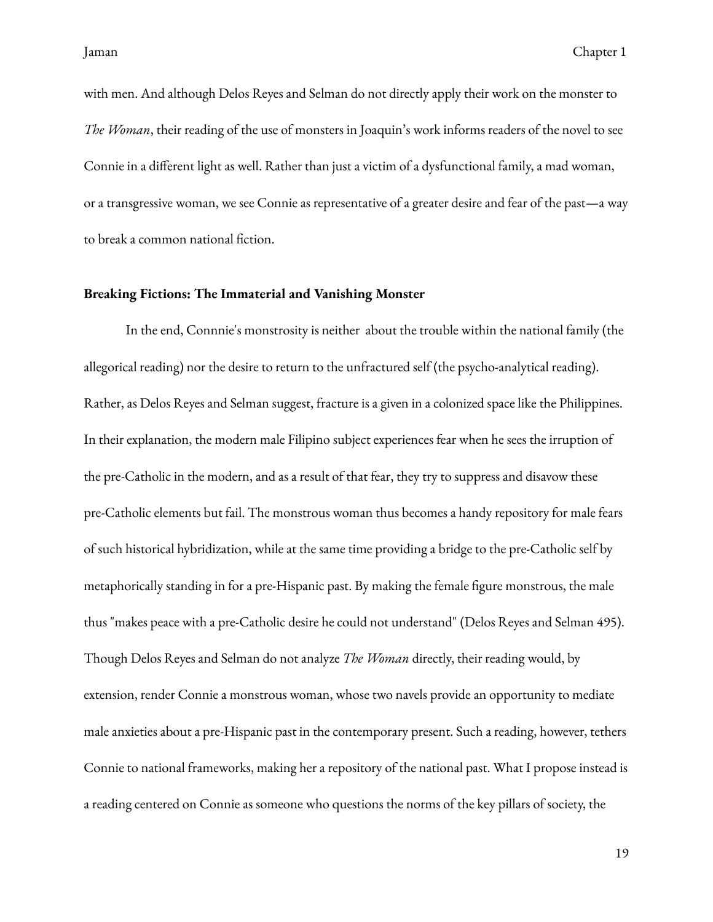with men. And although Delos Reyes and Selman do not directly apply their work on the monster to *The Woman*, their reading of the use of monsters in Joaquin's work informs readers of the novel to see Connie in a different light as well. Rather than just a victim of a dysfunctional family, a mad woman, or a transgressive woman, we see Connie as representative of a greater desire and fear of the past—a way to break a common national fiction.

#### <span id="page-22-0"></span>**Breaking Fictions: The Immaterial and Vanishing Monster**

In the end, Connnie's monstrosity is neither about the trouble within the national family (the allegorical reading) nor the desire to return to the unfractured self (the psycho-analytical reading). Rather, as Delos Reyes and Selman suggest, fracture is a given in a colonized space like the Philippines. In their explanation, the modern male Filipino subject experiences fear when he sees the irruption of the pre-Catholic in the modern, and as a result of that fear, they try to suppress and disavow these pre-Catholic elements but fail. The monstrous woman thus becomes a handy repository for male fears of such historical hybridization, while at the same time providing a bridge to the pre-Catholic self by metaphorically standing in for a pre-Hispanic past. By making the female figure monstrous, the male thus "makes peace with a pre-Catholic desire he could not understand" (Delos Reyes and Selman 495). Though Delos Reyes and Selman do not analyze *The Woman* directly, their reading would, by extension, render Connie a monstrous woman, whose two navels provide an opportunity to mediate male anxieties about a pre-Hispanic past in the contemporary present. Such a reading, however, tethers Connie to national frameworks, making her a repository of the national past. What I propose instead is a reading centered on Connie as someone who questions the norms of the key pillars of society, the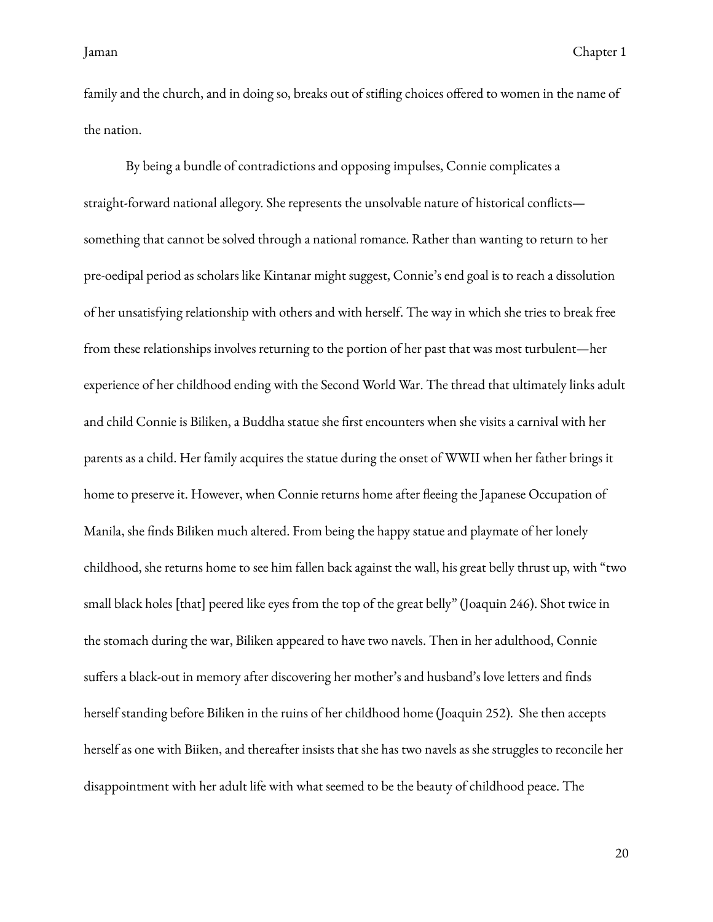family and the church, and in doing so, breaks out of stifling choices offered to women in the name of the nation.

By being a bundle of contradictions and opposing impulses, Connie complicates a straight-forward national allegory. She represents the unsolvable nature of historical conflicts something that cannot be solved through a national romance. Rather than wanting to return to her pre-oedipal period as scholars like Kintanar might suggest, Connie's end goal is to reach a dissolution of her unsatisfying relationship with others and with herself. The way in which she tries to break free from these relationships involves returning to the portion of her past that was most turbulent—her experience of her childhood ending with the Second World War. The thread that ultimately links adult and child Connie is Biliken, a Buddha statue she first encounters when she visits a carnival with her parents as a child. Her family acquires the statue during the onset of WWII when her father brings it home to preserve it. However, when Connie returns home after fleeing the Japanese Occupation of Manila, she finds Biliken much altered. From being the happy statue and playmate of her lonely childhood, she returns home to see him fallen back against the wall, his great belly thrust up, with "two small black holes [that] peered like eyes from the top of the great belly" (Joaquin 246). Shot twice in the stomach during the war, Biliken appeared to have two navels. Then in her adulthood, Connie suffers a black-out in memory after discovering her mother's and husband's love letters and finds herself standing before Biliken in the ruins of her childhood home (Joaquin 252). She then accepts herself as one with Biiken, and thereafter insists that she has two navels as she struggles to reconcile her disappointment with her adult life with what seemed to be the beauty of childhood peace. The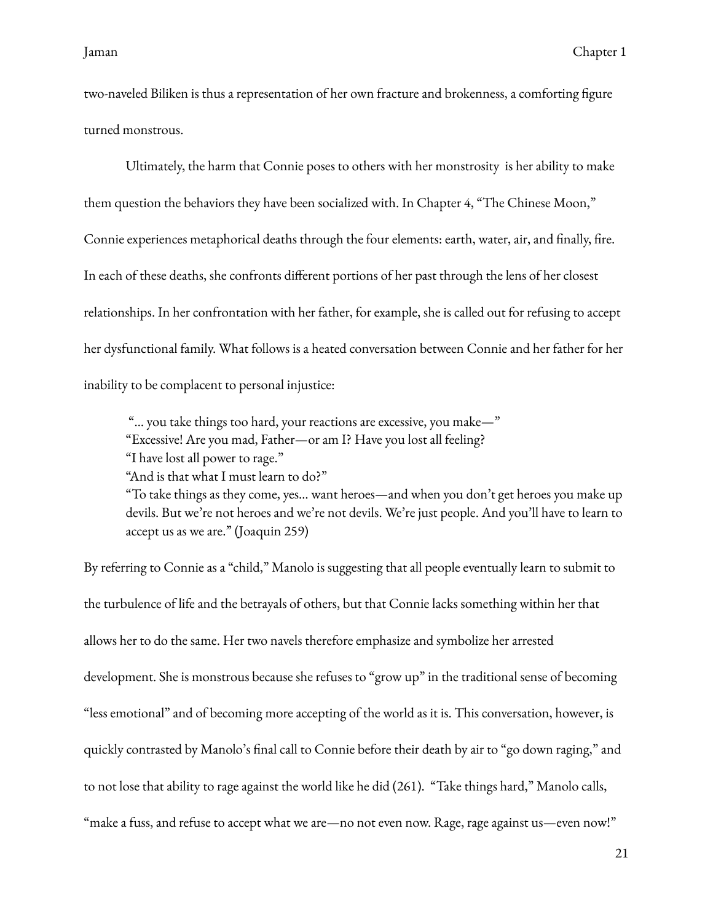two-naveled Biliken is thus a representation of her own fracture and brokenness, a comforting figure turned monstrous.

Ultimately, the harm that Connie poses to others with her monstrosity is her ability to make them question the behaviors they have been socialized with. In Chapter 4, "The Chinese Moon," Connie experiences metaphorical deaths through the four elements: earth, water, air, and finally, fire. In each of these deaths, she confronts different portions of her past through the lens of her closest relationships. In her confrontation with her father, for example, she is called out for refusing to accept her dysfunctional family. What follows is a heated conversation between Connie and her father for her inability to be complacent to personal injustice:

"… you take things too hard, your reactions are excessive, you make—" "Excessive! Are you mad, Father—or am I? Have you lost all feeling? "I have lost all power to rage."

"And is that what I must learn to do?"

"To take things as they come, yes… want heroes—and when you don't get heroes you make up devils. But we're not heroes and we're not devils. We're just people. And you'll have to learn to accept us as we are." (Joaquin 259)

By referring to Connie as a "child," Manolo is suggesting that all people eventually learn to submit to the turbulence of life and the betrayals of others, but that Connie lacks something within her that allows her to do the same. Her two navels therefore emphasize and symbolize her arrested development. She is monstrous because she refuses to "grow up" in the traditional sense of becoming "less emotional" and of becoming more accepting of the world as it is. This conversation, however, is quickly contrasted by Manolo's final call to Connie before their death by air to "go down raging," and to not lose that ability to rage against the world like he did (261). "Take things hard," Manolo calls, "make a fuss, and refuse to accept what we are—no not even now. Rage, rage against us—even now!"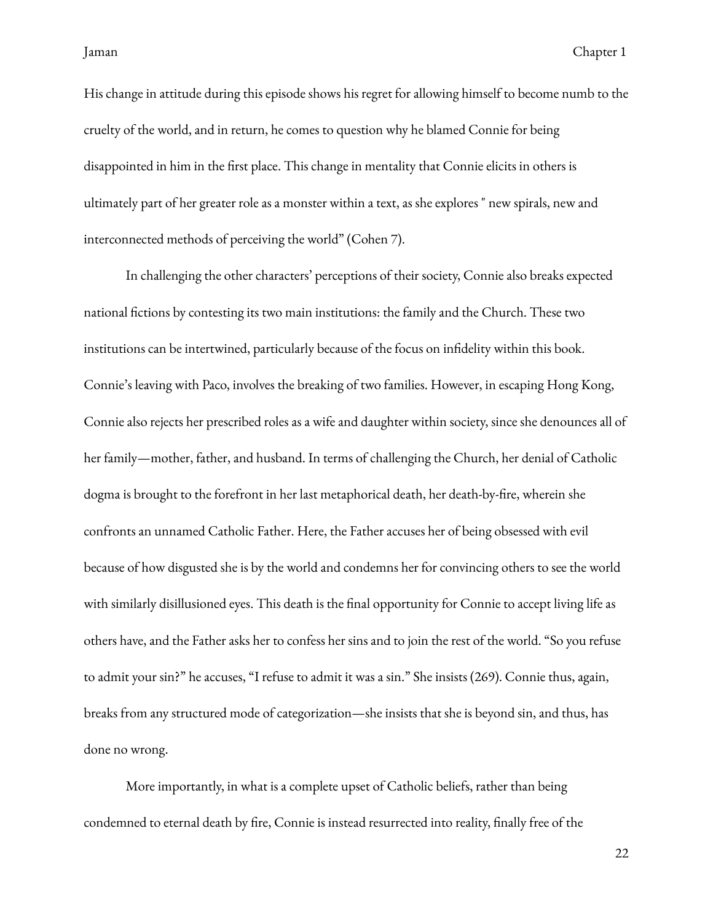His change in attitude during this episode shows his regret for allowing himself to become numb to the cruelty of the world, and in return, he comes to question why he blamed Connie for being disappointed in him in the first place. This change in mentality that Connie elicits in others is ultimately part of her greater role as a monster within a text, as she explores " new spirals, new and interconnected methods of perceiving the world" (Cohen 7).

In challenging the other characters' perceptions of their society, Connie also breaks expected national fictions by contesting its two main institutions: the family and the Church. These two institutions can be intertwined, particularly because of the focus on indelity within this book. Connie's leaving with Paco, involves the breaking of two families. However, in escaping Hong Kong, Connie also rejects her prescribed roles as a wife and daughter within society, since she denounces all of her family—mother, father, and husband. In terms of challenging the Church, her denial of Catholic dogma is brought to the forefront in her last metaphorical death, her death-by-fire, wherein she confronts an unnamed Catholic Father. Here, the Father accuses her of being obsessed with evil because of how disgusted she is by the world and condemns her for convincing others to see the world with similarly disillusioned eyes. This death is the final opportunity for Connie to accept living life as others have, and the Father asks her to confess her sins and to join the rest of the world. "So you refuse to admit your sin?" he accuses, "I refuse to admit it was a sin." She insists (269). Connie thus, again, breaks from any structured mode of categorization—she insists that she is beyond sin, and thus, has done no wrong.

More importantly, in what is a complete upset of Catholic beliefs, rather than being condemned to eternal death by fire, Connie is instead resurrected into reality, finally free of the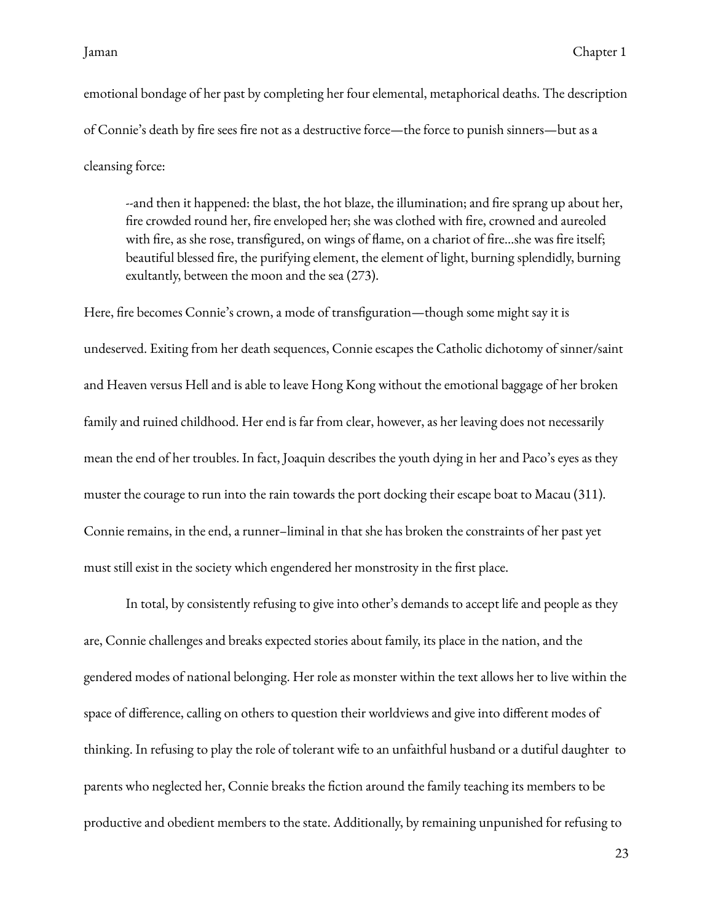emotional bondage of her past by completing her four elemental, metaphorical deaths. The description of Connie's death by fire sees fire not as a destructive force—the force to punish sinners—but as a cleansing force:

--and then it happened: the blast, the hot blaze, the illumination; and fire sprang up about her, fire crowded round her, fire enveloped her; she was clothed with fire, crowned and aureoled with fire, as she rose, transfigured, on wings of flame, on a chariot of fire...she was fire itself; beautiful blessed fire, the purifying element, the element of light, burning splendidly, burning exultantly, between the moon and the sea (273).

Here, fire becomes Connie's crown, a mode of transfiguration—though some might say it is undeserved. Exiting from her death sequences, Connie escapes the Catholic dichotomy of sinner/saint and Heaven versus Hell and is able to leave Hong Kong without the emotional baggage of her broken family and ruined childhood. Her end is far from clear, however, as her leaving does not necessarily mean the end of her troubles. In fact, Joaquin describes the youth dying in her and Paco's eyes as they muster the courage to run into the rain towards the port docking their escape boat to Macau (311). Connie remains, in the end, a runner–liminal in that she has broken the constraints of her past yet must still exist in the society which engendered her monstrosity in the first place.

In total, by consistently refusing to give into other's demands to accept life and people as they are, Connie challenges and breaks expected stories about family, its place in the nation, and the gendered modes of national belonging. Her role as monster within the text allows her to live within the space of difference, calling on others to question their worldviews and give into different modes of thinking. In refusing to play the role of tolerant wife to an unfaithful husband or a dutiful daughter to parents who neglected her, Connie breaks the fiction around the family teaching its members to be productive and obedient members to the state. Additionally, by remaining unpunished for refusing to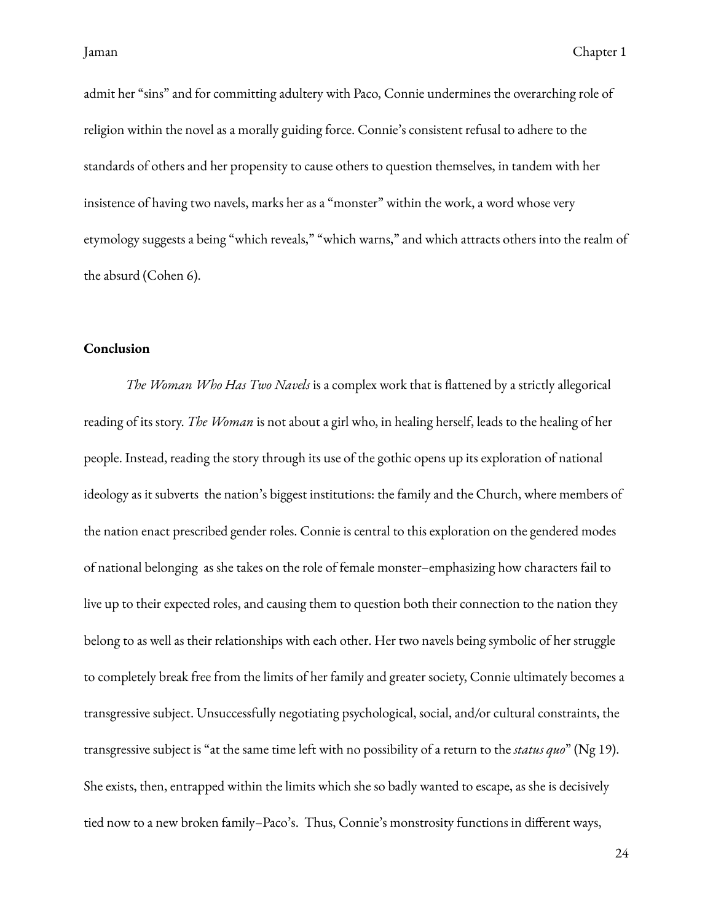admit her "sins" and for committing adultery with Paco, Connie undermines the overarching role of religion within the novel as a morally guiding force. Connie's consistent refusal to adhere to the standards of others and her propensity to cause others to question themselves, in tandem with her insistence of having two navels, marks her as a "monster" within the work, a word whose very etymology suggests a being "which reveals," "which warns," and which attracts others into the realm of the absurd (Cohen 6).

### <span id="page-27-0"></span>**Conclusion**

*The Woman Who Has Two Navels* is a complex work that is flattened by a strictly allegorical reading of its story. *The Woman* is not about a girl who, in healing herself, leads to the healing of her people. Instead, reading the story through its use of the gothic opens up its exploration of national ideology as it subverts the nation's biggest institutions: the family and the Church, where members of the nation enact prescribed gender roles. Connie is central to this exploration on the gendered modes of national belonging as she takes on the role of female monster–emphasizing how characters fail to live up to their expected roles, and causing them to question both their connection to the nation they belong to as well as their relationships with each other. Her two navels being symbolic of her struggle to completely break free from the limits of her family and greater society, Connie ultimately becomes a transgressive subject. Unsuccessfully negotiating psychological, social, and/or cultural constraints, the transgressive subject is "at the same time left with no possibility of a return to the *status quo*" (Ng 19). She exists, then, entrapped within the limits which she so badly wanted to escape, as she is decisively tied now to a new broken family–Paco's. Thus, Connie's monstrosity functions in different ways,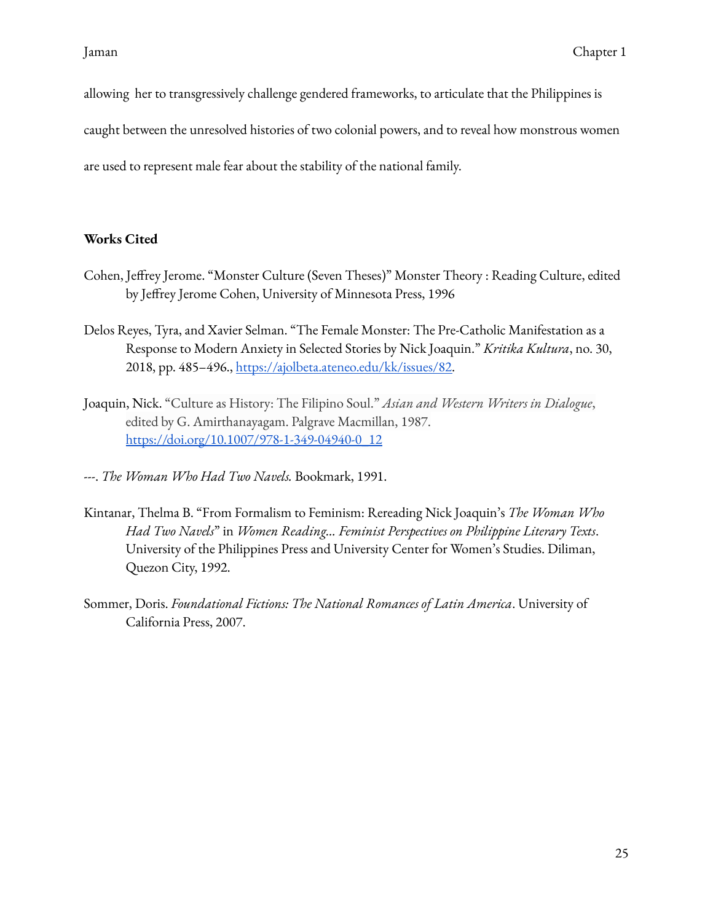allowing her to transgressively challenge gendered frameworks, to articulate that the Philippines is

caught between the unresolved histories of two colonial powers, and to reveal how monstrous women

are used to represent male fear about the stability of the national family.

# <span id="page-28-0"></span>**Works Cited**

- Cohen, Jeffrey Jerome. "Monster Culture (Seven Theses)" Monster Theory : Reading Culture, edited by Jeffrey Jerome Cohen, University of Minnesota Press, 1996
- Delos Reyes, Tyra, and Xavier Selman. "The Female Monster: The Pre-Catholic Manifestation as a Response to Modern Anxiety in Selected Stories by Nick Joaquin." *Kritika Kultura*, no. 30, 2018, pp. 485–496., <https://ajolbeta.ateneo.edu/kk/issues/82>.
- Joaquin, Nick. "Culture as History: The Filipino Soul." *Asian and Western Writers in Dialogue*, edited by G. Amirthanayagam. Palgrave Macmillan, 1987. [https://doi.org/10.1007/978-1-349-04940-0\\_12](https://doi.org/10.1007/978-1-349-04940-0_12)
- ---. *The Woman Who Had Two Navels.* Bookmark, 1991.
- Kintanar, Thelma B. "From Formalism to Feminism: Rereading Nick Joaquin's *The Woman Who Had Two Navels*" in *Women Reading… Feminist Perspectives on Philippine Literary Texts*. University of the Philippines Press and University Center for Women's Studies. Diliman, Quezon City, 1992.
- Sommer, Doris. *Foundational Fictions: The National Romances of Latin America*. University of California Press, 2007.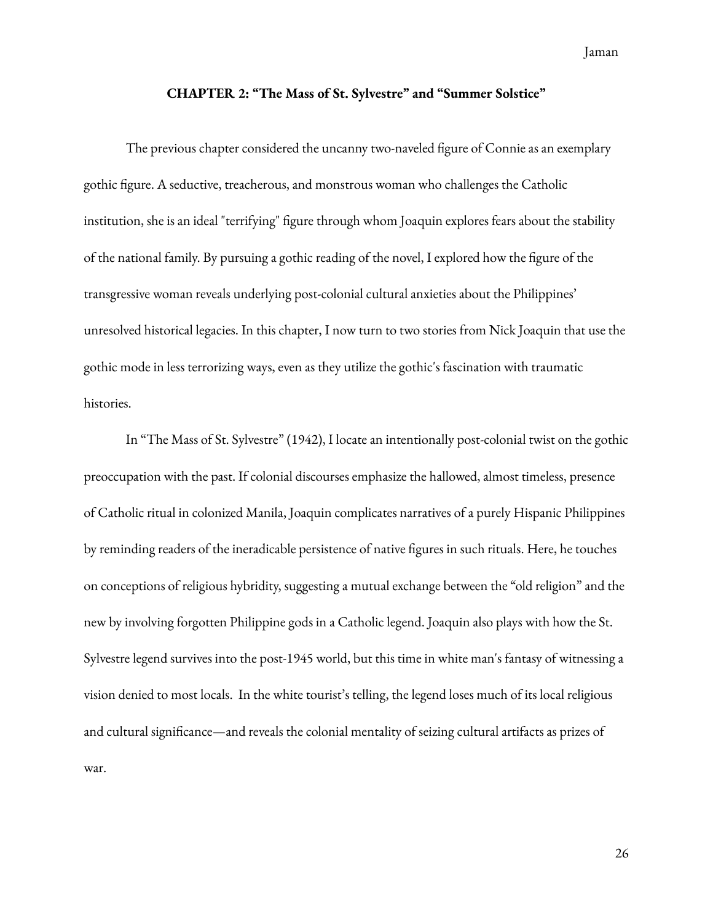Jaman

#### **CHAPTER 2: "The Mass of St. Sylvestre" and "Summer Solstice"**

<span id="page-29-0"></span>The previous chapter considered the uncanny two-naveled figure of Connie as an exemplary gothic figure. A seductive, treacherous, and monstrous woman who challenges the Catholic institution, she is an ideal "terrifying" figure through whom Joaquin explores fears about the stability of the national family. By pursuing a gothic reading of the novel, I explored how the figure of the transgressive woman reveals underlying post-colonial cultural anxieties about the Philippines' unresolved historical legacies. In this chapter, I now turn to two stories from Nick Joaquin that use the gothic mode in less terrorizing ways, even as they utilize the gothic's fascination with traumatic histories.

In "The Mass of St. Sylvestre" (1942), I locate an intentionally post-colonial twist on the gothic preoccupation with the past. If colonial discourses emphasize the hallowed, almost timeless, presence of Catholic ritual in colonized Manila, Joaquin complicates narratives of a purely Hispanic Philippines by reminding readers of the ineradicable persistence of native figures in such rituals. Here, he touches on conceptions of religious hybridity, suggesting a mutual exchange between the "old religion" and the new by involving forgotten Philippine gods in a Catholic legend. Joaquin also plays with how the St. Sylvestre legend survives into the post-1945 world, but this time in white man's fantasy of witnessing a vision denied to most locals. In the white tourist's telling, the legend loses much of its local religious and cultural significance—and reveals the colonial mentality of seizing cultural artifacts as prizes of war.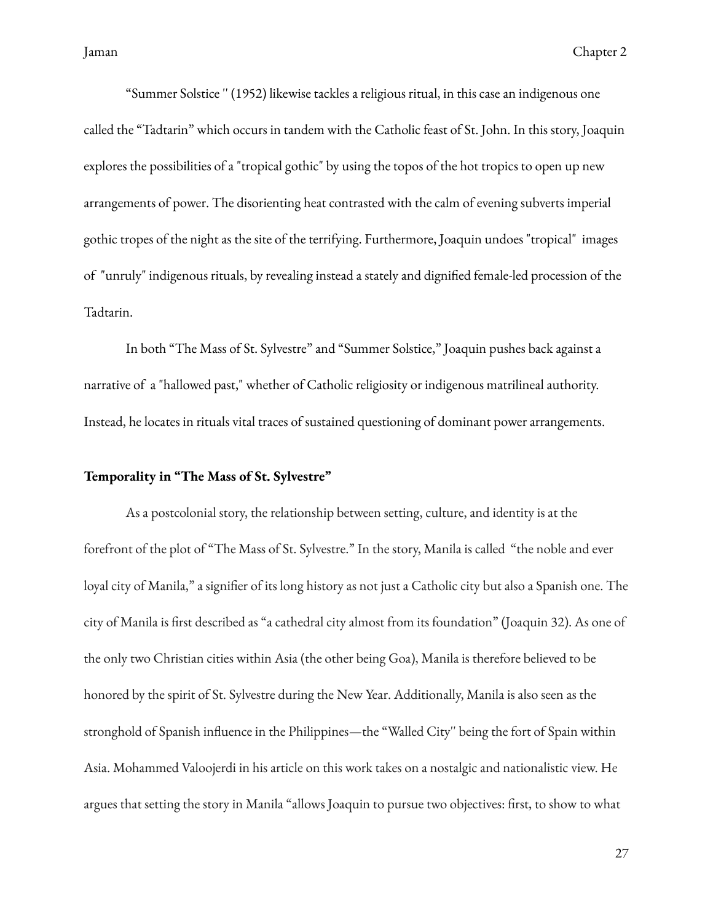"Summer Solstice '' (1952) likewise tackles a religious ritual, in this case an indigenous one called the "Tadtarin" which occurs in tandem with the Catholic feast of St. John. In this story, Joaquin explores the possibilities of a "tropical gothic" by using the topos of the hot tropics to open up new arrangements of power. The disorienting heat contrasted with the calm of evening subverts imperial gothic tropes of the night as the site of the terrifying. Furthermore, Joaquin undoes "tropical" images of "unruly" indigenous rituals, by revealing instead a stately and dignified female-led procession of the Tadtarin.

In both "The Mass of St. Sylvestre" and "Summer Solstice," Joaquin pushes back against a narrative of a "hallowed past," whether of Catholic religiosity or indigenous matrilineal authority. Instead, he locates in rituals vital traces of sustained questioning of dominant power arrangements.

### <span id="page-30-0"></span>**Temporality in "The Mass of St. Sylvestre"**

As a postcolonial story, the relationship between setting, culture, and identity is at the forefront of the plot of "The Mass of St. Sylvestre." In the story, Manila is called "the noble and ever loyal city of Manila," a signifier of its long history as not just a Catholic city but also a Spanish one. The city of Manila is first described as "a cathedral city almost from its foundation" (Joaquin 32). As one of the only two Christian cities within Asia (the other being Goa), Manila is therefore believed to be honored by the spirit of St. Sylvestre during the New Year. Additionally, Manila is also seen as the stronghold of Spanish influence in the Philippines—the "Walled City" being the fort of Spain within Asia. Mohammed Valoojerdi in his article on this work takes on a nostalgic and nationalistic view. He argues that setting the story in Manila "allows Joaquin to pursue two objectives: first, to show to what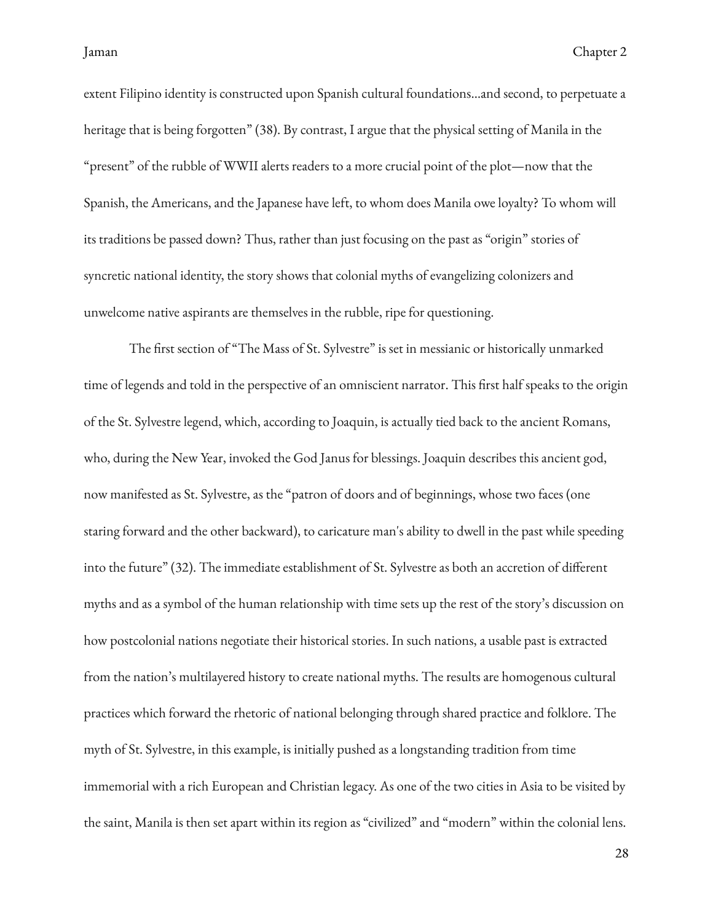extent Filipino identity is constructed upon Spanish cultural foundations…and second, to perpetuate a heritage that is being forgotten" (38). By contrast, I argue that the physical setting of Manila in the "present" of the rubble of WWII alerts readers to a more crucial point of the plot—now that the Spanish, the Americans, and the Japanese have left, to whom does Manila owe loyalty? To whom will its traditions be passed down? Thus, rather than just focusing on the past as "origin" stories of syncretic national identity, the story shows that colonial myths of evangelizing colonizers and unwelcome native aspirants are themselves in the rubble, ripe for questioning.

The first section of "The Mass of St. Sylvestre" is set in messianic or historically unmarked time of legends and told in the perspective of an omniscient narrator. This first half speaks to the origin of the St. Sylvestre legend, which, according to Joaquin, is actually tied back to the ancient Romans, who, during the New Year, invoked the God Janus for blessings. Joaquin describes this ancient god, now manifested as St. Sylvestre, as the "patron of doors and of beginnings, whose two faces (one staring forward and the other backward), to caricature man's ability to dwell in the past while speeding into the future" (32). The immediate establishment of St. Sylvestre as both an accretion of different myths and as a symbol of the human relationship with time sets up the rest of the story's discussion on how postcolonial nations negotiate their historical stories. In such nations, a usable past is extracted from the nation's multilayered history to create national myths. The results are homogenous cultural practices which forward the rhetoric of national belonging through shared practice and folklore. The myth of St. Sylvestre, in this example, is initially pushed as a longstanding tradition from time immemorial with a rich European and Christian legacy. As one of the two cities in Asia to be visited by the saint, Manila is then set apart within its region as "civilized" and "modern" within the colonial lens.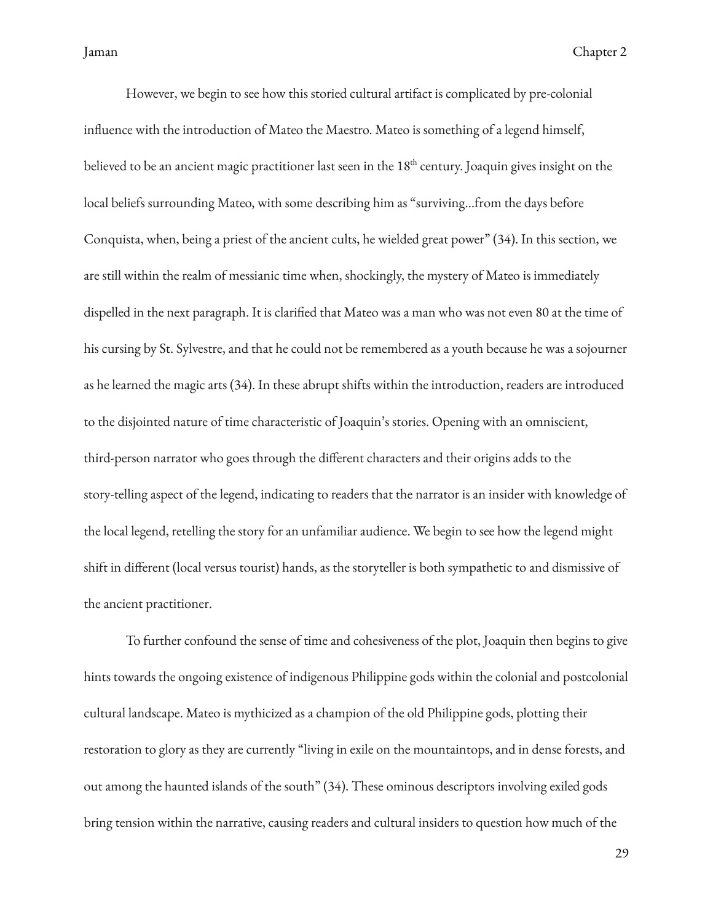However, we begin to see how this storied cultural artifact is complicated by pre-colonial influence with the introduction of Mateo the Maestro. Mateo is something of a legend himself, believed to be an ancient magic practitioner last seen in the  $18^{\rm th}$  century. Joaquin gives insight on the local beliefs surrounding Mateo, with some describing him as "surviving…from the days before Conquista, when, being a priest of the ancient cults, he wielded great power" (34). In this section, we are still within the realm of messianic time when, shockingly, the mystery of Mateo is immediately dispelled in the next paragraph. It is clarified that Mateo was a man who was not even 80 at the time of his cursing by St. Sylvestre, and that he could not be remembered as a youth because he was a sojourner as he learned the magic arts (34). In these abrupt shifts within the introduction, readers are introduced to the disjointed nature of time characteristic of Joaquin's stories. Opening with an omniscient, third-person narrator who goes through the different characters and their origins adds to the story-telling aspect of the legend, indicating to readers that the narrator is an insider with knowledge of the local legend, retelling the story for an unfamiliar audience. We begin to see how the legend might shift in different (local versus tourist) hands, as the storyteller is both sympathetic to and dismissive of the ancient practitioner.

To further confound the sense of time and cohesiveness of the plot, Joaquin then begins to give hints towards the ongoing existence of indigenous Philippine gods within the colonial and postcolonial cultural landscape. Mateo is mythicized as a champion of the old Philippine gods, plotting their restoration to glory as they are currently "living in exile on the mountaintops, and in dense forests, and out among the haunted islands of the south" (34). These ominous descriptors involving exiled gods bring tension within the narrative, causing readers and cultural insiders to question how much of the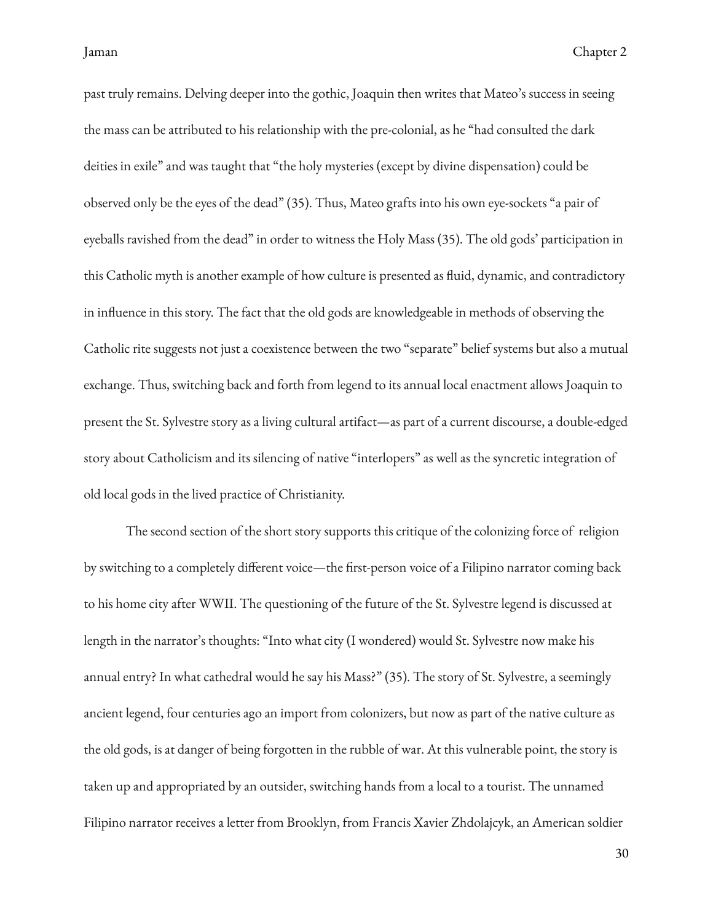past truly remains. Delving deeper into the gothic, Joaquin then writes that Mateo's success in seeing the mass can be attributed to his relationship with the pre-colonial, as he "had consulted the dark deities in exile" and was taught that "the holy mysteries (except by divine dispensation) could be observed only be the eyes of the dead" (35). Thus, Mateo grafts into his own eye-sockets "a pair of eyeballs ravished from the dead" in order to witness the Holy Mass (35). The old gods' participation in this Catholic myth is another example of how culture is presented as fluid, dynamic, and contradictory in influence in this story. The fact that the old gods are knowledgeable in methods of observing the Catholic rite suggests not just a coexistence between the two "separate" belief systems but also a mutual exchange. Thus, switching back and forth from legend to its annual local enactment allows Joaquin to present the St. Sylvestre story as a living cultural artifact—as part of a current discourse, a double-edged story about Catholicism and its silencing of native "interlopers" as well as the syncretic integration of old local gods in the lived practice of Christianity.

The second section of the short story supports this critique of the colonizing force of religion by switching to a completely different voice—the first-person voice of a Filipino narrator coming back to his home city after WWII. The questioning of the future of the St. Sylvestre legend is discussed at length in the narrator's thoughts: "Into what city (I wondered) would St. Sylvestre now make his annual entry? In what cathedral would he say his Mass?" (35). The story of St. Sylvestre, a seemingly ancient legend, four centuries ago an import from colonizers, but now as part of the native culture as the old gods, is at danger of being forgotten in the rubble of war. At this vulnerable point, the story is taken up and appropriated by an outsider, switching hands from a local to a tourist. The unnamed Filipino narrator receives a letter from Brooklyn, from Francis Xavier Zhdolajcyk, an American soldier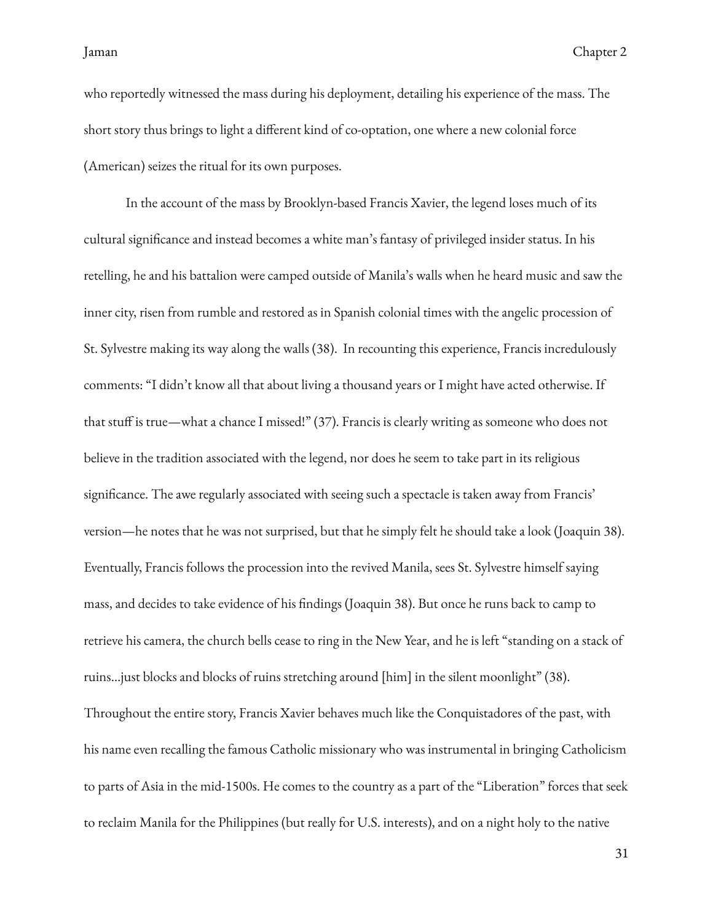who reportedly witnessed the mass during his deployment, detailing his experience of the mass. The short story thus brings to light a different kind of co-optation, one where a new colonial force (American) seizes the ritual for its own purposes.

In the account of the mass by Brooklyn-based Francis Xavier, the legend loses much of its cultural significance and instead becomes a white man's fantasy of privileged insider status. In his retelling, he and his battalion were camped outside of Manila's walls when he heard music and saw the inner city, risen from rumble and restored as in Spanish colonial times with the angelic procession of St. Sylvestre making its way along the walls (38). In recounting this experience, Francis incredulously comments: "I didn't know all that about living a thousand years or I might have acted otherwise. If that stuff is true—what a chance I missed!" (37). Francis is clearly writing as someone who does not believe in the tradition associated with the legend, nor does he seem to take part in its religious significance. The awe regularly associated with seeing such a spectacle is taken away from Francis' version—he notes that he was not surprised, but that he simply felt he should take a look (Joaquin 38). Eventually, Francis follows the procession into the revived Manila, sees St. Sylvestre himself saying mass, and decides to take evidence of his findings (Joaquin 38). But once he runs back to camp to retrieve his camera, the church bells cease to ring in the New Year, and he is left "standing on a stack of ruins…just blocks and blocks of ruins stretching around [him] in the silent moonlight" (38). Throughout the entire story, Francis Xavier behaves much like the Conquistadores of the past, with his name even recalling the famous Catholic missionary who was instrumental in bringing Catholicism to parts of Asia in the mid-1500s. He comes to the country as a part of the "Liberation" forces that seek to reclaim Manila for the Philippines (but really for U.S. interests), and on a night holy to the native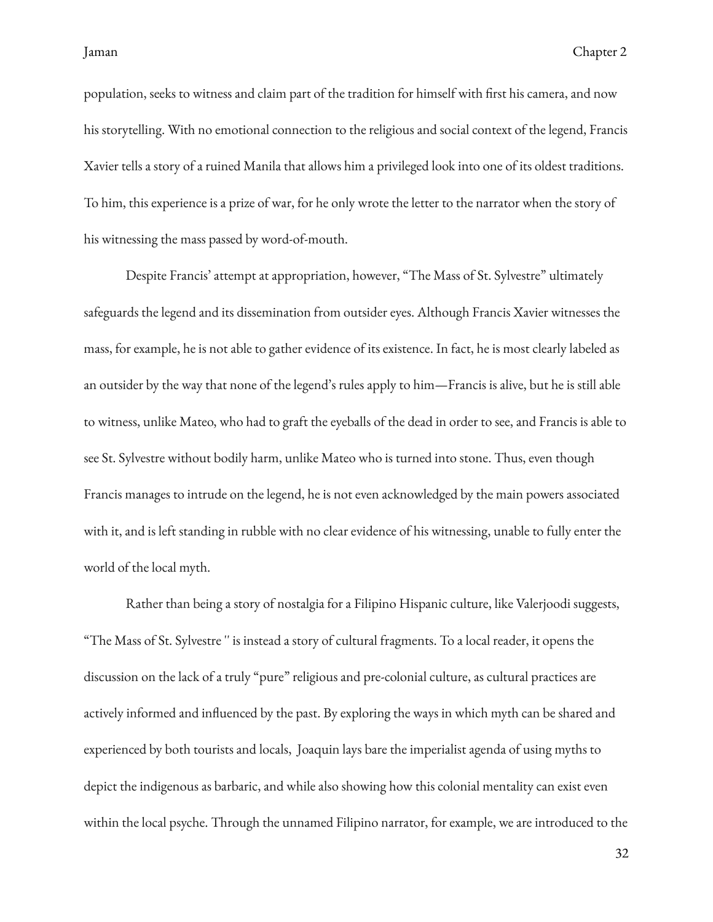population, seeks to witness and claim part of the tradition for himself with first his camera, and now his storytelling. With no emotional connection to the religious and social context of the legend, Francis Xavier tells a story of a ruined Manila that allows him a privileged look into one of its oldest traditions. To him, this experience is a prize of war, for he only wrote the letter to the narrator when the story of his witnessing the mass passed by word-of-mouth.

Despite Francis' attempt at appropriation, however, "The Mass of St. Sylvestre" ultimately safeguards the legend and its dissemination from outsider eyes. Although Francis Xavier witnesses the mass, for example, he is not able to gather evidence of its existence. In fact, he is most clearly labeled as an outsider by the way that none of the legend's rules apply to him—Francis is alive, but he is still able to witness, unlike Mateo, who had to graft the eyeballs of the dead in order to see, and Francis is able to see St. Sylvestre without bodily harm, unlike Mateo who is turned into stone. Thus, even though Francis manages to intrude on the legend, he is not even acknowledged by the main powers associated with it, and is left standing in rubble with no clear evidence of his witnessing, unable to fully enter the world of the local myth.

Rather than being a story of nostalgia for a Filipino Hispanic culture, like Valerjoodi suggests, "The Mass of St. Sylvestre '' is instead a story of cultural fragments. To a local reader, it opens the discussion on the lack of a truly "pure" religious and pre-colonial culture, as cultural practices are actively informed and influenced by the past. By exploring the ways in which myth can be shared and experienced by both tourists and locals, Joaquin lays bare the imperialist agenda of using myths to depict the indigenous as barbaric, and while also showing how this colonial mentality can exist even within the local psyche. Through the unnamed Filipino narrator, for example, we are introduced to the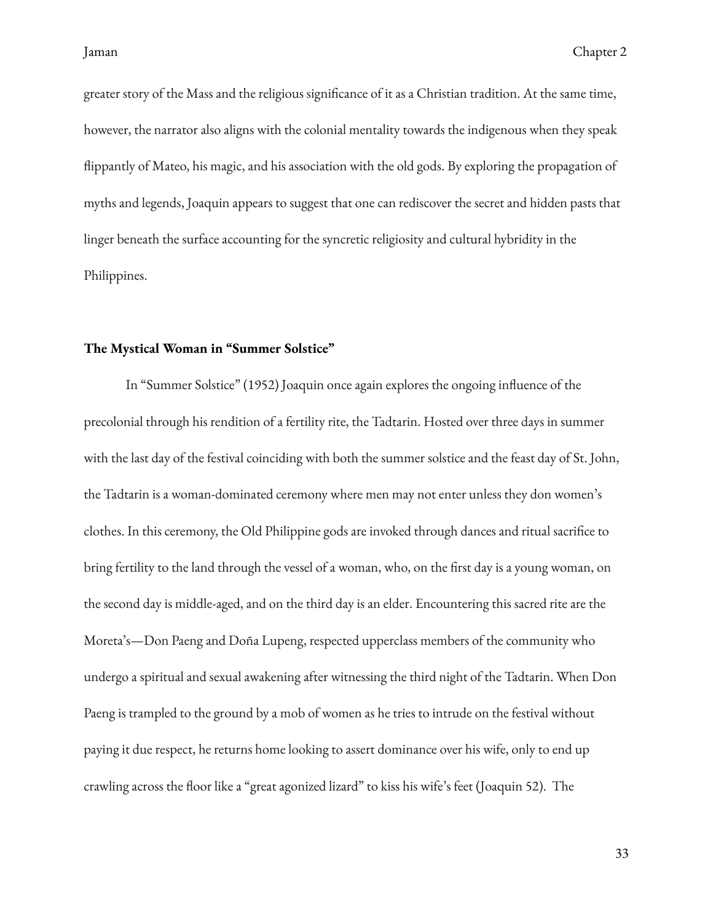greater story of the Mass and the religious significance of it as a Christian tradition. At the same time, however, the narrator also aligns with the colonial mentality towards the indigenous when they speak flippantly of Mateo, his magic, and his association with the old gods. By exploring the propagation of myths and legends, Joaquin appears to suggest that one can rediscover the secret and hidden pasts that linger beneath the surface accounting for the syncretic religiosity and cultural hybridity in the Philippines.

### <span id="page-36-0"></span>**The Mystical Woman in "Summer Solstice"**

In "Summer Solstice" (1952) Joaquin once again explores the ongoing influence of the precolonial through his rendition of a fertility rite, the Tadtarin. Hosted over three days in summer with the last day of the festival coinciding with both the summer solstice and the feast day of St. John, the Tadtarin is a woman-dominated ceremony where men may not enter unless they don women's clothes. In this ceremony, the Old Philippine gods are invoked through dances and ritual sacrifice to bring fertility to the land through the vessel of a woman, who, on the first day is a young woman, on the second day is middle-aged, and on the third day is an elder. Encountering this sacred rite are the Moreta's—Don Paeng and Doña Lupeng, respected upperclass members of the community who undergo a spiritual and sexual awakening after witnessing the third night of the Tadtarin. When Don Paeng is trampled to the ground by a mob of women as he tries to intrude on the festival without paying it due respect, he returns home looking to assert dominance over his wife, only to end up crawling across the floor like a "great agonized lizard" to kiss his wife's feet (Joaquin 52). The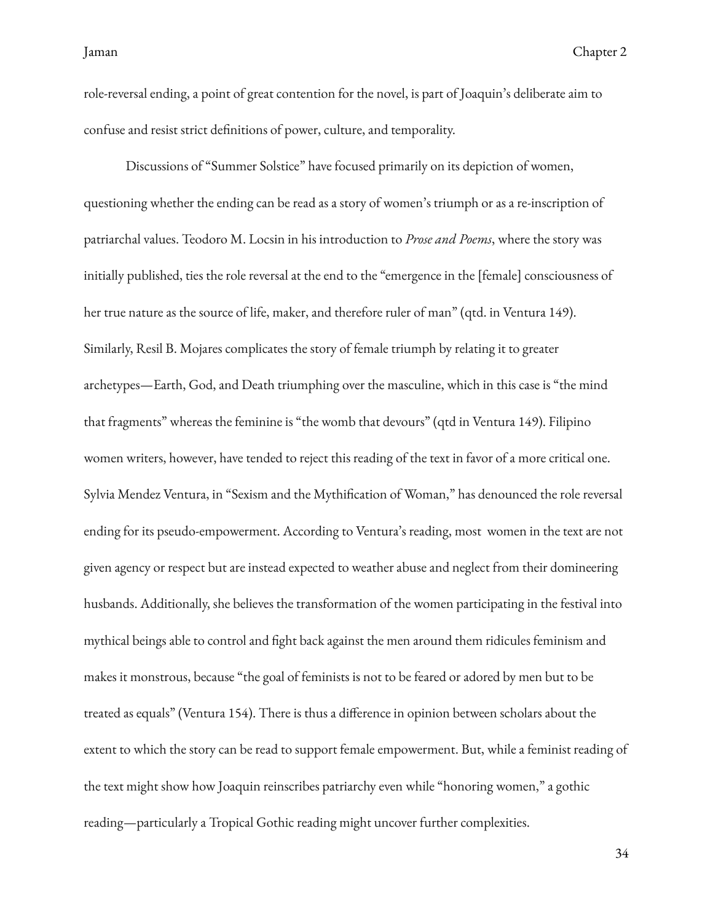role-reversal ending, a point of great contention for the novel, is part of Joaquin's deliberate aim to confuse and resist strict definitions of power, culture, and temporality.

Discussions of "Summer Solstice" have focused primarily on its depiction of women, questioning whether the ending can be read as a story of women's triumph or as a re-inscription of patriarchal values. Teodoro M. Locsin in his introduction to *Prose and Poems*, where the story was initially published, ties the role reversal at the end to the "emergence in the [female] consciousness of her true nature as the source of life, maker, and therefore ruler of man" (qtd. in Ventura 149). Similarly, Resil B. Mojares complicates the story of female triumph by relating it to greater archetypes—Earth, God, and Death triumphing over the masculine, which in this case is "the mind that fragments" whereas the feminine is "the womb that devours" (qtd in Ventura 149). Filipino women writers, however, have tended to reject this reading of the text in favor of a more critical one. Sylvia Mendez Ventura, in "Sexism and the Mythification of Woman," has denounced the role reversal ending for its pseudo-empowerment. According to Ventura's reading, most women in the text are not given agency or respect but are instead expected to weather abuse and neglect from their domineering husbands. Additionally, she believes the transformation of the women participating in the festival into mythical beings able to control and fight back against the men around them ridicules feminism and makes it monstrous, because "the goal of feminists is not to be feared or adored by men but to be treated as equals" (Ventura 154). There is thus a difference in opinion between scholars about the extent to which the story can be read to support female empowerment. But, while a feminist reading of the text might show how Joaquin reinscribes patriarchy even while "honoring women," a gothic reading—particularly a Tropical Gothic reading might uncover further complexities.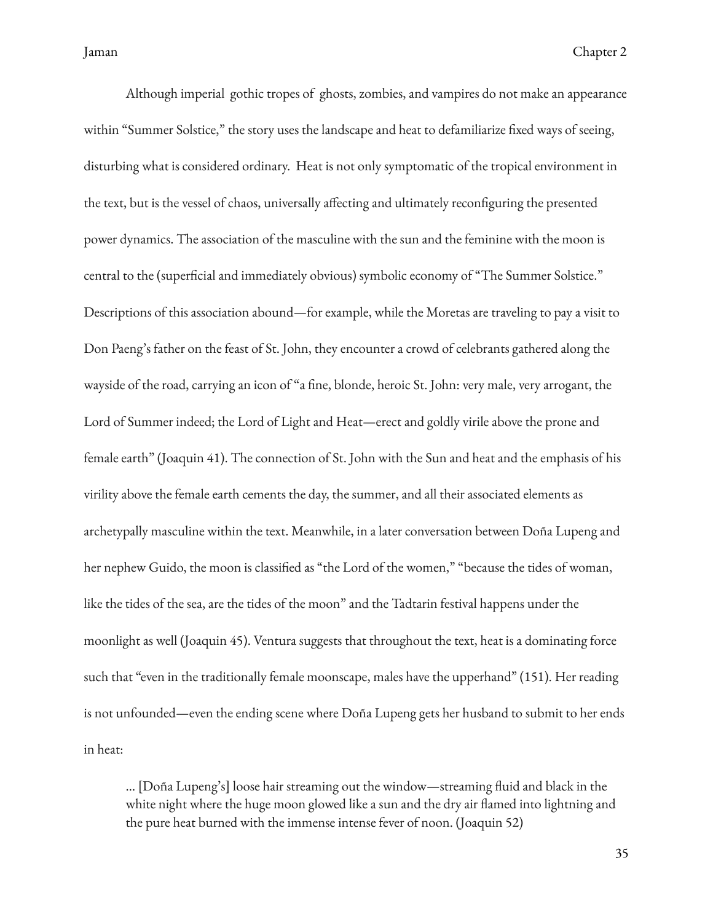Although imperial gothic tropes of ghosts, zombies, and vampires do not make an appearance within "Summer Solstice," the story uses the landscape and heat to defamiliarize fixed ways of seeing, disturbing what is considered ordinary. Heat is not only symptomatic of the tropical environment in the text, but is the vessel of chaos, universally affecting and ultimately reconfiguring the presented power dynamics. The association of the masculine with the sun and the feminine with the moon is central to the (superficial and immediately obvious) symbolic economy of "The Summer Solstice." Descriptions of this association abound—for example, while the Moretas are traveling to pay a visit to Don Paeng's father on the feast of St. John, they encounter a crowd of celebrants gathered along the wayside of the road, carrying an icon of "a fine, blonde, heroic St. John: very male, very arrogant, the Lord of Summer indeed; the Lord of Light and Heat—erect and goldly virile above the prone and female earth" (Joaquin 41). The connection of St. John with the Sun and heat and the emphasis of his virility above the female earth cements the day, the summer, and all their associated elements as archetypally masculine within the text. Meanwhile, in a later conversation between Doña Lupeng and her nephew Guido, the moon is classified as "the Lord of the women," "because the tides of woman, like the tides of the sea, are the tides of the moon" and the Tadtarin festival happens under the moonlight as well (Joaquin 45). Ventura suggests that throughout the text, heat is a dominating force such that "even in the traditionally female moonscape, males have the upperhand" (151). Her reading is not unfounded—even the ending scene where Doña Lupeng gets her husband to submit to her ends in heat:

… [Doña Lupeng's] loose hair streaming out the window—streaming fluid and black in the white night where the huge moon glowed like a sun and the dry air flamed into lightning and the pure heat burned with the immense intense fever of noon. (Joaquin 52)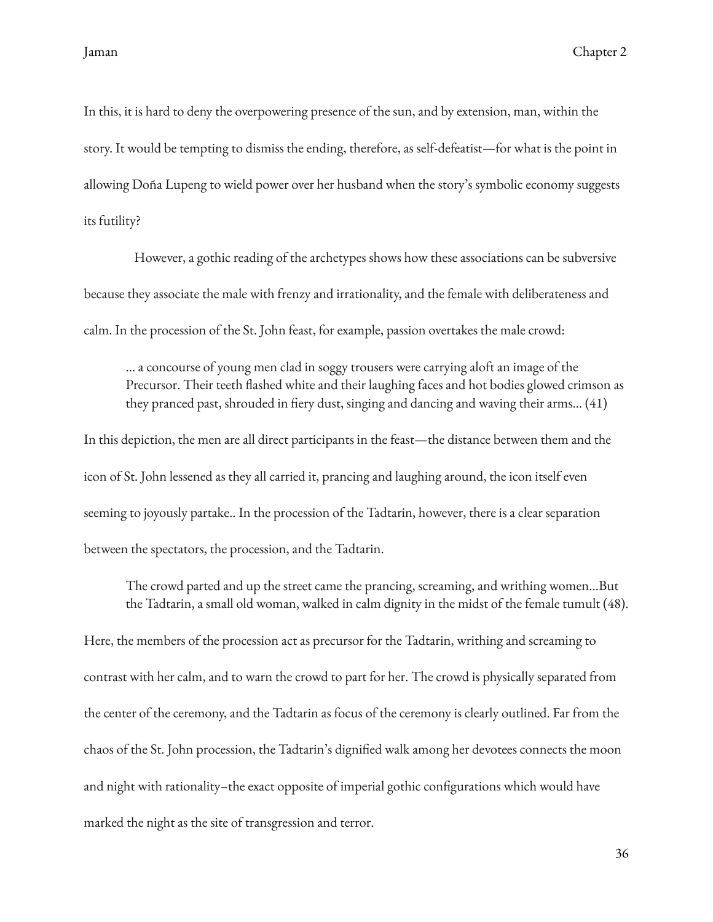In this, it is hard to deny the overpowering presence of the sun, and by extension, man, within the story. It would be tempting to dismiss the ending, therefore, as self-defeatist—for what is the point in allowing Doña Lupeng to wield power over her husband when the story's symbolic economy suggests its futility?

However, a gothic reading of the archetypes shows how these associations can be subversive because they associate the male with frenzy and irrationality, and the female with deliberateness and calm. In the procession of the St. John feast, for example, passion overtakes the male crowd:

… a concourse of young men clad in soggy trousers were carrying aloft an image of the Precursor. Their teeth flashed white and their laughing faces and hot bodies glowed crimson as they pranced past, shrouded in fiery dust, singing and dancing and waving their arms... (41)

In this depiction, the men are all direct participants in the feast—the distance between them and the icon of St. John lessened as they all carried it, prancing and laughing around, the icon itself even seeming to joyously partake.. In the procession of the Tadtarin, however, there is a clear separation between the spectators, the procession, and the Tadtarin.

The crowd parted and up the street came the prancing, screaming, and writhing women…But the Tadtarin, a small old woman, walked in calm dignity in the midst of the female tumult (48).

Here, the members of the procession act as precursor for the Tadtarin, writhing and screaming to contrast with her calm, and to warn the crowd to part for her. The crowd is physically separated from the center of the ceremony, and the Tadtarin as focus of the ceremony is clearly outlined. Far from the chaos of the St. John procession, the Tadtarin's dignified walk among her devotees connects the moon and night with rationality–the exact opposite of imperial gothic configurations which would have marked the night as the site of transgression and terror.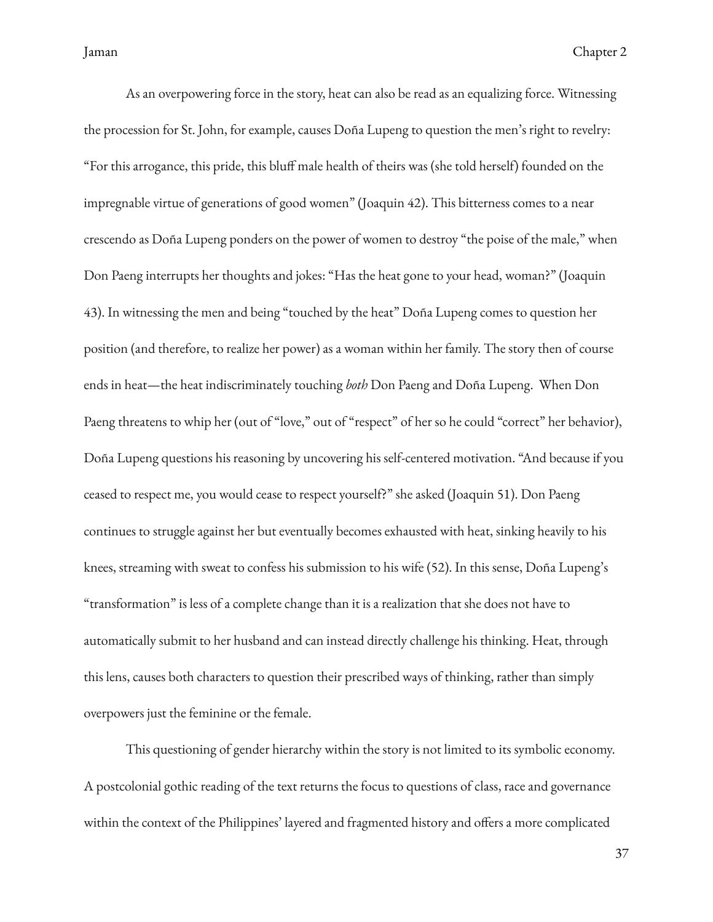As an overpowering force in the story, heat can also be read as an equalizing force. Witnessing the procession for St. John, for example, causes Doña Lupeng to question the men's right to revelry: "For this arrogance, this pride, this bluff male health of theirs was (she told herself) founded on the impregnable virtue of generations of good women" (Joaquin 42). This bitterness comes to a near crescendo as Doña Lupeng ponders on the power of women to destroy "the poise of the male," when Don Paeng interrupts her thoughts and jokes: "Has the heat gone to your head, woman?" (Joaquin 43). In witnessing the men and being "touched by the heat" Doña Lupeng comes to question her position (and therefore, to realize her power) as a woman within her family. The story then of course ends in heat—the heat indiscriminately touching *both* Don Paeng and Doña Lupeng. When Don Paeng threatens to whip her (out of "love," out of "respect" of her so he could "correct" her behavior), Doña Lupeng questions his reasoning by uncovering his self-centered motivation. "And because if you ceased to respect me, you would cease to respect yourself?" she asked (Joaquin 51). Don Paeng continues to struggle against her but eventually becomes exhausted with heat, sinking heavily to his knees, streaming with sweat to confess his submission to his wife (52). In this sense, Doña Lupeng's "transformation" is less of a complete change than it is a realization that she does not have to automatically submit to her husband and can instead directly challenge his thinking. Heat, through this lens, causes both characters to question their prescribed ways of thinking, rather than simply overpowers just the feminine or the female.

This questioning of gender hierarchy within the story is not limited to its symbolic economy. A postcolonial gothic reading of the text returns the focus to questions of class, race and governance within the context of the Philippines' layered and fragmented history and offers a more complicated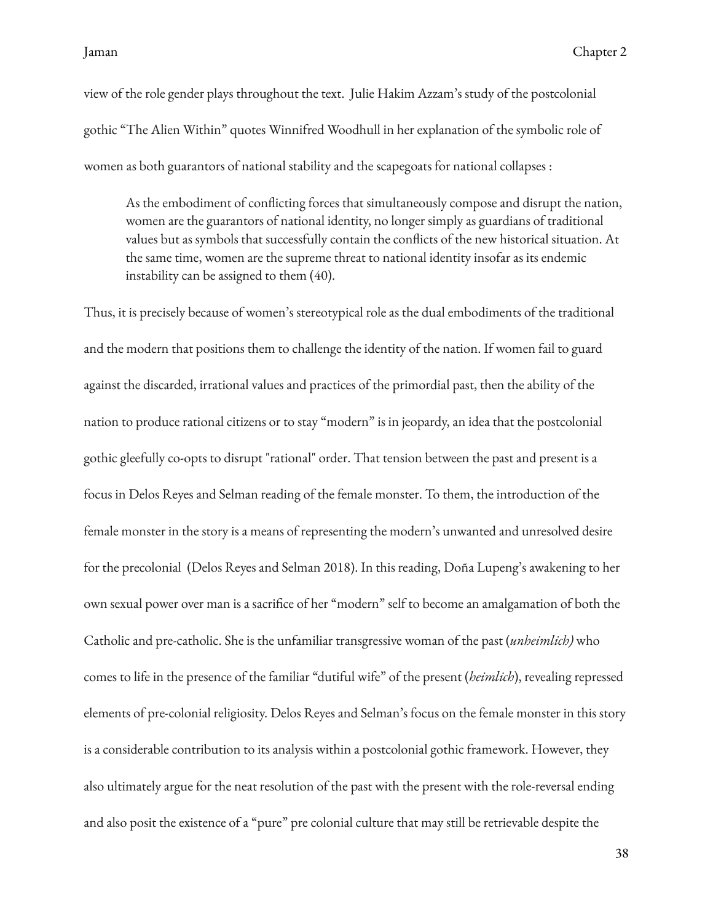view of the role gender plays throughout the text. Julie Hakim Azzam's study of the postcolonial gothic "The Alien Within" quotes Winnifred Woodhull in her explanation of the symbolic role of women as both guarantors of national stability and the scapegoats for national collapses :

As the embodiment of conflicting forces that simultaneously compose and disrupt the nation, women are the guarantors of national identity, no longer simply as guardians of traditional values but as symbols that successfully contain the conflicts of the new historical situation. At the same time, women are the supreme threat to national identity insofar as its endemic instability can be assigned to them (40).

Thus, it is precisely because of women's stereotypical role as the dual embodiments of the traditional and the modern that positions them to challenge the identity of the nation. If women fail to guard against the discarded, irrational values and practices of the primordial past, then the ability of the nation to produce rational citizens or to stay "modern" is in jeopardy, an idea that the postcolonial gothic gleefully co-opts to disrupt "rational" order. That tension between the past and present is a focus in Delos Reyes and Selman reading of the female monster. To them, the introduction of the female monster in the story is a means of representing the modern's unwanted and unresolved desire for the precolonial (Delos Reyes and Selman 2018). In this reading, Doña Lupeng's awakening to her own sexual power over man is a sacrifice of her "modern" self to become an amalgamation of both the Catholic and pre-catholic. She is the unfamiliar transgressive woman of the past (*unheimlich)* who comes to life in the presence of the familiar "dutiful wife" of the present (*heimlich*), revealing repressed elements of pre-colonial religiosity. Delos Reyes and Selman's focus on the female monster in this story is a considerable contribution to its analysis within a postcolonial gothic framework. However, they also ultimately argue for the neat resolution of the past with the present with the role-reversal ending and also posit the existence of a "pure" pre colonial culture that may still be retrievable despite the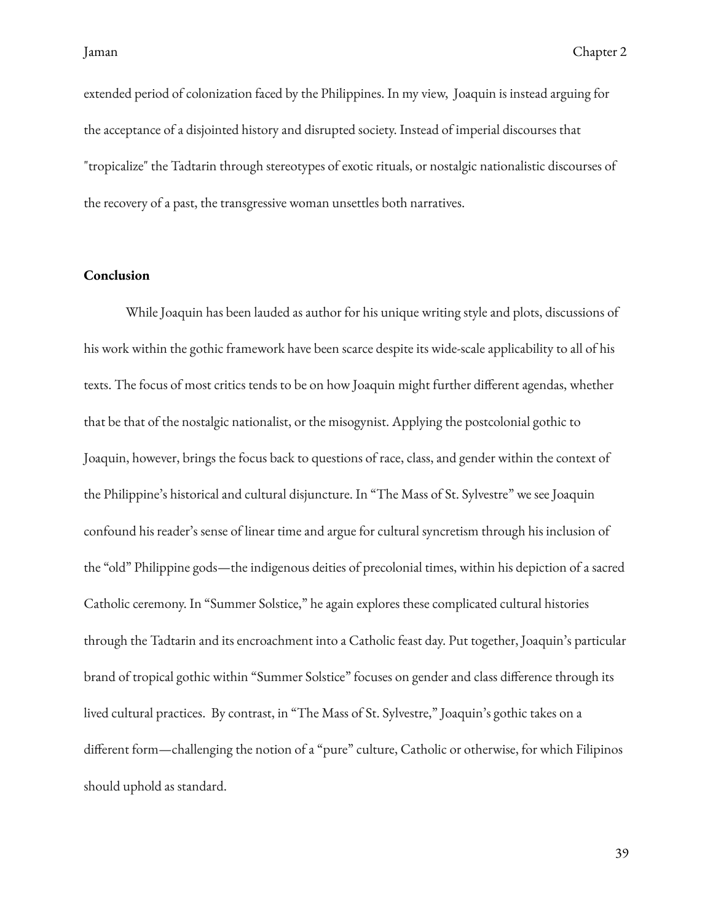extended period of colonization faced by the Philippines. In my view, Joaquin is instead arguing for the acceptance of a disjointed history and disrupted society. Instead of imperial discourses that "tropicalize" the Tadtarin through stereotypes of exotic rituals, or nostalgic nationalistic discourses of the recovery of a past, the transgressive woman unsettles both narratives.

### <span id="page-42-0"></span>**Conclusion**

While Joaquin has been lauded as author for his unique writing style and plots, discussions of his work within the gothic framework have been scarce despite its wide-scale applicability to all of his texts. The focus of most critics tends to be on how Joaquin might further different agendas, whether that be that of the nostalgic nationalist, or the misogynist. Applying the postcolonial gothic to Joaquin, however, brings the focus back to questions of race, class, and gender within the context of the Philippine's historical and cultural disjuncture. In "The Mass of St. Sylvestre" we see Joaquin confound his reader's sense of linear time and argue for cultural syncretism through his inclusion of the "old" Philippine gods—the indigenous deities of precolonial times, within his depiction of a sacred Catholic ceremony. In "Summer Solstice," he again explores these complicated cultural histories through the Tadtarin and its encroachment into a Catholic feast day. Put together, Joaquin's particular brand of tropical gothic within "Summer Solstice" focuses on gender and class difference through its lived cultural practices. By contrast, in "The Mass of St. Sylvestre," Joaquin's gothic takes on a different form—challenging the notion of a "pure" culture, Catholic or otherwise, for which Filipinos should uphold as standard.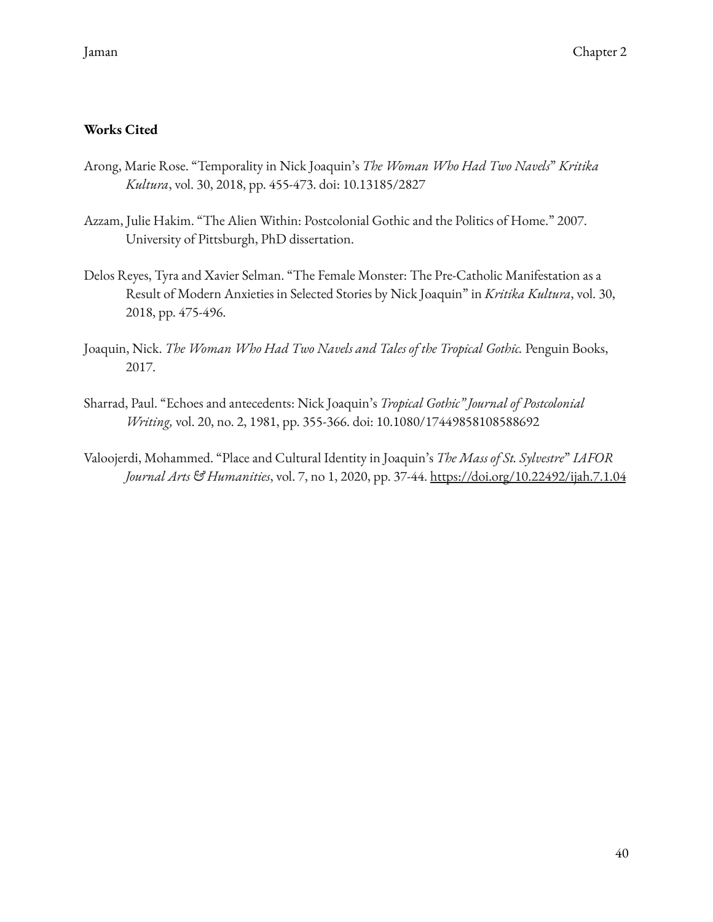# <span id="page-43-0"></span>**Works Cited**

- Arong, Marie Rose. "Temporality in Nick Joaquin's *The Woman Who Had Two Navels*" *Kritika Kultura*, vol. 30, 2018, pp. 455-473. doi: 10.13185/2827
- Azzam, Julie Hakim. "The Alien Within: Postcolonial Gothic and the Politics of Home." 2007. University of Pittsburgh, PhD dissertation.
- Delos Reyes, Tyra and Xavier Selman. "The Female Monster: The Pre-Catholic Manifestation as a Result of Modern Anxieties in Selected Stories by Nick Joaquin" in *Kritika Kultura*, vol. 30, 2018, pp. 475-496.
- Joaquin, Nick. *The Woman Who Had Two Navels and Tales of the Tropical Gothic.* Penguin Books, 2017.
- Sharrad, Paul. "Echoes and antecedents: Nick Joaquin's *Tropical Gothic" Journal of Postcolonial Writing,* vol. 20, no. 2, 1981, pp. 355-366. doi: 10.1080/17449858108588692
- Valoojerdi, Mohammed. "Place and Cultural Identity in Joaquin's *The Mass of St. Sylvestre*" *IAFOR Journal Arts & Humanities*, vol. 7, no 1, 2020, pp. 37-44. <https://doi.org/10.22492/ijah.7.1.04>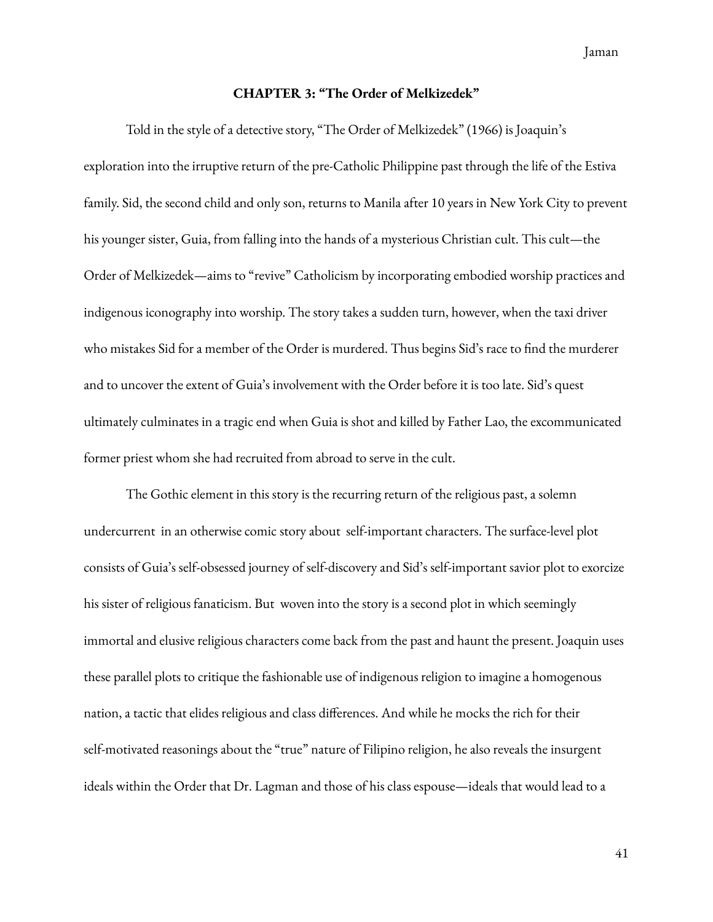Jaman

#### **CHAPTER 3: "The Order of Melkizedek"**

<span id="page-44-0"></span>Told in the style of a detective story, "The Order of Melkizedek" (1966) is Joaquin's exploration into the irruptive return of the pre-Catholic Philippine past through the life of the Estiva family. Sid, the second child and only son, returns to Manila after 10 years in New York City to prevent his younger sister, Guia, from falling into the hands of a mysterious Christian cult. This cult—the Order of Melkizedek—aims to "revive" Catholicism by incorporating embodied worship practices and indigenous iconography into worship. The story takes a sudden turn, however, when the taxi driver who mistakes Sid for a member of the Order is murdered. Thus begins Sid's race to find the murderer and to uncover the extent of Guia's involvement with the Order before it is too late. Sid's quest ultimately culminates in a tragic end when Guia is shot and killed by Father Lao, the excommunicated former priest whom she had recruited from abroad to serve in the cult.

The Gothic element in this story is the recurring return of the religious past, a solemn undercurrent in an otherwise comic story about self-important characters. The surface-level plot consists of Guia's self-obsessed journey of self-discovery and Sid's self-important savior plot to exorcize his sister of religious fanaticism. But woven into the story is a second plot in which seemingly immortal and elusive religious characters come back from the past and haunt the present. Joaquin uses these parallel plots to critique the fashionable use of indigenous religion to imagine a homogenous nation, a tactic that elides religious and class differences. And while he mocks the rich for their self-motivated reasonings about the "true" nature of Filipino religion, he also reveals the insurgent ideals within the Order that Dr. Lagman and those of his class espouse—ideals that would lead to a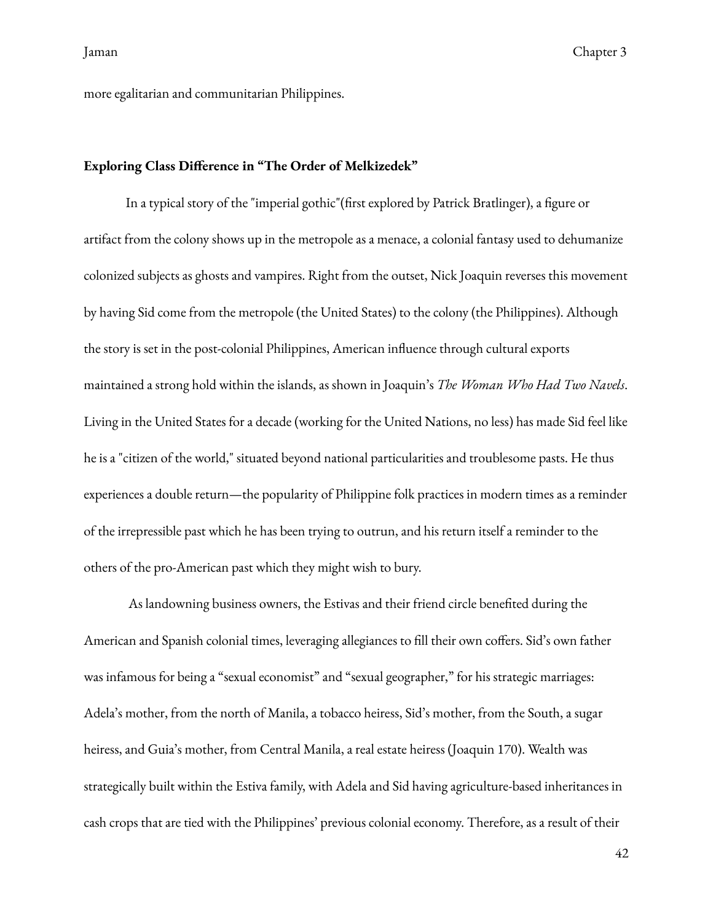more egalitarian and communitarian Philippines.

### <span id="page-45-0"></span>**Exploring Class Difference in "The Order of Melkizedek"**

In a typical story of the "imperial gothic"(first explored by Patrick Bratlinger), a figure or artifact from the colony shows up in the metropole as a menace, a colonial fantasy used to dehumanize colonized subjects as ghosts and vampires. Right from the outset, Nick Joaquin reverses this movement by having Sid come from the metropole (the United States) to the colony (the Philippines). Although the story is set in the post-colonial Philippines, American influence through cultural exports maintained a strong hold within the islands, as shown in Joaquin's *The Woman Who Had Two Navels*. Living in the United States for a decade (working for the United Nations, no less) has made Sid feel like he is a "citizen of the world," situated beyond national particularities and troublesome pasts. He thus experiences a double return—the popularity of Philippine folk practices in modern times as a reminder of the irrepressible past which he has been trying to outrun, and his return itself a reminder to the others of the pro-American past which they might wish to bury.

As landowning business owners, the Estivas and their friend circle benefited during the American and Spanish colonial times, leveraging allegiances to fill their own coffers. Sid's own father was infamous for being a "sexual economist" and "sexual geographer," for his strategic marriages: Adela's mother, from the north of Manila, a tobacco heiress, Sid's mother, from the South, a sugar heiress, and Guia's mother, from Central Manila, a real estate heiress (Joaquin 170). Wealth was strategically built within the Estiva family, with Adela and Sid having agriculture-based inheritances in cash crops that are tied with the Philippines' previous colonial economy. Therefore, as a result of their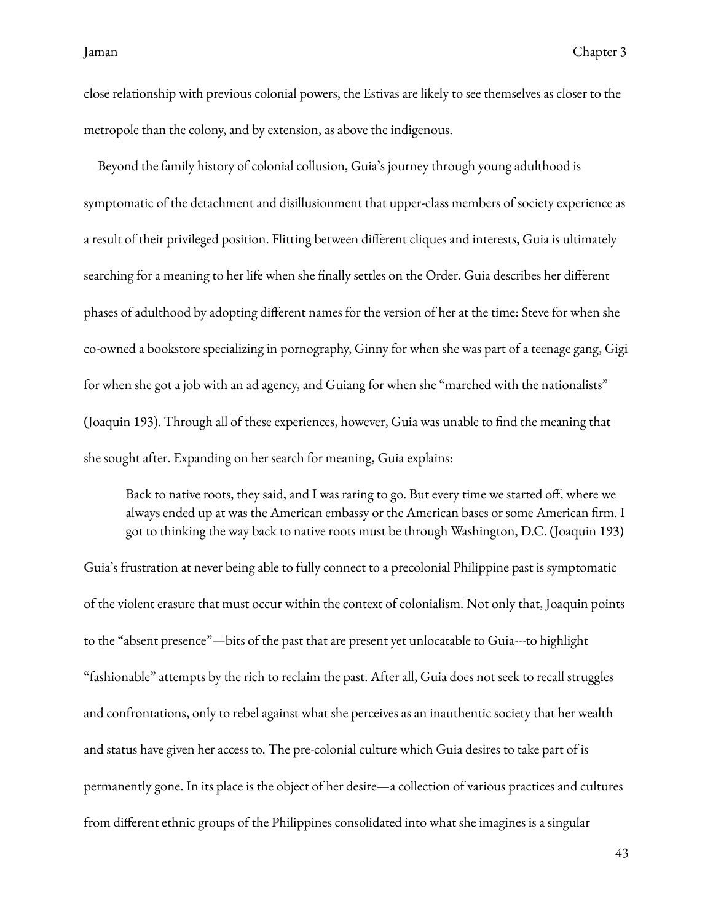close relationship with previous colonial powers, the Estivas are likely to see themselves as closer to the metropole than the colony, and by extension, as above the indigenous.

Beyond the family history of colonial collusion, Guia's journey through young adulthood is symptomatic of the detachment and disillusionment that upper-class members of society experience as a result of their privileged position. Flitting between different cliques and interests, Guia is ultimately searching for a meaning to her life when she finally settles on the Order. Guia describes her different phases of adulthood by adopting different names for the version of her at the time: Steve for when she co-owned a bookstore specializing in pornography, Ginny for when she was part of a teenage gang, Gigi for when she got a job with an ad agency, and Guiang for when she "marched with the nationalists" (Joaquin 193). Through all of these experiences, however, Guia was unable to find the meaning that she sought after. Expanding on her search for meaning, Guia explains:

Back to native roots, they said, and I was raring to go. But every time we started off, where we always ended up at was the American embassy or the American bases or some American firm. I got to thinking the way back to native roots must be through Washington, D.C. (Joaquin 193)

Guia's frustration at never being able to fully connect to a precolonial Philippine past is symptomatic of the violent erasure that must occur within the context of colonialism. Not only that, Joaquin points to the "absent presence"—bits of the past that are present yet unlocatable to Guia---to highlight "fashionable" attempts by the rich to reclaim the past. After all, Guia does not seek to recall struggles and confrontations, only to rebel against what she perceives as an inauthentic society that her wealth and status have given her access to. The pre-colonial culture which Guia desires to take part of is permanently gone. In its place is the object of her desire—a collection of various practices and cultures from different ethnic groups of the Philippines consolidated into what she imagines is a singular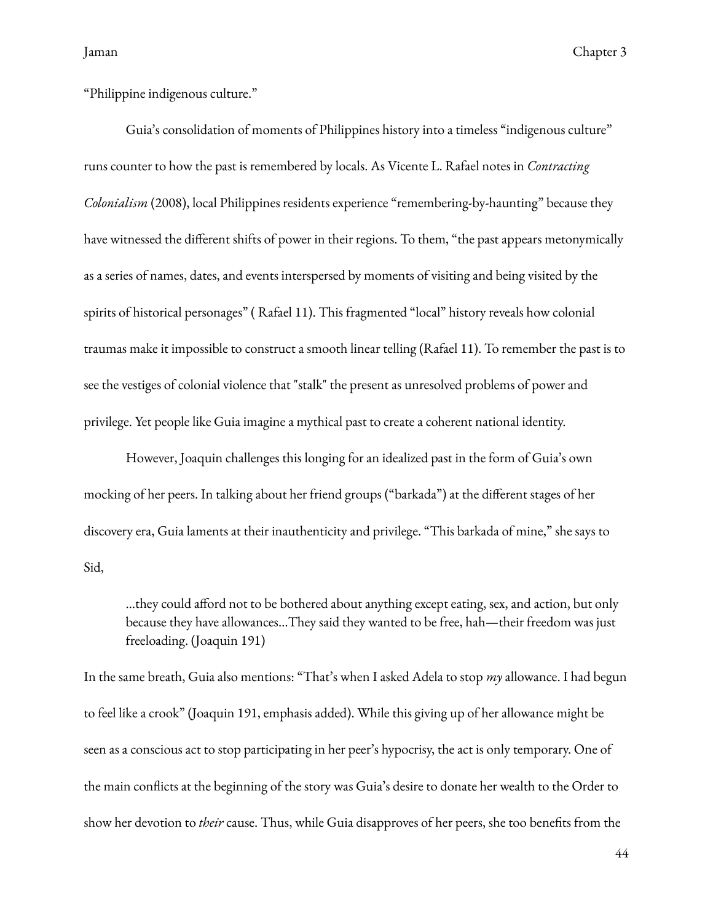"Philippine indigenous culture."

Guia's consolidation of moments of Philippines history into a timeless "indigenous culture" runs counter to how the past is remembered by locals. As Vicente L. Rafael notes in *Contracting Colonialism* (2008), local Philippines residents experience "remembering-by-haunting" because they have witnessed the different shifts of power in their regions. To them, "the past appears metonymically as a series of names, dates, and events interspersed by moments of visiting and being visited by the spirits of historical personages" ( Rafael 11). This fragmented "local" history reveals how colonial traumas make it impossible to construct a smooth linear telling (Rafael 11). To remember the past is to see the vestiges of colonial violence that "stalk" the present as unresolved problems of power and privilege. Yet people like Guia imagine a mythical past to create a coherent national identity.

However, Joaquin challenges this longing for an idealized past in the form of Guia's own mocking of her peers. In talking about her friend groups ("barkada") at the different stages of her discovery era, Guia laments at their inauthenticity and privilege. "This barkada of mine," she says to Sid,

…they could afford not to be bothered about anything except eating, sex, and action, but only because they have allowances…They said they wanted to be free, hah—their freedom was just freeloading. (Joaquin 191)

In the same breath, Guia also mentions: "That's when I asked Adela to stop *my* allowance. I had begun to feel like a crook" (Joaquin 191, emphasis added). While this giving up of her allowance might be seen as a conscious act to stop participating in her peer's hypocrisy, the act is only temporary. One of the main conflicts at the beginning of the story was Guia's desire to donate her wealth to the Order to show her devotion to *their* cause. Thus, while Guia disapproves of her peers, she too benefits from the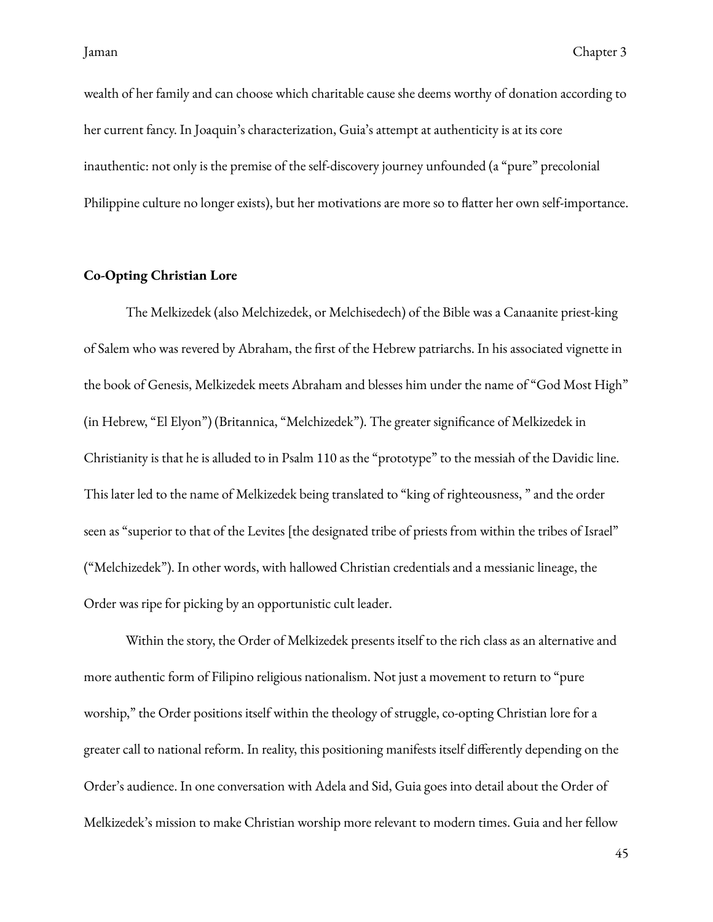wealth of her family and can choose which charitable cause she deems worthy of donation according to her current fancy. In Joaquin's characterization, Guia's attempt at authenticity is at its core inauthentic: not only is the premise of the self-discovery journey unfounded (a "pure" precolonial Philippine culture no longer exists), but her motivations are more so to flatter her own self-importance.

### <span id="page-48-0"></span>**Co-Opting Christian Lore**

The Melkizedek (also Melchizedek, or Melchisedech) of the Bible was a Canaanite priest-king of Salem who was revered by Abraham, the first of the Hebrew patriarchs. In his associated vignette in the book of Genesis, Melkizedek meets Abraham and blesses him under the name of "God Most High" (in Hebrew, "El Elyon") (Britannica, "Melchizedek"). The greater significance of Melkizedek in Christianity is that he is alluded to in Psalm 110 as the "prototype" to the messiah of the Davidic line. This later led to the name of Melkizedek being translated to "king of righteousness, " and the order seen as "superior to that of the Levites [the designated tribe of priests from within the tribes of Israel" ("Melchizedek"). In other words, with hallowed Christian credentials and a messianic lineage, the Order was ripe for picking by an opportunistic cult leader.

Within the story, the Order of Melkizedek presents itself to the rich class as an alternative and more authentic form of Filipino religious nationalism. Not just a movement to return to "pure worship," the Order positions itself within the theology of struggle, co-opting Christian lore for a greater call to national reform. In reality, this positioning manifests itself differently depending on the Order's audience. In one conversation with Adela and Sid, Guia goes into detail about the Order of Melkizedek's mission to make Christian worship more relevant to modern times. Guia and her fellow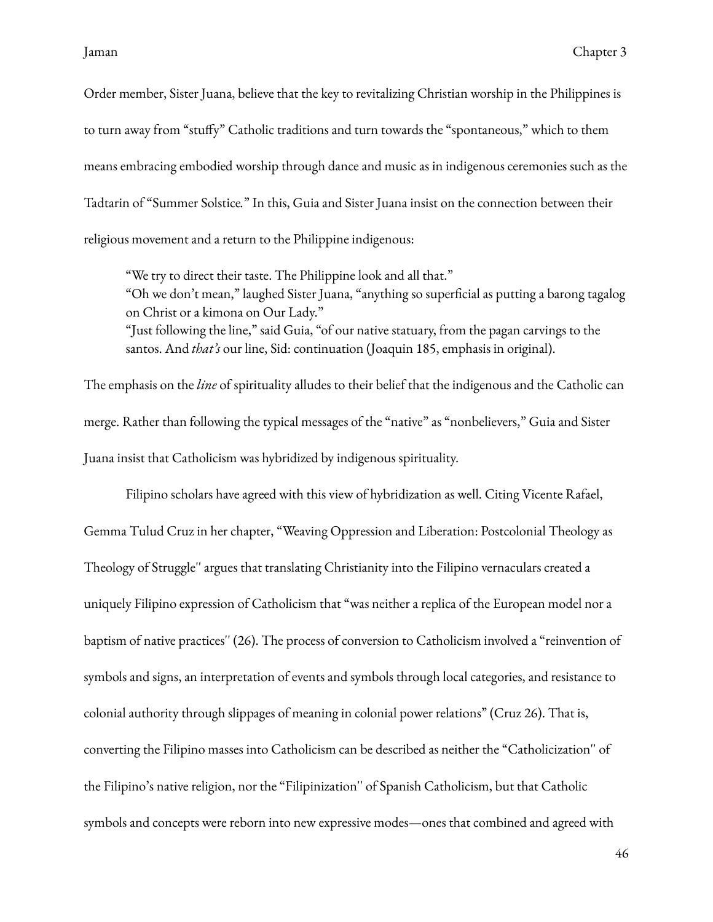Order member, Sister Juana, believe that the key to revitalizing Christian worship in the Philippines is to turn away from "stuffy" Catholic traditions and turn towards the "spontaneous," which to them means embracing embodied worship through dance and music as in indigenous ceremonies such as the Tadtarin of "Summer Solstice*.*" In this, Guia and Sister Juana insist on the connection between their religious movement and a return to the Philippine indigenous:

"We try to direct their taste. The Philippine look and all that." "Oh we don't mean," laughed Sister Juana, "anything so superficial as putting a barong tagalog on Christ or a kimona on Our Lady." "Just following the line," said Guia, "of our native statuary, from the pagan carvings to the santos. And *that's* our line, Sid: continuation (Joaquin 185, emphasis in original).

The emphasis on the *line* of spirituality alludes to their belief that the indigenous and the Catholic can merge. Rather than following the typical messages of the "native" as "nonbelievers," Guia and Sister Juana insist that Catholicism was hybridized by indigenous spirituality.

Filipino scholars have agreed with this view of hybridization as well. Citing Vicente Rafael, Gemma Tulud Cruz in her chapter, "Weaving Oppression and Liberation: Postcolonial Theology as Theology of Struggle'' argues that translating Christianity into the Filipino vernaculars created a uniquely Filipino expression of Catholicism that "was neither a replica of the European model nor a baptism of native practices'' (26). The process of conversion to Catholicism involved a "reinvention of symbols and signs, an interpretation of events and symbols through local categories, and resistance to colonial authority through slippages of meaning in colonial power relations" (Cruz 26). That is, converting the Filipino masses into Catholicism can be described as neither the "Catholicization'' of the Filipino's native religion, nor the "Filipinization'' of Spanish Catholicism, but that Catholic symbols and concepts were reborn into new expressive modes—ones that combined and agreed with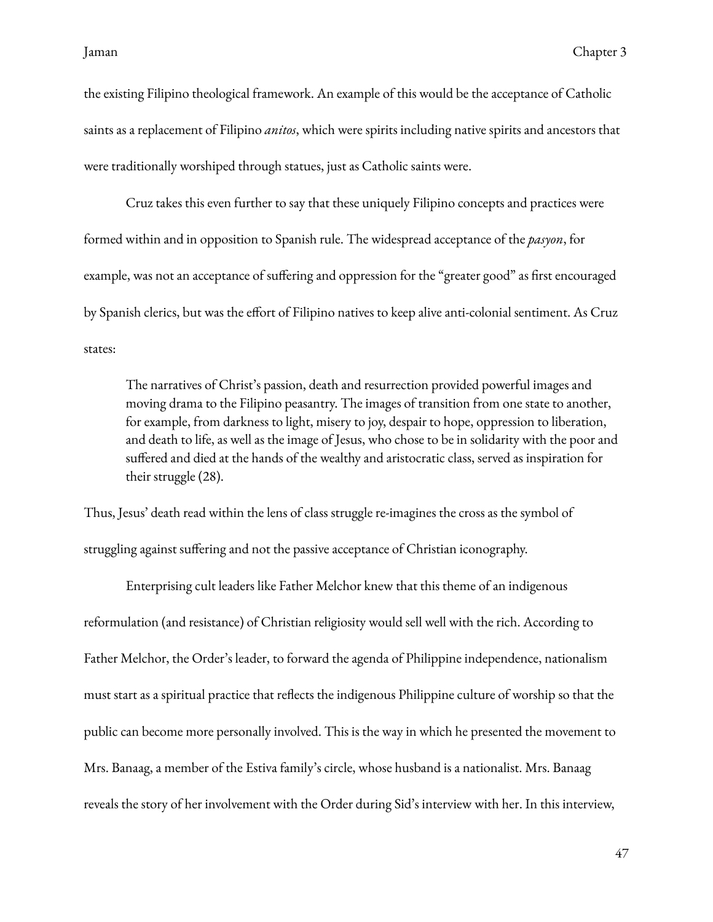the existing Filipino theological framework. An example of this would be the acceptance of Catholic saints as a replacement of Filipino *anitos*, which were spirits including native spirits and ancestors that were traditionally worshiped through statues, just as Catholic saints were.

Cruz takes this even further to say that these uniquely Filipino concepts and practices were formed within and in opposition to Spanish rule. The widespread acceptance of the *pasyon*, for example, was not an acceptance of suffering and oppression for the "greater good" as first encouraged by Spanish clerics, but was the effort of Filipino natives to keep alive anti-colonial sentiment. As Cruz states:

The narratives of Christ's passion, death and resurrection provided powerful images and moving drama to the Filipino peasantry. The images of transition from one state to another, for example, from darkness to light, misery to joy, despair to hope, oppression to liberation, and death to life, as well as the image of Jesus, who chose to be in solidarity with the poor and suffered and died at the hands of the wealthy and aristocratic class, served as inspiration for their struggle (28).

Thus, Jesus' death read within the lens of class struggle re-imagines the cross as the symbol of struggling against suffering and not the passive acceptance of Christian iconography.

Enterprising cult leaders like Father Melchor knew that this theme of an indigenous reformulation (and resistance) of Christian religiosity would sell well with the rich. According to Father Melchor, the Order's leader, to forward the agenda of Philippine independence, nationalism must start as a spiritual practice that reflects the indigenous Philippine culture of worship so that the public can become more personally involved. This is the way in which he presented the movement to Mrs. Banaag, a member of the Estiva family's circle, whose husband is a nationalist. Mrs. Banaag reveals the story of her involvement with the Order during Sid's interview with her. In this interview,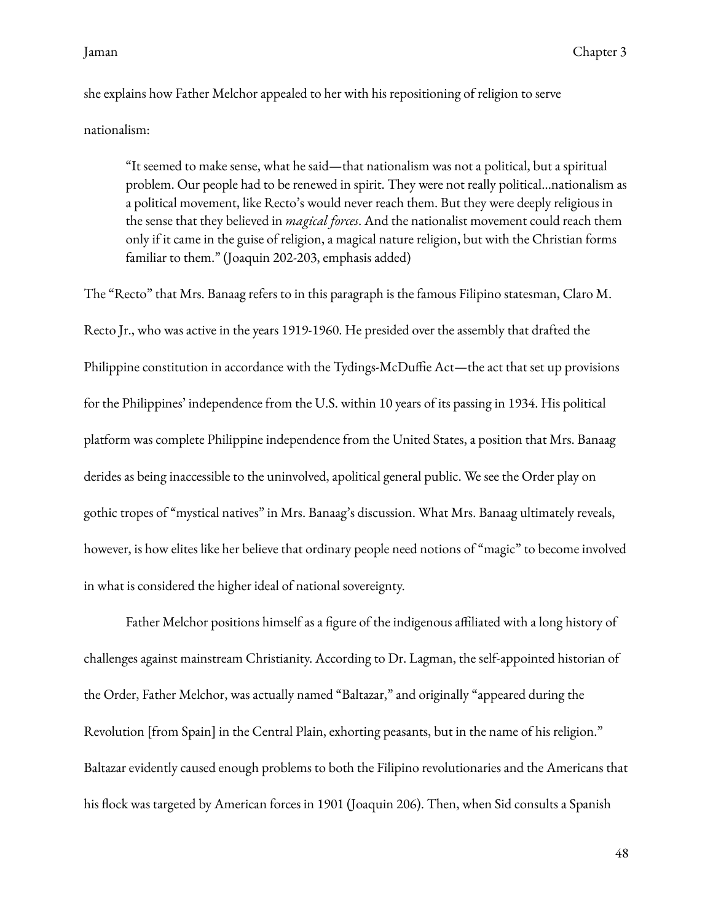she explains how Father Melchor appealed to her with his repositioning of religion to serve nationalism:

"It seemed to make sense, what he said—that nationalism was not a political, but a spiritual problem. Our people had to be renewed in spirit. They were not really political…nationalism as a political movement, like Recto's would never reach them. But they were deeply religious in the sense that they believed in *magical forces*. And the nationalist movement could reach them only if it came in the guise of religion, a magical nature religion, but with the Christian forms familiar to them." (Joaquin 202-203, emphasis added)

The "Recto" that Mrs. Banaag refers to in this paragraph is the famous Filipino statesman, Claro M. Recto Jr., who was active in the years 1919-1960. He presided over the assembly that drafted the Philippine constitution in accordance with the Tydings-McDuffie Act—the act that set up provisions for the Philippines' independence from the U.S. within 10 years of its passing in 1934. His political platform was complete Philippine independence from the United States, a position that Mrs. Banaag derides as being inaccessible to the uninvolved, apolitical general public. We see the Order play on gothic tropes of "mystical natives" in Mrs. Banaag's discussion. What Mrs. Banaag ultimately reveals, however, is how elites like her believe that ordinary people need notions of "magic" to become involved in what is considered the higher ideal of national sovereignty.

Father Melchor positions himself as a figure of the indigenous affiliated with a long history of challenges against mainstream Christianity. According to Dr. Lagman, the self-appointed historian of the Order, Father Melchor, was actually named "Baltazar," and originally "appeared during the Revolution [from Spain] in the Central Plain, exhorting peasants, but in the name of his religion." Baltazar evidently caused enough problems to both the Filipino revolutionaries and the Americans that his flock was targeted by American forces in 1901 (Joaquin 206). Then, when Sid consults a Spanish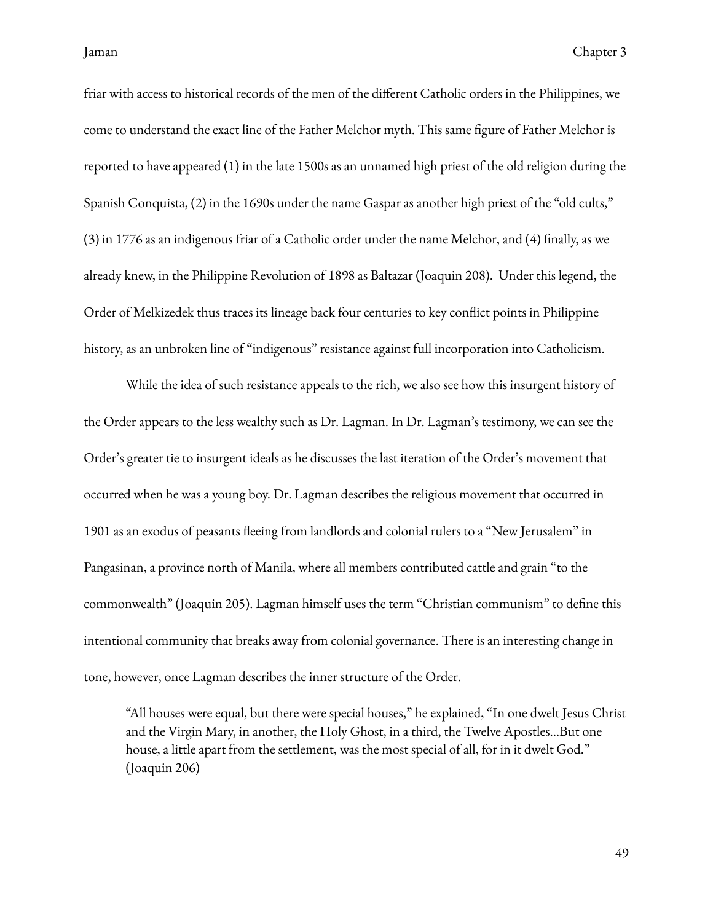friar with access to historical records of the men of the different Catholic orders in the Philippines, we come to understand the exact line of the Father Melchor myth. This same figure of Father Melchor is reported to have appeared (1) in the late 1500s as an unnamed high priest of the old religion during the Spanish Conquista, (2) in the 1690s under the name Gaspar as another high priest of the "old cults,"  $(3)$  in 1776 as an indigenous friar of a Catholic order under the name Melchor, and  $(4)$  finally, as we already knew, in the Philippine Revolution of 1898 as Baltazar (Joaquin 208). Under this legend, the Order of Melkizedek thus traces its lineage back four centuries to key conflict points in Philippine history, as an unbroken line of "indigenous" resistance against full incorporation into Catholicism.

While the idea of such resistance appeals to the rich, we also see how this insurgent history of the Order appears to the less wealthy such as Dr. Lagman. In Dr. Lagman's testimony, we can see the Order's greater tie to insurgent ideals as he discusses the last iteration of the Order's movement that occurred when he was a young boy. Dr. Lagman describes the religious movement that occurred in 1901 as an exodus of peasants fleeing from landlords and colonial rulers to a "New Jerusalem" in Pangasinan, a province north of Manila, where all members contributed cattle and grain "to the commonwealth" (Joaquin 205). Lagman himself uses the term "Christian communism" to define this intentional community that breaks away from colonial governance. There is an interesting change in tone, however, once Lagman describes the inner structure of the Order.

"All houses were equal, but there were special houses," he explained, "In one dwelt Jesus Christ and the Virgin Mary, in another, the Holy Ghost, in a third, the Twelve Apostles…But one house, a little apart from the settlement, was the most special of all, for in it dwelt God." (Joaquin 206)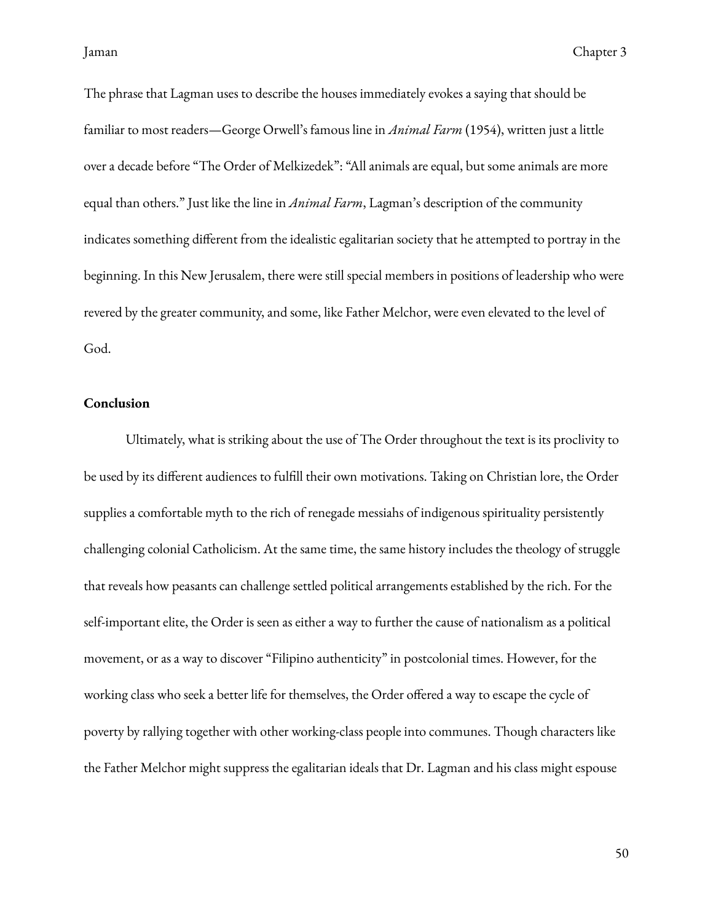The phrase that Lagman uses to describe the houses immediately evokes a saying that should be familiar to most readers—George Orwell's famous line in *Animal Farm* (1954), written just a little over a decade before "The Order of Melkizedek": "All animals are equal, but some animals are more equal than others." Just like the line in *Animal Farm*, Lagman's description of the community indicates something different from the idealistic egalitarian society that he attempted to portray in the beginning. In this New Jerusalem, there were still special members in positions of leadership who were revered by the greater community, and some, like Father Melchor, were even elevated to the level of God.

### <span id="page-53-0"></span>**Conclusion**

Ultimately, what is striking about the use of The Order throughout the text is its proclivity to be used by its different audiences to fulfill their own motivations. Taking on Christian lore, the Order supplies a comfortable myth to the rich of renegade messiahs of indigenous spirituality persistently challenging colonial Catholicism. At the same time, the same history includes the theology of struggle that reveals how peasants can challenge settled political arrangements established by the rich. For the self-important elite, the Order is seen as either a way to further the cause of nationalism as a political movement, or as a way to discover "Filipino authenticity" in postcolonial times. However, for the working class who seek a better life for themselves, the Order offered a way to escape the cycle of poverty by rallying together with other working-class people into communes. Though characters like the Father Melchor might suppress the egalitarian ideals that Dr. Lagman and his class might espouse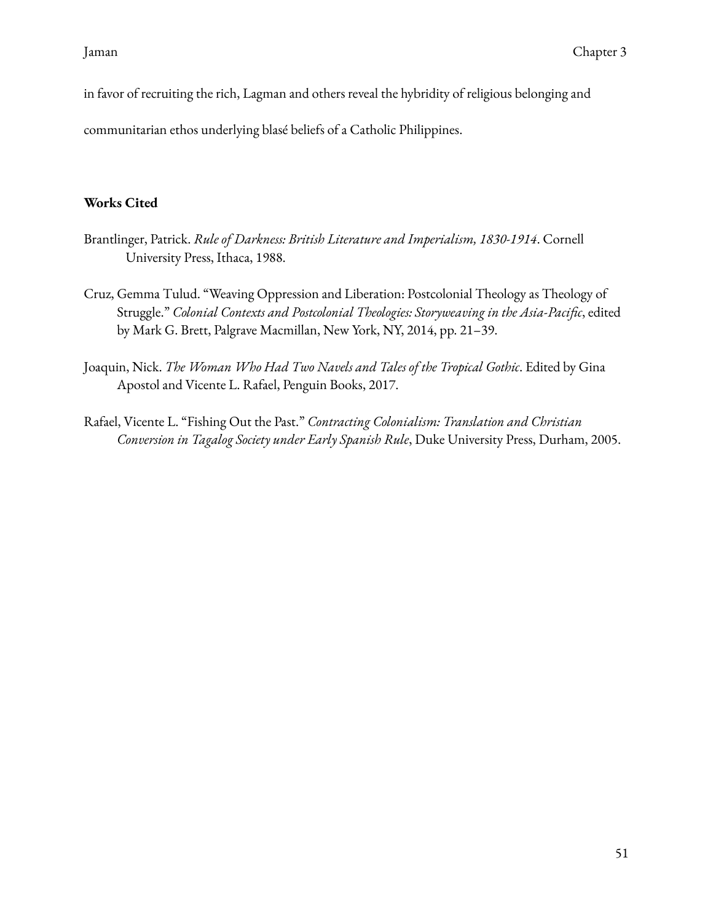in favor of recruiting the rich, Lagman and others reveal the hybridity of religious belonging and

communitarian ethos underlying blasé beliefs of a Catholic Philippines.

## <span id="page-54-0"></span>**Works Cited**

- Brantlinger, Patrick. *Rule of Darkness: British Literature and Imperialism, 1830-1914*. Cornell University Press, Ithaca, 1988.
- Cruz, Gemma Tulud. "Weaving Oppression and Liberation: Postcolonial Theology as Theology of Struggle." *Colonial Contexts and Postcolonial Theologies: Storyweaving in the Asia-Pacific*, edited by Mark G. Brett, Palgrave Macmillan, New York, NY, 2014, pp. 21–39.
- Joaquin, Nick. *The Woman Who Had Two Navels and Tales of the Tropical Gothic*. Edited by Gina Apostol and Vicente L. Rafael, Penguin Books, 2017.
- Rafael, Vicente L. "Fishing Out the Past." *Contracting Colonialism: Translation and Christian Conversion in Tagalog Society under Early Spanish Rule*, Duke University Press, Durham, 2005.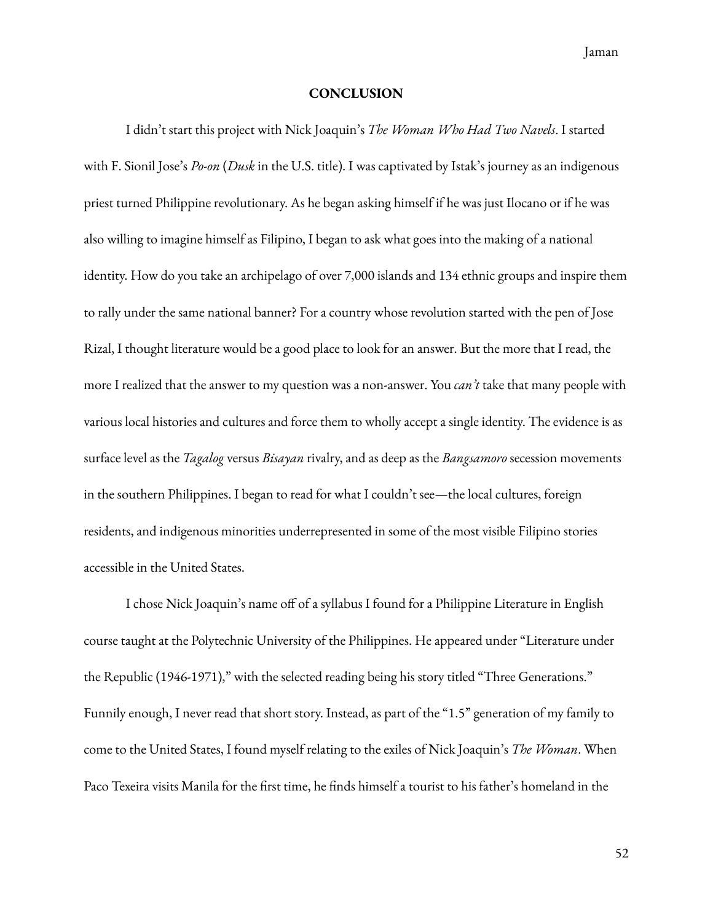Jaman

#### **CONCLUSION**

<span id="page-55-0"></span>I didn't start this project with Nick Joaquin's *The Woman Who Had Two Navels*. I started with F. Sionil Jose's *Po-on* (*Dusk* in the U.S. title). I was captivated by Istak's journey as an indigenous priest turned Philippine revolutionary. As he began asking himself if he was just Ilocano or if he was also willing to imagine himself as Filipino, I began to ask what goes into the making of a national identity. How do you take an archipelago of over 7,000 islands and 134 ethnic groups and inspire them to rally under the same national banner? For a country whose revolution started with the pen of Jose Rizal, I thought literature would be a good place to look for an answer. But the more that I read, the more I realized that the answer to my question was a non-answer. You *can't* take that many people with various local histories and cultures and force them to wholly accept a single identity. The evidence is as surface level as the *Tagalog* versus *Bisayan* rivalry, and as deep as the *Bangsamoro* secession movements in the southern Philippines. I began to read for what I couldn't see—the local cultures, foreign residents, and indigenous minorities underrepresented in some of the most visible Filipino stories accessible in the United States.

I chose Nick Joaquin's name off of a syllabus I found for a Philippine Literature in English course taught at the Polytechnic University of the Philippines. He appeared under "Literature under the Republic (1946-1971)," with the selected reading being his story titled "Three Generations." Funnily enough, I never read that short story. Instead, as part of the "1.5" generation of my family to come to the United States, I found myself relating to the exiles of Nick Joaquin's *The Woman*. When Paco Texeira visits Manila for the first time, he finds himself a tourist to his father's homeland in the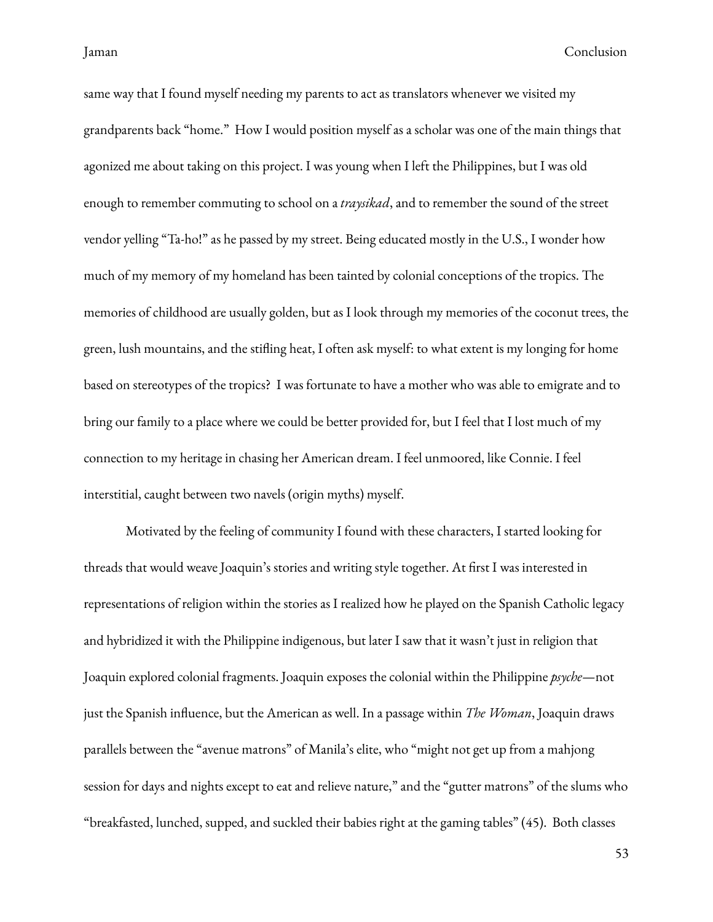same way that I found myself needing my parents to act as translators whenever we visited my grandparents back "home." How I would position myself as a scholar was one of the main things that agonized me about taking on this project. I was young when I left the Philippines, but I was old enough to remember commuting to school on a *traysikad*, and to remember the sound of the street vendor yelling "Ta-ho!" as he passed by my street. Being educated mostly in the U.S., I wonder how much of my memory of my homeland has been tainted by colonial conceptions of the tropics. The memories of childhood are usually golden, but as I look through my memories of the coconut trees, the green, lush mountains, and the stifling heat, I often ask myself: to what extent is my longing for home based on stereotypes of the tropics? I was fortunate to have a mother who was able to emigrate and to bring our family to a place where we could be better provided for, but I feel that I lost much of my connection to my heritage in chasing her American dream. I feel unmoored, like Connie. I feel interstitial, caught between two navels (origin myths) myself.

Motivated by the feeling of community I found with these characters, I started looking for threads that would weave Joaquin's stories and writing style together. At first I was interested in representations of religion within the stories as I realized how he played on the Spanish Catholic legacy and hybridized it with the Philippine indigenous, but later I saw that it wasn't just in religion that Joaquin explored colonial fragments. Joaquin exposes the colonial within the Philippine *psyche*—not just the Spanish influence, but the American as well. In a passage within *The Woman*, Joaquin draws parallels between the "avenue matrons" of Manila's elite, who "might not get up from a mahjong session for days and nights except to eat and relieve nature," and the "gutter matrons" of the slums who "breakfasted, lunched, supped, and suckled their babies right at the gaming tables" (45). Both classes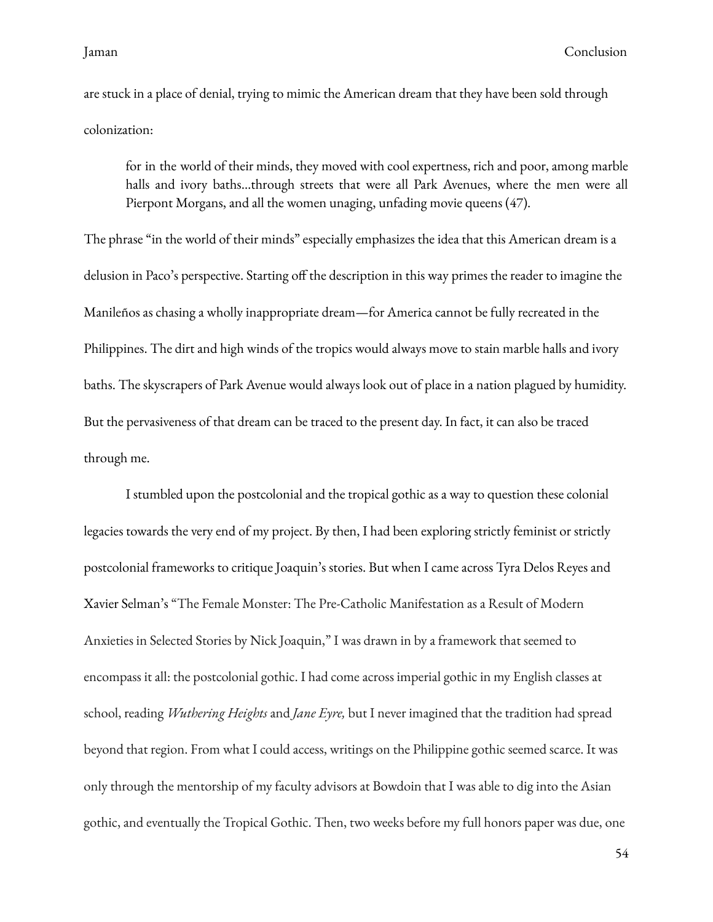are stuck in a place of denial, trying to mimic the American dream that they have been sold through colonization:

for in the world of their minds, they moved with cool expertness, rich and poor, among marble halls and ivory baths…through streets that were all Park Avenues, where the men were all Pierpont Morgans, and all the women unaging, unfading movie queens (47).

The phrase "in the world of their minds" especially emphasizes the idea that this American dream is a delusion in Paco's perspective. Starting off the description in this way primes the reader to imagine the Manileños as chasing a wholly inappropriate dream—for America cannot be fully recreated in the Philippines. The dirt and high winds of the tropics would always move to stain marble halls and ivory baths. The skyscrapers of Park Avenue would always look out of place in a nation plagued by humidity. But the pervasiveness of that dream can be traced to the present day. In fact, it can also be traced through me.

I stumbled upon the postcolonial and the tropical gothic as a way to question these colonial legacies towards the very end of my project. By then, I had been exploring strictly feminist or strictly postcolonial frameworks to critique Joaquin's stories. But when I came across Tyra Delos Reyes and Xavier Selman's "The Female Monster: The Pre-Catholic Manifestation as a Result of Modern Anxieties in Selected Stories by Nick Joaquin," I was drawn in by a framework that seemed to encompass it all: the postcolonial gothic. I had come across imperial gothic in my English classes at school, reading *Wuthering Heights* and *Jane Eyre,* but I never imagined that the tradition had spread beyond that region. From what I could access, writings on the Philippine gothic seemed scarce. It was only through the mentorship of my faculty advisors at Bowdoin that I was able to dig into the Asian gothic, and eventually the Tropical Gothic. Then, two weeks before my full honors paper was due, one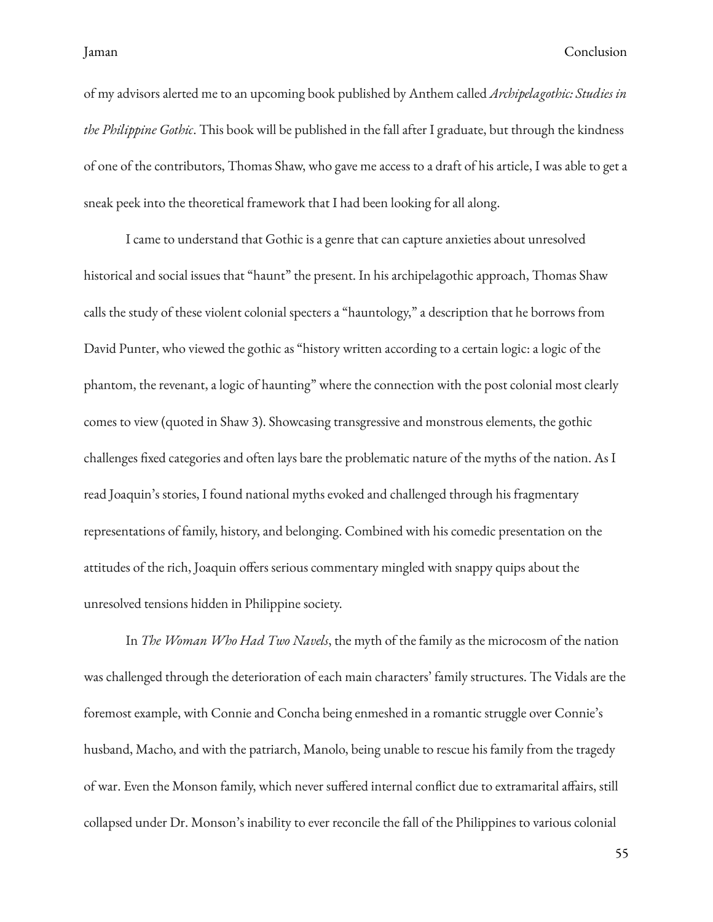of my advisors alerted me to an upcoming book published by Anthem called *Archipelagothic: Studies in the Philippine Gothic*. This book will be published in the fall after I graduate, but through the kindness of one of the contributors, Thomas Shaw, who gave me access to a draft of his article, I was able to get a sneak peek into the theoretical framework that I had been looking for all along.

I came to understand that Gothic is a genre that can capture anxieties about unresolved historical and social issues that "haunt" the present. In his archipelagothic approach, Thomas Shaw calls the study of these violent colonial specters a "hauntology," a description that he borrows from David Punter, who viewed the gothic as "history written according to a certain logic: a logic of the phantom, the revenant, a logic of haunting" where the connection with the post colonial most clearly comes to view (quoted in Shaw 3). Showcasing transgressive and monstrous elements, the gothic challenges fixed categories and often lays bare the problematic nature of the myths of the nation. As I read Joaquin's stories, I found national myths evoked and challenged through his fragmentary representations of family, history, and belonging. Combined with his comedic presentation on the attitudes of the rich, Joaquin offers serious commentary mingled with snappy quips about the unresolved tensions hidden in Philippine society.

In *The Woman Who Had Two Navels*, the myth of the family as the microcosm of the nation was challenged through the deterioration of each main characters' family structures. The Vidals are the foremost example, with Connie and Concha being enmeshed in a romantic struggle over Connie's husband, Macho, and with the patriarch, Manolo, being unable to rescue his family from the tragedy of war. Even the Monson family, which never suffered internal conflict due to extramarital affairs, still collapsed under Dr. Monson's inability to ever reconcile the fall of the Philippines to various colonial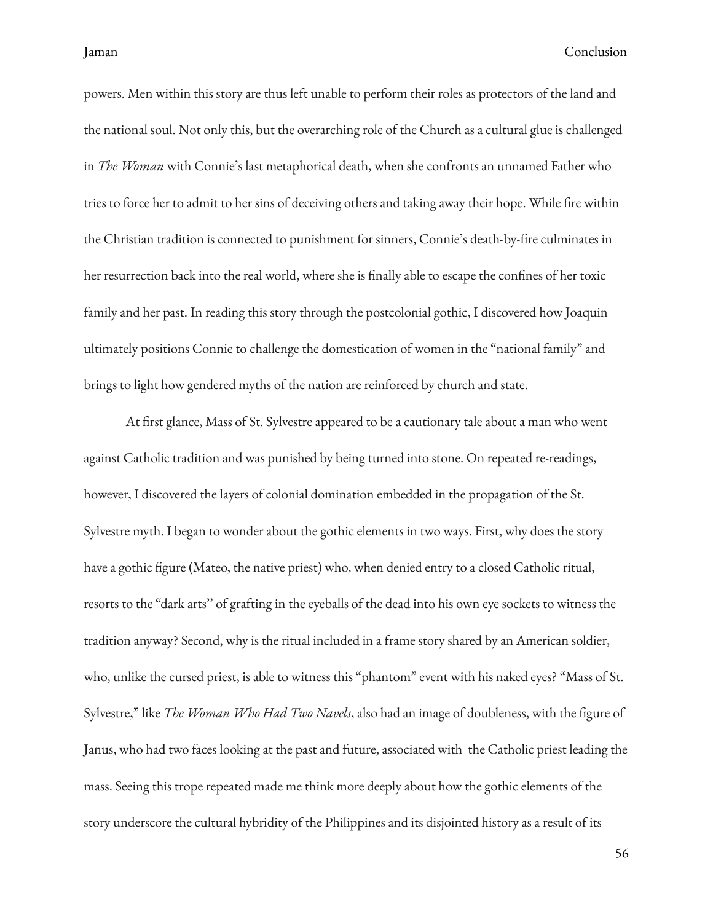powers. Men within this story are thus left unable to perform their roles as protectors of the land and the national soul. Not only this, but the overarching role of the Church as a cultural glue is challenged in *The Woman* with Connie's last metaphorical death, when she confronts an unnamed Father who tries to force her to admit to her sins of deceiving others and taking away their hope. While fire within the Christian tradition is connected to punishment for sinners, Connie's death-by-fire culminates in her resurrection back into the real world, where she is finally able to escape the confines of her toxic family and her past. In reading this story through the postcolonial gothic, I discovered how Joaquin ultimately positions Connie to challenge the domestication of women in the "national family" and brings to light how gendered myths of the nation are reinforced by church and state.

At first glance, Mass of St. Sylvestre appeared to be a cautionary tale about a man who went against Catholic tradition and was punished by being turned into stone. On repeated re-readings, however, I discovered the layers of colonial domination embedded in the propagation of the St. Sylvestre myth. I began to wonder about the gothic elements in two ways. First, why does the story have a gothic figure (Mateo, the native priest) who, when denied entry to a closed Catholic ritual, resorts to the "dark arts'' of grafting in the eyeballs of the dead into his own eye sockets to witness the tradition anyway? Second, why is the ritual included in a frame story shared by an American soldier, who, unlike the cursed priest, is able to witness this "phantom" event with his naked eyes? "Mass of St. Sylvestre," like *The Woman Who Had Two Navels*, also had an image of doubleness, with the gure of Janus, who had two faces looking at the past and future, associated with the Catholic priest leading the mass. Seeing this trope repeated made me think more deeply about how the gothic elements of the story underscore the cultural hybridity of the Philippines and its disjointed history as a result of its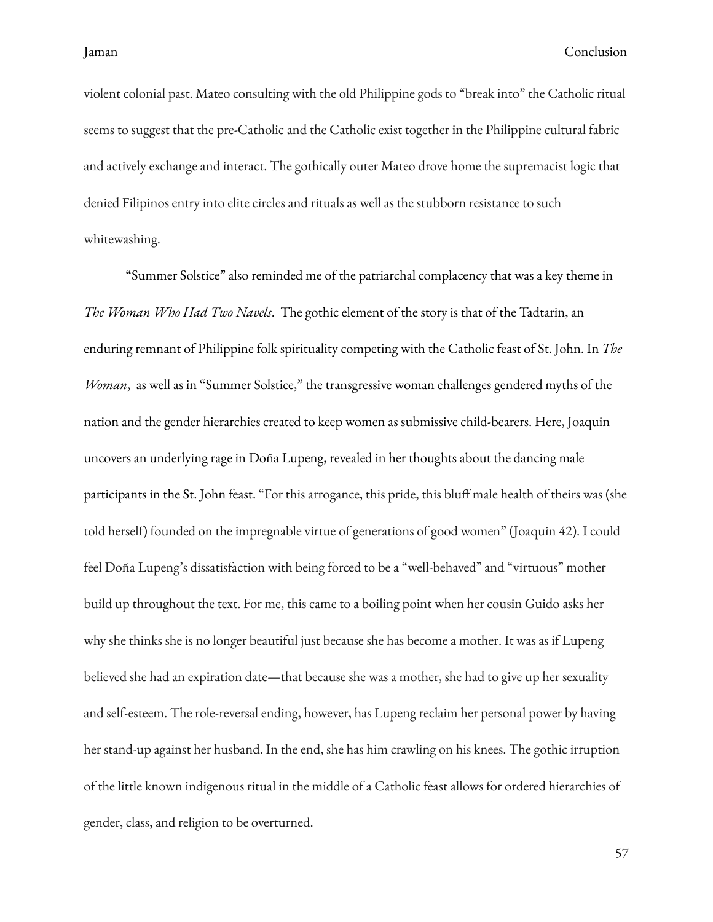violent colonial past. Mateo consulting with the old Philippine gods to "break into" the Catholic ritual seems to suggest that the pre-Catholic and the Catholic exist together in the Philippine cultural fabric and actively exchange and interact. The gothically outer Mateo drove home the supremacist logic that denied Filipinos entry into elite circles and rituals as well as the stubborn resistance to such whitewashing.

"Summer Solstice" also reminded me of the patriarchal complacency that was a key theme in *The Woman Who Had Two Navels*. The gothic element of the story is that of the Tadtarin, an enduring remnant of Philippine folk spirituality competing with the Catholic feast of St. John. In *The Woman*, as well as in "Summer Solstice," the transgressive woman challenges gendered myths of the nation and the gender hierarchies created to keep women as submissive child-bearers. Here, Joaquin uncovers an underlying rage in Doña Lupeng, revealed in her thoughts about the dancing male participants in the St. John feast. "For this arrogance, this pride, this bluff male health of theirs was (she told herself) founded on the impregnable virtue of generations of good women" (Joaquin 42). I could feel Doña Lupeng's dissatisfaction with being forced to be a "well-behaved" and "virtuous" mother build up throughout the text. For me, this came to a boiling point when her cousin Guido asks her why she thinks she is no longer beautiful just because she has become a mother. It was as if Lupeng believed she had an expiration date—that because she was a mother, she had to give up her sexuality and self-esteem. The role-reversal ending, however, has Lupeng reclaim her personal power by having her stand-up against her husband. In the end, she has him crawling on his knees. The gothic irruption of the little known indigenous ritual in the middle of a Catholic feast allows for ordered hierarchies of gender, class, and religion to be overturned.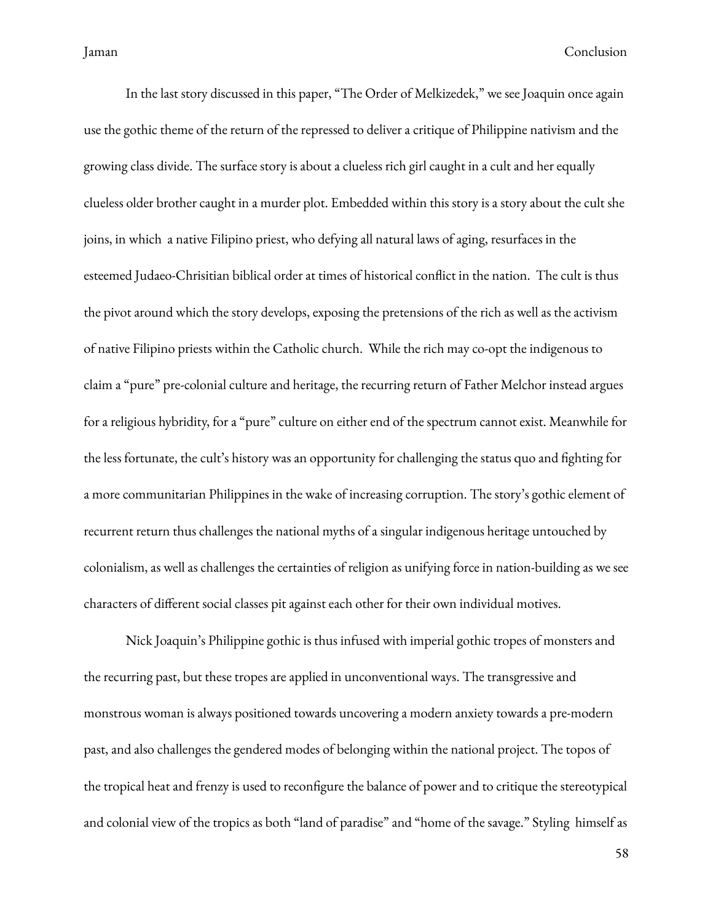In the last story discussed in this paper, "The Order of Melkizedek," we see Joaquin once again use the gothic theme of the return of the repressed to deliver a critique of Philippine nativism and the growing class divide. The surface story is about a clueless rich girl caught in a cult and her equally clueless older brother caught in a murder plot. Embedded within this story is a story about the cult she joins, in which a native Filipino priest, who defying all natural laws of aging, resurfaces in the esteemed Judaeo-Chrisitian biblical order at times of historical conflict in the nation. The cult is thus the pivot around which the story develops, exposing the pretensions of the rich as well as the activism of native Filipino priests within the Catholic church. While the rich may co-opt the indigenous to claim a "pure" pre-colonial culture and heritage, the recurring return of Father Melchor instead argues for a religious hybridity, for a "pure" culture on either end of the spectrum cannot exist. Meanwhile for the less fortunate, the cult's history was an opportunity for challenging the status quo and fighting for a more communitarian Philippines in the wake of increasing corruption. The story's gothic element of recurrent return thus challenges the national myths of a singular indigenous heritage untouched by colonialism, as well as challenges the certainties of religion as unifying force in nation-building as we see characters of different social classes pit against each other for their own individual motives.

Nick Joaquin's Philippine gothic is thus infused with imperial gothic tropes of monsters and the recurring past, but these tropes are applied in unconventional ways. The transgressive and monstrous woman is always positioned towards uncovering a modern anxiety towards a pre-modern past, and also challenges the gendered modes of belonging within the national project. The topos of the tropical heat and frenzy is used to reconfigure the balance of power and to critique the stereotypical and colonial view of the tropics as both "land of paradise" and "home of the savage." Styling himself as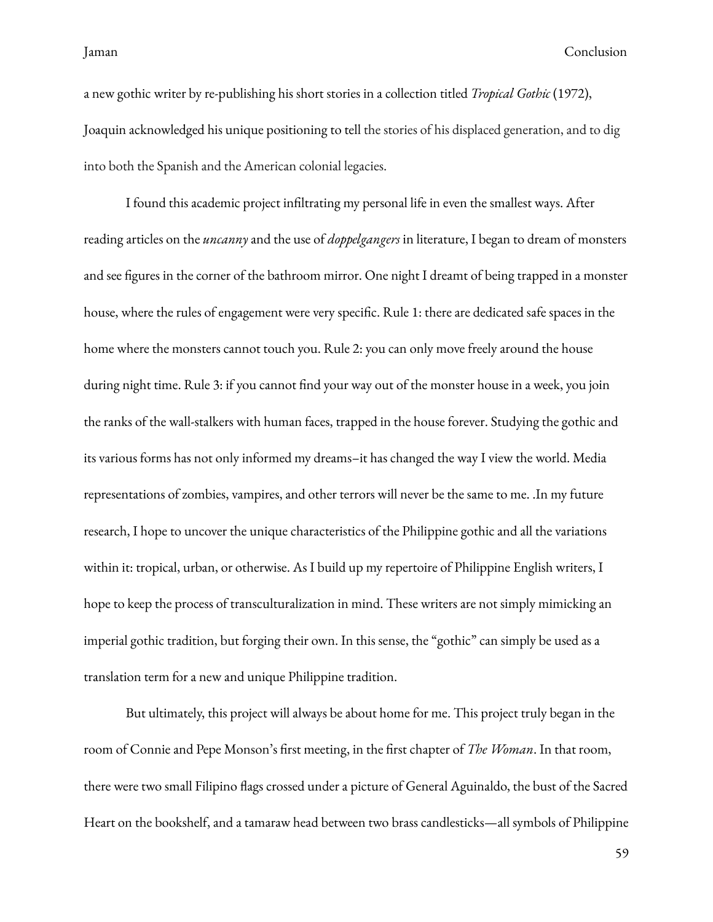a new gothic writer by re-publishing his short stories in a collection titled *Tropical Gothic* (1972), Joaquin acknowledged his unique positioning to tell the stories of his displaced generation, and to dig into both the Spanish and the American colonial legacies.

I found this academic project infiltrating my personal life in even the smallest ways. After reading articles on the *uncanny* and the use of *doppelgangers* in literature, I began to dream of monsters and see figures in the corner of the bathroom mirror. One night I dreamt of being trapped in a monster house, where the rules of engagement were very specific. Rule 1: there are dedicated safe spaces in the home where the monsters cannot touch you. Rule 2: you can only move freely around the house during night time. Rule 3: if you cannot find your way out of the monster house in a week, you join the ranks of the wall-stalkers with human faces, trapped in the house forever. Studying the gothic and its various forms has not only informed my dreams–it has changed the way I view the world. Media representations of zombies, vampires, and other terrors will never be the same to me. .In my future research, I hope to uncover the unique characteristics of the Philippine gothic and all the variations within it: tropical, urban, or otherwise. As I build up my repertoire of Philippine English writers, I hope to keep the process of transculturalization in mind. These writers are not simply mimicking an imperial gothic tradition, but forging their own. In this sense, the "gothic" can simply be used as a translation term for a new and unique Philippine tradition.

But ultimately, this project will always be about home for me. This project truly began in the room of Connie and Pepe Monson's first meeting, in the first chapter of *The Woman*. In that room, there were two small Filipino flags crossed under a picture of General Aguinaldo, the bust of the Sacred Heart on the bookshelf, and a tamaraw head between two brass candlesticks—all symbols of Philippine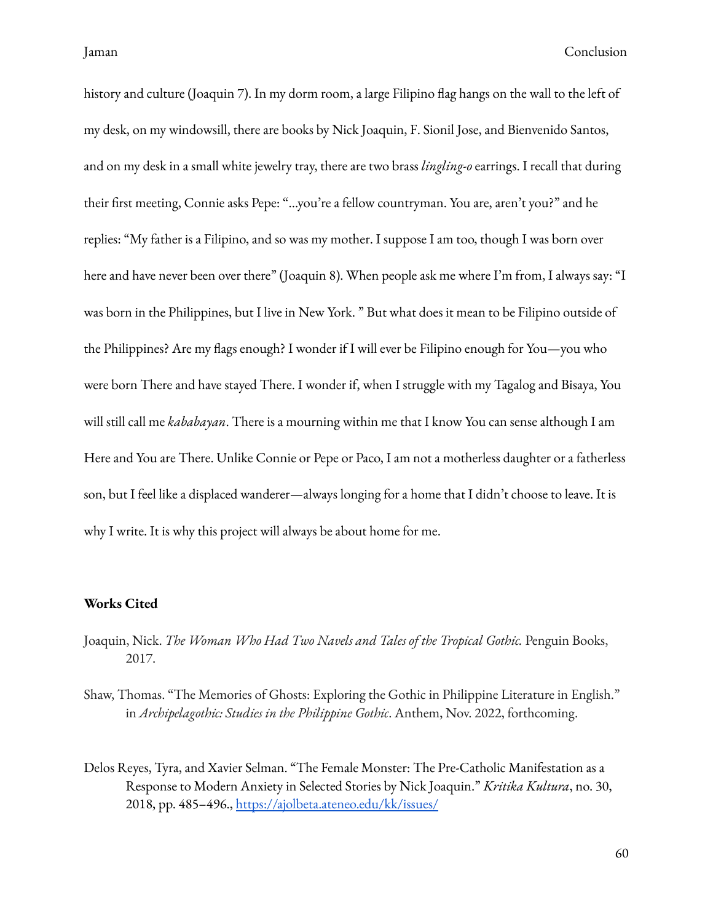history and culture (Joaquin 7). In my dorm room, a large Filipino flag hangs on the wall to the left of my desk, on my windowsill, there are books by Nick Joaquin, F. Sionil Jose, and Bienvenido Santos, and on my desk in a small white jewelry tray, there are two brass *lingling-o* earrings. I recall that during their first meeting, Connie asks Pepe: "...you're a fellow countryman. You are, aren't you?" and he replies: "My father is a Filipino, and so was my mother. I suppose I am too, though I was born over here and have never been over there" (Joaquin 8). When people ask me where I'm from, I always say: "I was born in the Philippines, but I live in New York. " But what does it mean to be Filipino outside of the Philippines? Are my flags enough? I wonder if I will ever be Filipino enough for You—you who were born There and have stayed There. I wonder if, when I struggle with my Tagalog and Bisaya, You will still call me *kababayan*. There is a mourning within me that I know You can sense although I am Here and You are There. Unlike Connie or Pepe or Paco, I am not a motherless daughter or a fatherless son, but I feel like a displaced wanderer—always longing for a home that I didn't choose to leave. It is why I write. It is why this project will always be about home for me.

### <span id="page-63-0"></span>**Works Cited**

- Joaquin, Nick. *The Woman Who Had Two Navels and Tales of the Tropical Gothic.* Penguin Books, 2017.
- Shaw, Thomas. "The Memories of Ghosts: Exploring the Gothic in Philippine Literature in English." in *Archipelagothic: Studies in the Philippine Gothic*. Anthem, Nov. 2022, forthcoming.
- Delos Reyes, Tyra, and Xavier Selman. "The Female Monster: The Pre-Catholic Manifestation as a Response to Modern Anxiety in Selected Stories by Nick Joaquin." *Kritika Kultura*, no. 30, 2018, pp. 485–496., [https://ajolbeta.ateneo.edu/kk/issues/](https://ajolbeta.ateneo.edu/kk/issues/82)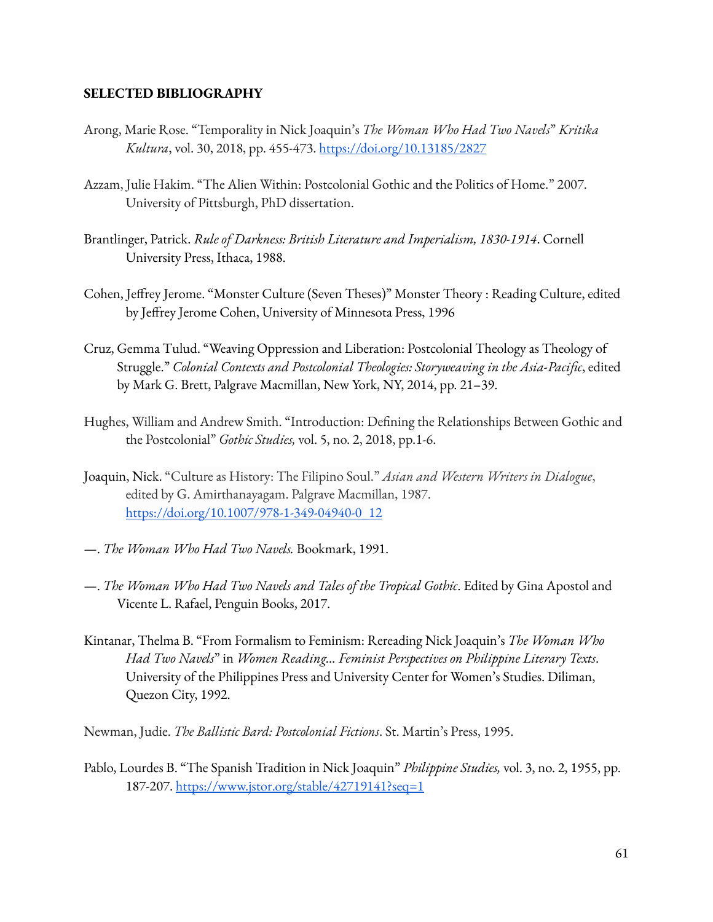### <span id="page-64-0"></span>**SELECTED BIBLIOGRAPHY**

- Arong, Marie Rose. "Temporality in Nick Joaquin's *The Woman Who Had Two Navels*" *Kritika Kultura*, vol. 30, 2018, pp. 455-473. <https://doi.org/10.13185/2827>
- Azzam, Julie Hakim. "The Alien Within: Postcolonial Gothic and the Politics of Home." 2007. University of Pittsburgh, PhD dissertation.
- Brantlinger, Patrick. *Rule of Darkness: British Literature and Imperialism, 1830-1914*. Cornell University Press, Ithaca, 1988.
- Cohen, Jeffrey Jerome. "Monster Culture (Seven Theses)" Monster Theory : Reading Culture, edited by Jeffrey Jerome Cohen, University of Minnesota Press, 1996
- Cruz, Gemma Tulud. "Weaving Oppression and Liberation: Postcolonial Theology as Theology of Struggle." *Colonial Contexts and Postcolonial Theologies: Storyweaving in the Asia-Pacific*, edited by Mark G. Brett, Palgrave Macmillan, New York, NY, 2014, pp. 21–39.
- Hughes, William and Andrew Smith. "Introduction: Defining the Relationships Between Gothic and the Postcolonial" *Gothic Studies,* vol. 5, no. 2, 2018, pp.1-6.
- Joaquin, Nick. "Culture as History: The Filipino Soul." *Asian and Western Writers in Dialogue*, edited by G. Amirthanayagam. Palgrave Macmillan, 1987. [https://doi.org/10.1007/978-1-349-04940-0\\_12](https://doi.org/10.1007/978-1-349-04940-0_12)
- —. *The Woman Who Had Two Navels.* Bookmark, 1991.
- —. *The Woman Who Had Two Navels and Tales of the Tropical Gothic*. Edited by Gina Apostol and Vicente L. Rafael, Penguin Books, 2017.
- Kintanar, Thelma B. "From Formalism to Feminism: Rereading Nick Joaquin's *The Woman Who Had Two Navels*" in *Women Reading… Feminist Perspectives on Philippine Literary Texts*. University of the Philippines Press and University Center for Women's Studies. Diliman, Quezon City, 1992.
- Newman, Judie. *The Ballistic Bard: Postcolonial Fictions*. St. Martin's Press, 1995.
- Pablo, Lourdes B. "The Spanish Tradition in Nick Joaquin" *Philippine Studies,* vol. 3, no. 2, 1955, pp. 187-207. <https://www.jstor.org/stable/42719141?seq=1>